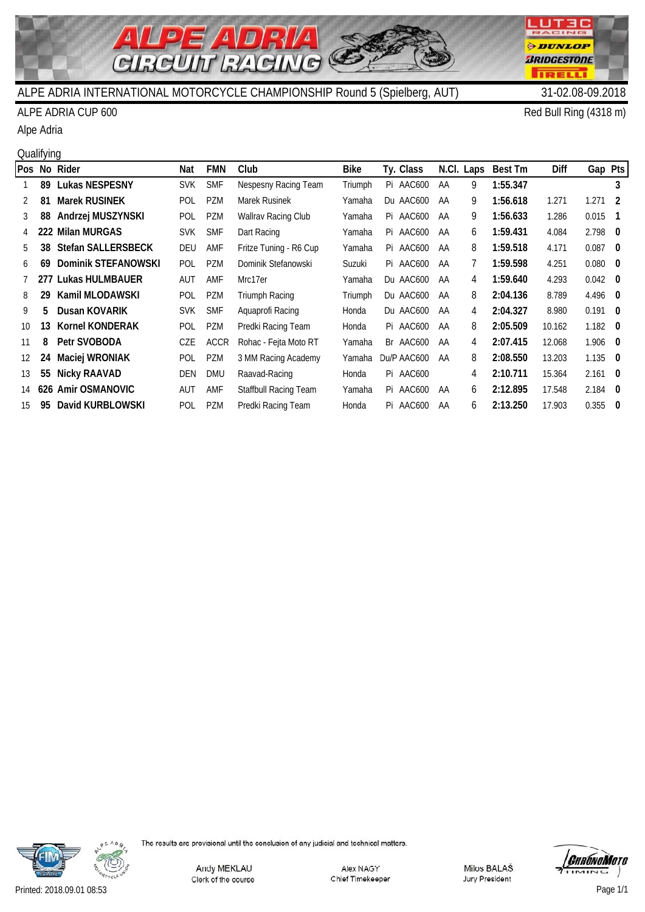

### ALPE ADRIA CUP 600 Red Bull Ring (4318 m)

Alpe Adria

#### **Qualifying**

|    |     | Pos No Rider              | Nat        | <b>FMN</b>  | Club                         | <b>Bike</b> | Ty. Class   |    | N.Cl. Laps     | Best Tm  | Diff   | Gap Pts         |     |
|----|-----|---------------------------|------------|-------------|------------------------------|-------------|-------------|----|----------------|----------|--------|-----------------|-----|
|    | 89  | <b>Lukas NESPESNY</b>     | <b>SVK</b> | <b>SMF</b>  | Nespesny Racing Team         | Triumph     | Pi AAC600   | AA | 9              | 1:55.347 |        |                 | 3   |
| 2  | 81  | <b>Marek RUSINEK</b>      | POL        | <b>PZM</b>  | Marek Rusinek                | Yamaha      | Du AAC600   | AA | 9              | 1:56.618 | 1.271  | 1.271           | - 2 |
| 3  | 88  | Andrzej MUSZYNSKI         | POL        | <b>PZM</b>  | Wallrav Racing Club          | Yamaha      | Pi AAC600   | AA | 9              | 1:56.633 | 1.286  | $0.015$ 1       |     |
| 4  | 222 | <b>Milan MURGAS</b>       | <b>SVK</b> | <b>SMF</b>  | Dart Racing                  | Yamaha      | Pi AAC600   | AA | 6              | 1:59.431 | 4.084  | $2.798$ 0       |     |
| 5  | 38  | <b>Stefan SALLERSBECK</b> | DEU        | AMF         | Fritze Tuning - R6 Cup       | Yamaha      | Pi AAC600   | AA | 8              | 1:59.518 | 4.171  | $0.087$ 0       |     |
| 6  | 69  | Dominik STEFANOWSKI       | POL        | <b>PZM</b>  | Dominik Stefanowski          | Suzuki      | Pi AAC600   | AA | $\overline{7}$ | 1:59.598 | 4.251  | $0.080 \quad 0$ |     |
|    | 277 | Lukas HULMBAUER           | AUT        | AMF         | Mrc17er                      | Yamaha      | Du AAC600   | AA | 4              | 1:59.640 | 4.293  | $0.042 \quad 0$ |     |
| 8  | 29  | Kamil MLODAWSKI           | POL        | PZM         | Triumph Racing               | Triumph     | Du AAC600   | AA | 8              | 2:04.136 | 8.789  | $4.496$ 0       |     |
| 9  | 5.  | Dusan KOVARIK             | <b>SVK</b> | <b>SMF</b>  | Aquaprofi Racing             | Honda       | Du AAC600   | AA | 4              | 2:04.327 | 8.980  | $0.191$ 0       |     |
| 10 | 13. | <b>Kornel KONDERAK</b>    | POL        | PZM         | Predki Racing Team           | Honda       | Pi AAC600   | AA | 8              | 2:05.509 | 10.162 | $1.182 \quad 0$ |     |
| 11 | 8   | Petr SVOBODA              | CZE        | <b>ACCR</b> | Rohac - Fejta Moto RT        | Yamaha      | Br AAC600   | AA | 4              | 2:07.415 | 12.068 | $1.906$ 0       |     |
| 12 | 24  | Maciej WRONIAK            | POL        | <b>PZM</b>  | 3 MM Racing Academy          | Yamaha      | Du/P AAC600 | AA | 8              | 2:08.550 | 13.203 | $1.135$ 0       |     |
| 13 | 55  | <b>Nicky RAAVAD</b>       | DEN        | <b>DMU</b>  | Raavad-Racing                | Honda       | Pi AAC600   |    | 4              | 2:10.711 | 15.364 | $2.161 \quad 0$ |     |
| 14 |     | 626 Amir OSMANOVIC        | AUT        | AMF         | <b>Staffbull Racing Team</b> | Yamaha      | Pi AAC600   | AA | 6              | 2:12.895 | 17.548 | $2.184$ 0       |     |
| 15 | 95  | David KURBLOWSKI          | POL        | <b>PZM</b>  | Predki Racing Team           | Honda       | Pi AAC600   | AA | 6.             | 2:13.250 | 17.903 | $0.355$ 0       |     |





LUT3C CING

*ODUNLOP BRIDGESTONE* 

**TRELL**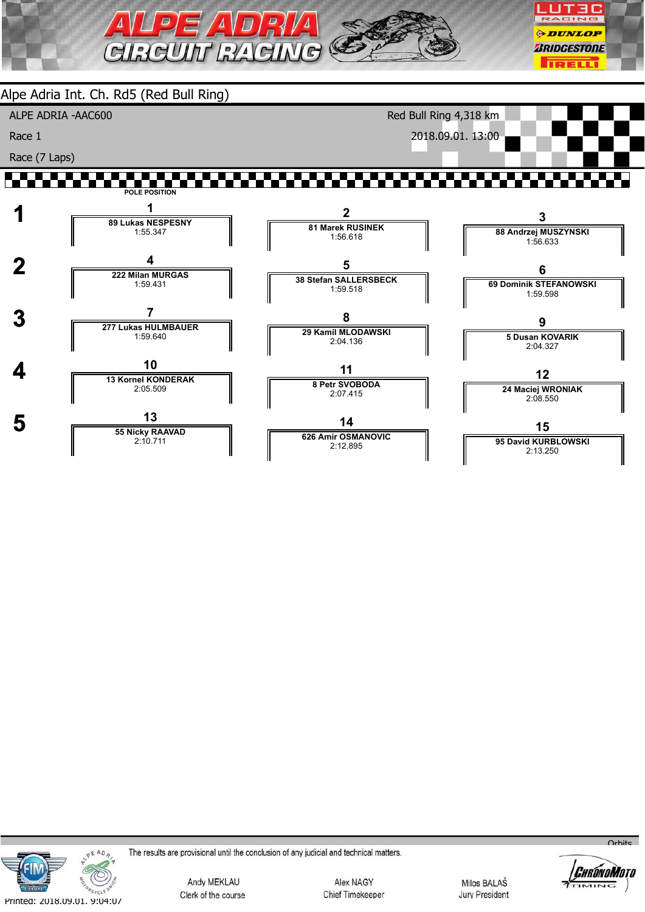

Alpe Adria Int. Ch. Rd5 (Red Bull Ring) ALPE ADRIA -AAC600 Race 1 Race (7 Laps) Red Bull Ring 4,318 km 2018.09.01. 13:00

#### ┢╃┪╀┪╀ ------**POLE POSITION**





The results are provisional until the conclusion of any judicial and technical matters.

Andy MEKLAU Clerk of the course

Alex NAGY Chief Timekeeper

Milos BALAŠ **Jury President** 



 $O<sub>r</sub>$ bits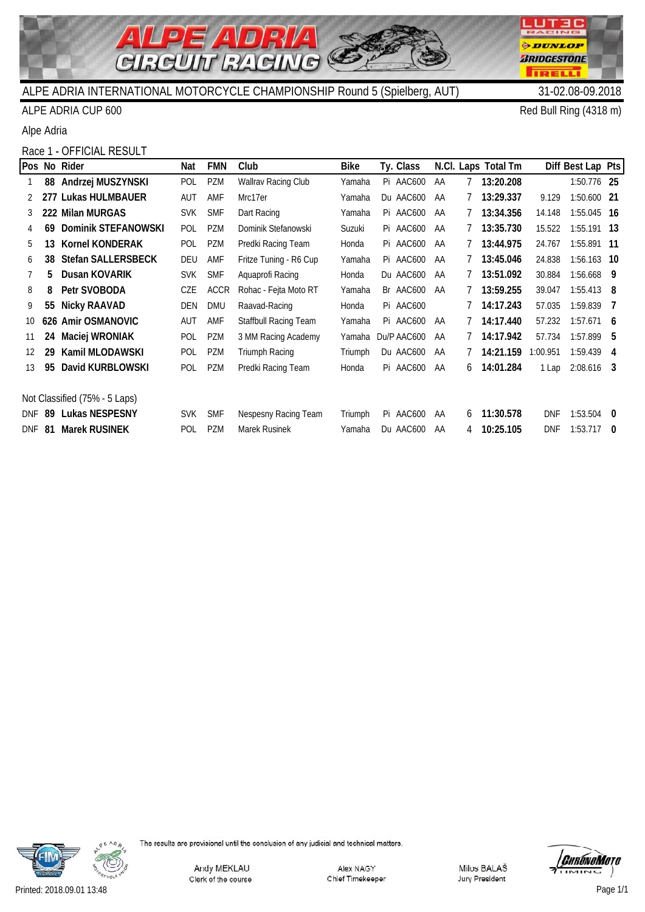

#### ALPE ADRIA CUP 600 Red Bull Ring (4318 m)

Alpe Adria

#### Race 1 - OFFICIAL RESULT

|     |     | Pos No Rider                  | Nat        | <b>FMN</b>  | Club                   | Bike    | Ty. Class   |    |             | N.Cl. Laps Total Tm |            | Diff Best Lap Pts |     |
|-----|-----|-------------------------------|------------|-------------|------------------------|---------|-------------|----|-------------|---------------------|------------|-------------------|-----|
|     | 88  | Andrzej MUSZYNSKI             | POL        | <b>PZM</b>  | Wallrav Racing Club    | Yamaha  | Pi AAC600   | AA | $7^{\circ}$ | 13:20.208           |            | 1:50.776 25       |     |
|     | 277 | Lukas HULMBAUER               | AUT        | AMF         | Mrc17er                | Yamaha  | Du AAC600   | AA |             | 13:29.337           | 9.129      | 1:50.600 21       |     |
| 3   |     | 222 Milan MURGAS              | <b>SVK</b> | <b>SMF</b>  | Dart Racing            | Yamaha  | Pi AAC600   | AA |             | 13:34.356           | 14.148     | 1:55.045 16       |     |
| 4   | 69  | Dominik STEFANOWSKI           | <b>POL</b> | <b>PZM</b>  | Dominik Stefanowski    | Suzuki  | Pi AAC600   | AA |             | 13:35.730           | 15.522     | 1:55.191 13       |     |
| 5   | 13  | <b>Kornel KONDERAK</b>        | POL        | <b>PZM</b>  | Predki Racing Team     | Honda   | Pi AAC600   | AA |             | 13:44.975           | 24.767     | 1:55.891 11       |     |
| 6   | 38  | <b>Stefan SALLERSBECK</b>     | DEU        | AMF         | Fritze Tuning - R6 Cup | Yamaha  | Pi AAC600   | AA |             | 13:45.046           | 24.838     | 1:56.163 10       |     |
|     | 5   | Dusan KOVARIK                 | <b>SVK</b> | <b>SMF</b>  | Aquaprofi Racing       | Honda   | Du AAC600   | AA |             | 13:51.092           | 30.884     | 1:56.668 9        |     |
| 8   | 8   | Petr SVOBODA                  | CZE        | <b>ACCR</b> | Rohac - Fejta Moto RT  | Yamaha  | Br AAC600   | AA |             | 13:59.255           | 39.047     | $1:55.413$ 8      |     |
| 9   | 55  | <b>Nicky RAAVAD</b>           | <b>DEN</b> | <b>DMU</b>  | Raavad-Racing          | Honda   | Pi AAC600   |    |             | 14:17.243           | 57.035     | 1:59.839          | - 7 |
| 10  |     | 626 Amir OSMANOVIC            | AUT        | AMF         | Staffbull Racing Team  | Yamaha  | Pi AAC600   | AA |             | 14:17.440           | 57.232     | $1:57.671$ 6      |     |
| 11  | 24  | Maciej WRONIAK                | POL        | PZM         | 3 MM Racing Academy    | Yamaha  | Du/P AAC600 | AA |             | 14:17.942           | 57.734     | 1:57.899          | - 5 |
| 12  | 29  | Kamil MLODAWSKI               | POL        | <b>PZM</b>  | Triumph Racing         | Triumph | Du AAC600   | AA |             | 14:21.159           | 1:00.951   | 1:59.439          | 4   |
| 13  | 95  | David KURBLOWSKI              | POL        | PZM         | Predki Racing Team     | Honda   | Pi AAC600   | AA | 6           | 14:01.284           | 1 Lap      | $2:08.616$ 3      |     |
|     |     |                               |            |             |                        |         |             |    |             |                     |            |                   |     |
|     |     | Not Classified (75% - 5 Laps) |            |             |                        |         |             |    |             |                     |            |                   |     |
| DNF | 89  | <b>Lukas NESPESNY</b>         | <b>SVK</b> | <b>SMF</b>  | Nespesny Racing Team   | Triumph | Pi AAC600   | AA | 6           | 11:30.578           | <b>DNF</b> | 1:53.504          | - 0 |
|     |     | DNF 81 Marek RUSINEK          | POL        | <b>PZM</b>  | Marek Rusinek          | Yamaha  | Du AAC600   | AA | 4           | 10:25.105           | <b>DNF</b> | 1:53.717          | - 0 |





LUTEC RACING

*DUNLOP* 

*BRIDGESTONE* 

**IRELLI**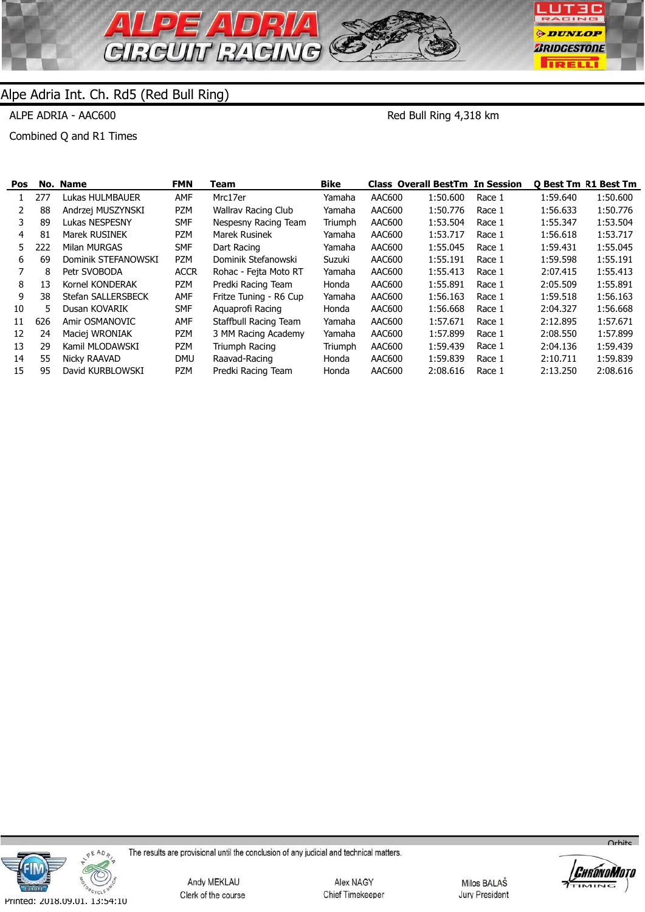

ALPE ADRIA - AAC600

Red Bull Ring 4,318 km

Combined Q and R1 Times

| <b>Pos</b> | No. | Name                | <b>FMN</b>  | Team                   | <b>Bike</b> |        | <b>Class Overall BestTm In Session</b> |        | <b>O Best Tm R1 Best Tm</b> |          |
|------------|-----|---------------------|-------------|------------------------|-------------|--------|----------------------------------------|--------|-----------------------------|----------|
|            | 277 | Lukas HULMBAUER     | <b>AMF</b>  | Mrc17er                | Yamaha      | AAC600 | 1:50.600                               | Race 1 | 1:59.640                    | 1:50.600 |
|            | 88  | Andrzej MUSZYNSKI   | PZM         | Wallrav Racing Club    | Yamaha      | AAC600 | 1:50.776                               | Race 1 | 1:56.633                    | 1:50.776 |
| 3          | 89  | Lukas NESPESNY      | <b>SMF</b>  | Nespesny Racing Team   | Triumph     | AAC600 | 1:53.504                               | Race 1 | 1:55.347                    | 1:53.504 |
| 4          | 81  | Marek RUSINEK       | PZM         | <b>Marek Rusinek</b>   | Yamaha      | AAC600 | 1:53.717                               | Race 1 | 1:56.618                    | 1:53.717 |
| 5.         | 222 | Milan MURGAS        | <b>SMF</b>  | Dart Racing            | Yamaha      | AAC600 | 1:55.045                               | Race 1 | 1:59.431                    | 1:55.045 |
| 6          | 69  | Dominik STEFANOWSKI | PZM         | Dominik Stefanowski    | Suzuki      | AAC600 | 1:55.191                               | Race 1 | 1:59.598                    | 1:55.191 |
|            | 8   | Petr SVOBODA        | <b>ACCR</b> | Rohac - Fejta Moto RT  | Yamaha      | AAC600 | 1:55.413                               | Race 1 | 2:07.415                    | 1:55.413 |
| 8          | 13  | Kornel KONDERAK     | PZM         | Predki Racing Team     | Honda       | AAC600 | 1:55.891                               | Race 1 | 2:05.509                    | 1:55.891 |
| 9          | 38  | Stefan SALLERSBECK  | AMF         | Fritze Tuning - R6 Cup | Yamaha      | AAC600 | 1:56.163                               | Race 1 | 1:59.518                    | 1:56.163 |
| 10         | 5.  | Dusan KOVARIK       | <b>SMF</b>  | Aguaprofi Racing       | Honda       | AAC600 | 1:56.668                               | Race 1 | 2:04.327                    | 1:56.668 |
| 11         | 626 | Amir OSMANOVIC      | <b>AMF</b>  | Staffbull Racing Team  | Yamaha      | AAC600 | 1:57.671                               | Race 1 | 2:12.895                    | 1:57.671 |
| 12         | 24  | Maciej WRONIAK      | PZM         | 3 MM Racing Academy    | Yamaha      | AAC600 | 1:57.899                               | Race 1 | 2:08.550                    | 1:57.899 |
| 13         | 29  | Kamil MLODAWSKI     | PZM         | Triumph Racing         | Triumph     | AAC600 | 1:59.439                               | Race 1 | 2:04.136                    | 1:59.439 |
| 14         | 55  | Nicky RAAVAD        | <b>DMU</b>  | Raavad-Racing          | Honda       | AAC600 | 1:59.839                               | Race 1 | 2:10.711                    | 1:59.839 |
| 15         | 95  | David KURBLOWSKI    | PZM         | Predki Racing Team     | Honda       | AAC600 | 2:08.616                               | Race 1 | 2:13.250                    | 2:08.616 |
|            |     |                     |             |                        |             |        |                                        |        |                             |          |



The results are provisional until the conclusion of any judicial and technical matters.

Andy MEKLAU Clerk of the course

Alex NAGY Chief Timekeeper

Milos BALAŠ Jury President



 $O<sub>r</sub>$ hite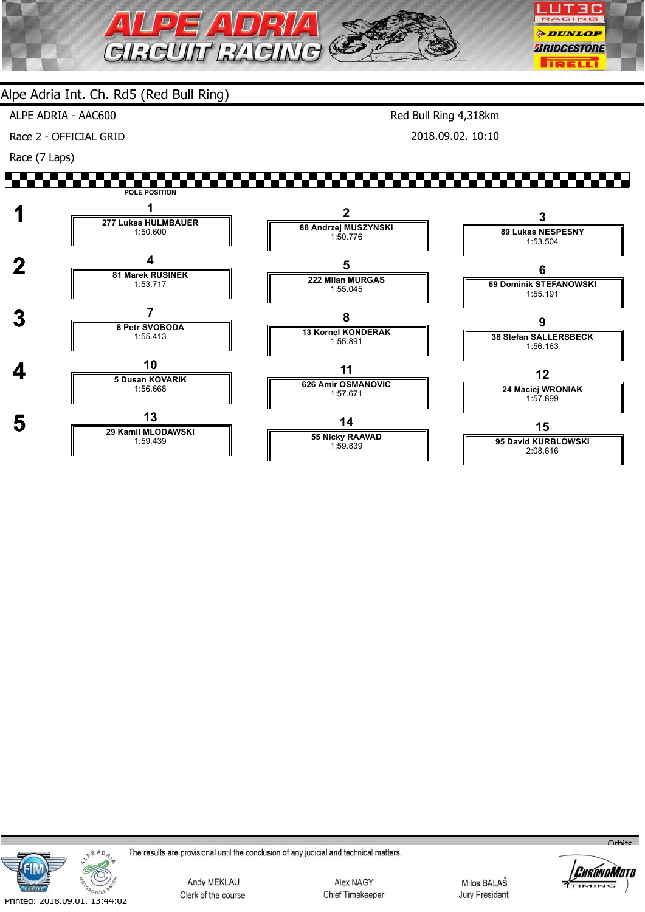

 **5 <sup>13</sup> 29 Kamil MLODAWSKI**

1:59.439

ALPE ADRIA - AAC600

Race 2 - OFFICIAL GRID

Race (7 Laps)

Red Bull Ring 4,318km 2018.09.02. 10:10

#### <u>TI TI TI TI TI TI TI T</u> ▞▚▚▚▘ **POLE POSITION 1 <sup>1</sup> 277 Lukas HULMBAUER 2 3 88 Andrzej MUSZYNSKI** 1:50.600 **89 Lukas NESPESNY** 1:50.776 1:53.504  **2 <sup>4</sup> 81 Marek RUSINEK 5 6 222 Milan MURGAS 69 Dominik STEFANOWSKI** 1:53.717 1:55.045 1:55.191  **3 <sup>7</sup> 8 Petr SVOBODA 8 9 13 Kornel KONDERAK 38 Stefan SALLERSBECK** 1:55.413 1:55.891 1:56.163 **4 10**<br> **5 Dusan KOVARIK 11 12 626 Amir OSMANOVIC 24 Maciej WRONIAK** 1:56.668 1:57.671 1:57.899

**14 55 Nicky RAAVAD** 1:59.839

**15**

**95 David KURBLOWSKI** 2:08.616



The results are provisional until the conclusion of any judicial and technical matters.

Andy MEKLAU Clerk of the course

Alex NAGY Chief Timekeeper

Milos BALAŠ **Jury President** 



 $O<sub>r</sub>$ hito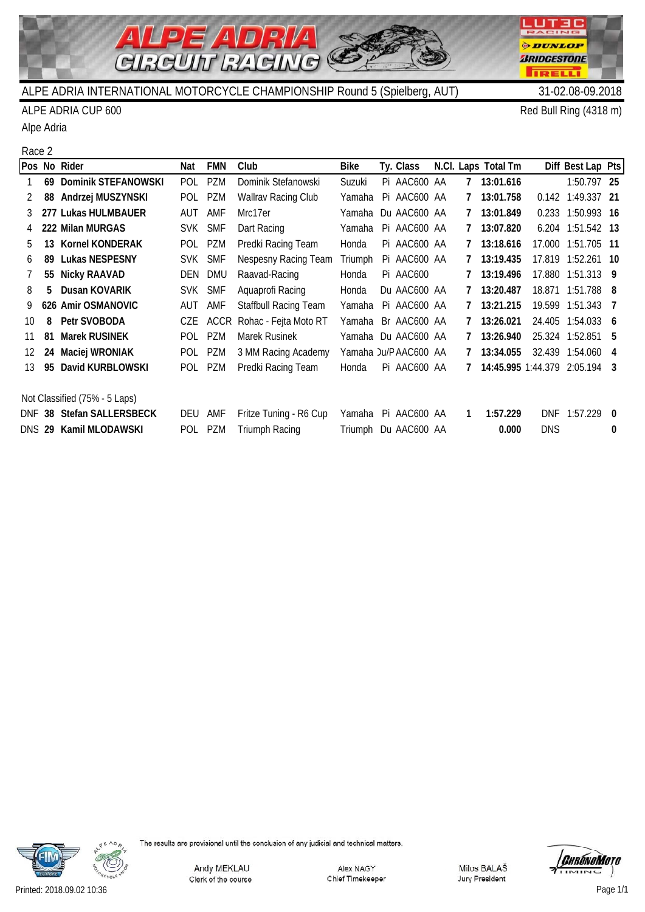

#### ALPE ADRIA CUP 600 Red Bull Ring (4318 m)

Alpe Adria

#### Race 2

|       |     | Pos No Rider                  | Nat        | <b>FMN</b> | Club                         | <b>Bike</b> | Ty. Class            |   | N.Cl. Laps Total Tm         |            | Diff Best Lap Pts |          |
|-------|-----|-------------------------------|------------|------------|------------------------------|-------------|----------------------|---|-----------------------------|------------|-------------------|----------|
|       | 69  | Dominik STEFANOWSKI           | POL.       | PZM        | Dominik Stefanowski          | Suzuki      | Pi AAC600 AA         | 7 | 13:01.616                   |            | 1:50.797 25       |          |
|       | 88  | Andrzej MUSZYNSKI             | POL        | PZM        | <b>Wallrav Racing Club</b>   | Yamaha      | Pi AAC600 AA         | 7 | 13:01.758                   | 0.142      | 1:49.337 21       |          |
| 3     |     | 277 Lukas HULMBAUER           | AUT        | AMF        | Mrc17er                      | Yamaha      | Du AAC600 AA         |   | 13:01.849                   | 0.233      | 1:50.993 16       |          |
| 4     |     | 222 Milan MURGAS              | <b>SVK</b> | <b>SMF</b> | Dart Racing                  | Yamaha      | Pi AAC600 AA         | 7 | 13:07.820                   |            | 6.204 1:51.542 13 |          |
| 5.    | 13  | <b>Kornel KONDERAK</b>        |            | POL PZM    | Predki Racing Team           | Honda       | Pi AAC600 AA         |   | 7 13:18.616                 | 17.000     | 1:51.705          | -11      |
| 6     | 89  | <b>Lukas NESPESNY</b>         | SVK SMF    |            | Nespesny Racing Team         | Triumph     | Pi AAC600 AA         |   | 13:19.435                   |            | 17.819 1:52.261   | - 10     |
|       |     | 55 Nicky RAAVAD               | DEN        | dmu        | Raavad-Racing                | Honda       | Pi AAC600            |   | 13:19.496                   | 17.880     | 1:51.313          | - 9      |
| 8     | 5.  | Dusan KOVARIK                 |            | SVK SMF    | Aquaprofi Racing             | Honda       | Du AAC600 AA         |   | 13:20.487                   |            | 18.871 1:51.788   | - 8      |
| 9     |     | 626 Amir OSMANOVIC            | AUT        | AMF        | <b>Staffbull Racing Team</b> | Yamaha      | Pi AAC600 AA         |   | 13:21.215                   | 19.599     | 1:51.343          | - 7      |
| 10    | 8   | Petr SVOBODA                  | CZE        | ACCR       | Rohac - Fejta Moto RT        | Yamaha      | Br AAC600 AA         |   | 13:26.021                   | 24.405     | 1:54.033          | - 6      |
| 11    | 81  | <b>Marek RUSINEK</b>          |            | POL PZM    | Marek Rusinek                | Yamaha      | Du AAC600 AA         |   | 13:26.940                   |            | 25.324 1:52.851   | -5       |
| 12    | 24  | Maciej WRONIAK                |            | POL PZM    | 3 MM Racing Academy          |             | Yamaha Ju/PAAC600 AA |   | 13:34.055                   | 32.439     | 1:54.060          | 4        |
| 13    | 95  | David KURBLOWSKI              |            | POL PZM    | Predki Racing Team           | Honda       | Pi AAC600 AA         |   | 14:45.995 1:44.379 2:05.194 |            |                   | -3       |
|       |     |                               |            |            |                              |             |                      |   |                             |            |                   |          |
|       |     | Not Classified (75% - 5 Laps) |            |            |                              |             |                      |   |                             |            |                   |          |
| DNF - | -38 | <b>Stefan SALLERSBECK</b>     | DEU        | AMF        | Fritze Tuning - R6 Cup       | Yamaha      | Pi AAC600 AA         | 1 | 1:57.229                    | <b>DNF</b> | 1:57.229          | - 0      |
|       |     | DNS 29 Kamil MLODAWSKI        |            | POL PZM    | <b>Triumph Racing</b>        |             | Triumph Du AAC600 AA |   | 0.000                       | DNS        |                   | $\bf{0}$ |





LUTEC RACING

*ODUNLOP* 

*BRIDGESTONE* 

**TRELL**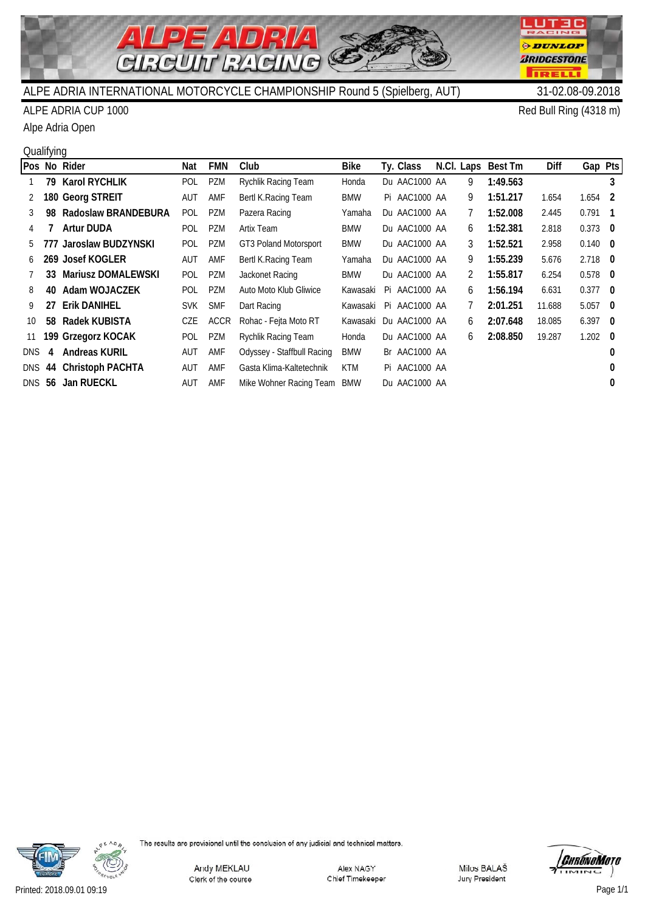

**LUT3C** RACING

**ODUNLOP** *BRIDGESTONE* 

**TRELLI** 

# ALPE ADRIA CUP 1000 Red Bull Ring (4318 m)

Alpe Adria Open

# **Qualifying**

|      |     | Pos No Rider               | Nat        | <b>FMN</b>  | Club                       | <b>Bike</b> | Ty. Class     |               | N.Cl. Laps Best Tm | Diff   | Gap Pts         |          |
|------|-----|----------------------------|------------|-------------|----------------------------|-------------|---------------|---------------|--------------------|--------|-----------------|----------|
|      | 79. | <b>Karol RYCHLIK</b>       | <b>POL</b> | PZM         | Rychlik Racing Team        | Honda       | Du AAC1000 AA | 9             | 1:49.563           |        |                 | 3        |
|      |     | 180 Georg STREIT           | AUT        | AMF         | Bertl K. Racing Team       | <b>BMW</b>  | Pi AAC1000 AA | 9             | 1:51.217           | 1.654  | 1.654 2         |          |
|      | 98. | <b>Radoslaw BRANDEBURA</b> | <b>POL</b> | PZM         | Pazera Racing              | Yamaha      | Du AAC1000 AA | 7             | 1:52.008           | 2.445  | 0.791           | - 1      |
|      |     | <b>Artur DUDA</b>          | <b>POL</b> | <b>PZM</b>  | Artix Team                 | <b>BMW</b>  | Du AAC1000 AA | 6             | 1:52.381           | 2.818  | $0.373$ 0       |          |
| 5.   |     | 777 Jaroslaw BUDZYNSKI     | <b>POL</b> | PZM         | GT3 Poland Motorsport      | <b>BMW</b>  | Du AAC1000 AA | 3             | 1:52.521           | 2.958  | $0.140 \quad 0$ |          |
| 6    |     | 269 Josef KOGLER           | AUT        | AMF         | Bertl K. Racing Team       | Yamaha      | Du AAC1000 AA | 9             | 1:55.239           | 5.676  | $2.718$ 0       |          |
|      | 33  | <b>Mariusz DOMALEWSKI</b>  | <b>POL</b> | PZM         | Jackonet Racing            | <b>BMW</b>  | Du AAC1000 AA | $\mathcal{L}$ | 1:55.817           | 6.254  | $0.578$ 0       |          |
| 8    | 40  | Adam WOJACZEK              | <b>POL</b> | <b>PZM</b>  | Auto Moto Klub Gliwice     | Kawasaki    | Pi AAC1000 AA | 6             | 1:56.194           | 6.631  | $0.377$ 0       |          |
| 9    | 27  | <b>Erik DANIHEL</b>        | <b>SVK</b> | <b>SMF</b>  | Dart Racing                | Kawasaki    | Pi AAC1000 AA | 7             | 2:01.251           | 11.688 | $5.057$ 0       |          |
| 10   |     | 58 Radek KUBISTA           | CZE        | <b>ACCR</b> | Rohac - Fejta Moto RT      | Kawasaki    | Du AAC1000 AA | 6             | 2:07.648           | 18.085 | $6.397$ 0       |          |
| 11   |     | 199 Grzegorz KOCAK         | <b>POL</b> | PZM         | Rychlik Racing Team        | Honda       | Du AAC1000 AA | 6             | 2:08.850           | 19.287 | $1.202 \quad 0$ |          |
| DNS. | 4   | <b>Andreas KURIL</b>       | aut        | AMF         | Odyssey - Staffbull Racing | <b>BMW</b>  | Br AAC1000 AA |               |                    |        |                 | 0        |
|      |     | DNS 44 Christoph PACHTA    | aut        | AMF         | Gasta Klima-Kaltetechnik   | <b>KTM</b>  | Pi AAC1000 AA |               |                    |        |                 | 0        |
| DNS  |     | 56 Jan RUECKL              | aut        | AMF         | Mike Wohner Racing Team    | BMW         | Du AAC1000 AA |               |                    |        |                 | $\bf{0}$ |
|      |     |                            |            |             |                            |             |               |               |                    |        |                 |          |



The results are provisional until the conclusion of any judicial and technical matters.

Andy MEKLAU Clerk of the course

Alex NAGY Chief Timekeeper

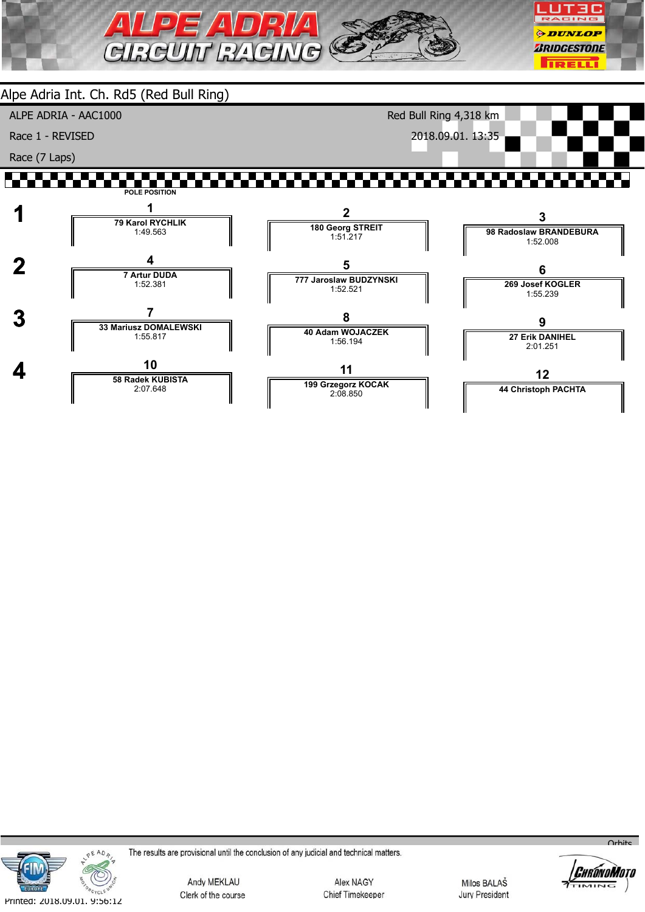





The results are provisional until the conclusion of any judicial and technical matters.

Andy MEKLAU Clerk of the course

Alex NAGY Chief Timekeeper

Milos BALAŠ **Jury President** 



 $O<sub>r</sub>$ hite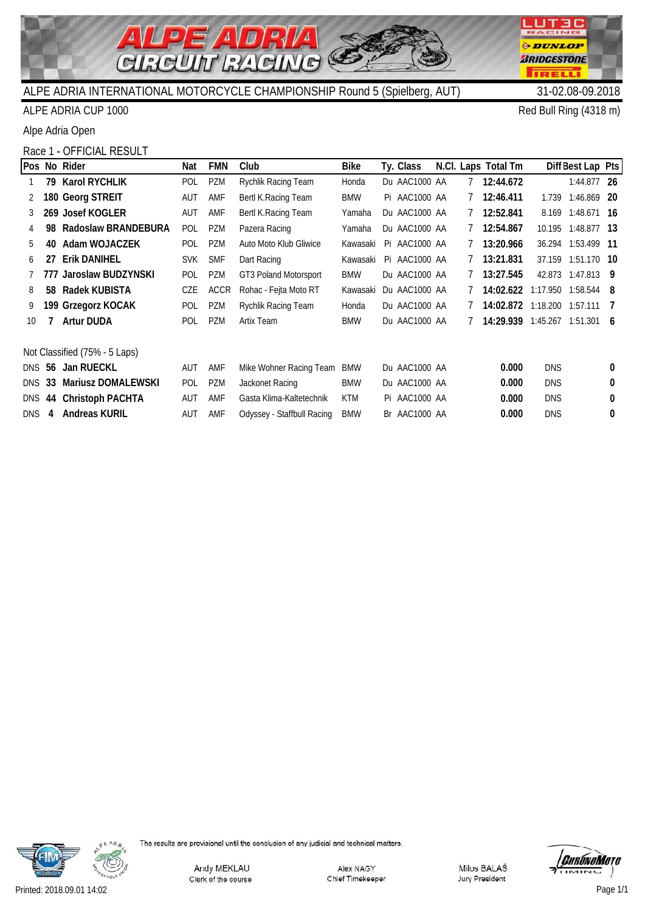

## ALPE ADRIA CUP 1000 Red Bull Ring (4318 m)

Alpe Adria Open

### Race 1 - OFFICIAL RESULT

|               |    | Pos No Rider                  | Nat        | <b>FMN</b>  | Club                       | <b>Bike</b> | Ty. Class     |             | N.Cl. Laps Total Tm           |            | Diff Best Lap Pts |          |
|---------------|----|-------------------------------|------------|-------------|----------------------------|-------------|---------------|-------------|-------------------------------|------------|-------------------|----------|
|               | 79 | Karol RYCHLIK                 | POL        | <b>PZM</b>  | Rychlik Racing Team        | Honda       | Du AAC1000 AA | 7           | 12:44.672                     |            | $1:44.877$ 26     |          |
| 2             |    | 180 Georg STREIT              | AUT        | AMF         | Bertl K. Racing Team       | BMW         | Pi AAC1000 AA | 7           | 12:46.411                     | 1.739      | 1:46.869 20       |          |
| 3             |    | 269 Josef KOGLER              | AUT        | AMF         | Bertl K. Racing Team       | Yamaha      | Du AAC1000 AA | 7           | 12:52.841                     |            | 8.169 1:48.671 16 |          |
|               | 98 | Radoslaw BRANDEBURA           | <b>POL</b> | <b>PZM</b>  | Pazera Racing              | Yamaha      | Du AAC1000 AA |             | 12:54.867                     | 10.195     | 1:48.877 13       |          |
| 5             | 40 | Adam WOJACZEK                 | POL        | <b>PZM</b>  | Auto Moto Klub Gliwice     | Kawasaki    | Pi AAC1000 AA |             | 13:20.966                     | 36.294     | 1:53.499 11       |          |
| 6             | 27 | <b>Erik DANIHEL</b>           | <b>SVK</b> | <b>SMF</b>  | Dart Racing                | Kawasaki    | Pi AAC1000 AA | $7^{\circ}$ | 13:21.831                     | 37.159     | 1:51.170 10       |          |
|               |    | 777 Jaroslaw BUDZYNSKI        | POL        | <b>PZM</b>  | GT3 Poland Motorsport      | <b>BMW</b>  | Du AAC1000 AA |             | 13:27.545                     | 42.873     | 1:47.813          | - 9      |
| 8             | 58 | Radek KUBISTA                 | CZE        | <b>ACCR</b> | Rohac - Fejta Moto RT      | Kawasaki    | Du AAC1000 AA |             | 14:02.622 1:17.950 1:58.544 8 |            |                   |          |
|               |    | 199 Grzegorz KOCAK            | <b>POL</b> | <b>PZM</b>  | Rychlik Racing Team        | Honda       | Du AAC1000 AA |             | 14:02.872 1:18.200 1:57.111   |            |                   |          |
| 10            |    | <b>Artur DUDA</b>             | <b>POL</b> | <b>PZM</b>  | Artix Team                 | <b>BMW</b>  | Du AAC1000 AA |             | 14:29.939 1:45.267            |            | 1:51.301          | 6        |
|               |    | Not Classified (75% - 5 Laps) |            |             |                            |             |               |             |                               |            |                   |          |
|               |    | DNS 56 Jan RUECKL             | AUT        | AMF         | Mike Wohner Racing Team    | <b>BMW</b>  | Du AAC1000 AA |             | 0.000                         | <b>DNS</b> |                   | 0        |
| <b>DNS 33</b> |    | <b>Mariusz DOMALEWSKI</b>     | <b>POL</b> | <b>PZM</b>  | Jackonet Racing            | <b>BMW</b>  | Du AAC1000 AA |             | 0.000                         | <b>DNS</b> |                   | $\Omega$ |
|               |    | DNS 44 Christoph PACHTA       | <b>AUT</b> | AMF         | Gasta Klima-Kaltetechnik   | <b>KTM</b>  | Pi AAC1000 AA |             | 0.000                         | <b>DNS</b> |                   | 0        |
| DNS           | 4  | <b>Andreas KURIL</b>          | AUT        | AMF         | Odyssey - Staffbull Racing | <b>BMW</b>  | Br AAC1000 AA |             | 0.000                         | <b>DNS</b> |                   | 0        |





**LUT3C** RACING

**ODUNLOP** *BRIDGESTONE* 

**TRELLI** 

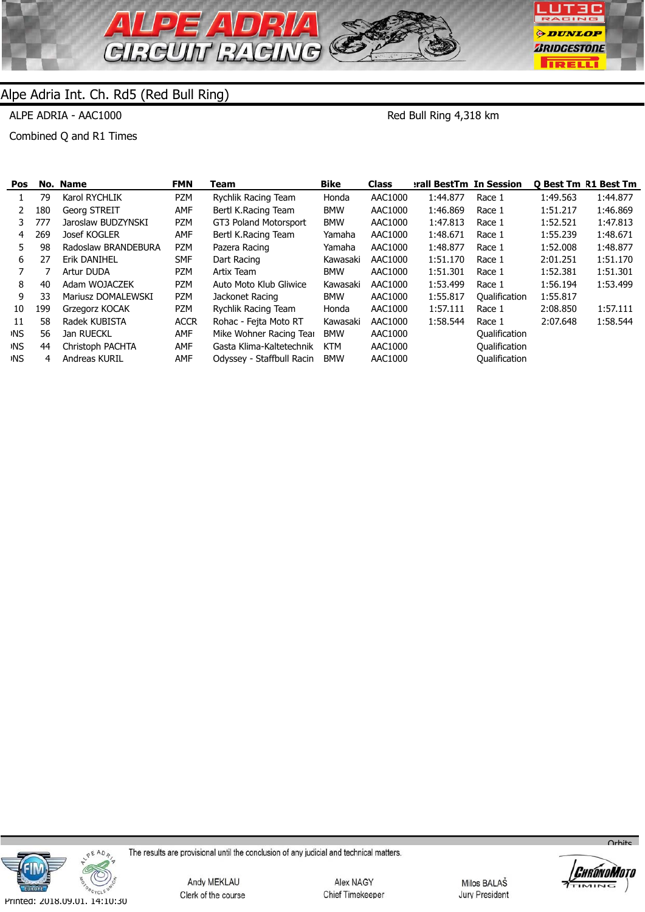

ALPE ADRIA - AAC1000

Red Bull Ring 4,318 km

Combined Q and R1 Times

| Pos        |     | No. Name            | <b>FMN</b>  | Геаm                      | <b>Bike</b> | <b>Class</b> | erall BestTm In Session |               |          | <b>O Best Tm R1 Best Tm</b> |
|------------|-----|---------------------|-------------|---------------------------|-------------|--------------|-------------------------|---------------|----------|-----------------------------|
|            | 79  | Karol RYCHLIK       | PZM         | Rychlik Racing Team       | Honda       | AAC1000      | 1:44.877                | Race 1        | 1:49.563 | 1:44.877                    |
| 2          | 180 | Georg STREIT        | AMF         | Bertl K.Racing Team       | <b>BMW</b>  | AAC1000      | 1:46.869                | Race 1        | 1:51.217 | 1:46.869                    |
| 3          | 777 | Jaroslaw BUDZYNSKI  | <b>PZM</b>  | GT3 Poland Motorsport     | <b>BMW</b>  | AAC1000      | 1:47.813                | Race 1        | 1:52.521 | 1:47.813                    |
| 4          | 269 | Josef KOGLER        | <b>AMF</b>  | Bertl K.Racing Team       | Yamaha      | AAC1000      | 1:48.671                | Race 1        | 1:55.239 | 1:48.671                    |
| 5.         | 98  | Radoslaw BRANDEBURA | <b>PZM</b>  | Pazera Racing             | Yamaha      | AAC1000      | 1:48.877                | Race 1        | 1:52.008 | 1:48.877                    |
| 6          | 27  | Erik DANIHEL        | <b>SMF</b>  | Dart Racing               | Kawasaki    | AAC1000      | 1:51.170                | Race 1        | 2:01.251 | 1:51.170                    |
|            |     | Artur DUDA          | PZM         | Artix Team                | <b>BMW</b>  | AAC1000      | 1:51.301                | Race 1        | 1:52.381 | 1:51.301                    |
| 8          | 40  | Adam WOJACZEK       | PZM         | Auto Moto Klub Gliwice    | Kawasaki    | AAC1000      | 1:53.499                | Race 1        | 1:56.194 | 1:53.499                    |
| 9          | 33  | Mariusz DOMALEWSKI  | <b>PZM</b>  | Jackonet Racing           | <b>BMW</b>  | AAC1000      | 1:55.817                | Qualification | 1:55.817 |                             |
| 10         | 199 | Grzegorz KOCAK      | PZM         | Rychlik Racing Team       | Honda       | AAC1000      | 1:57.111                | Race 1        | 2:08.850 | 1:57.111                    |
| 11         | 58  | Radek KUBISTA       | <b>ACCR</b> | Rohac - Fejta Moto RT     | Kawasaki    | AAC1000      | 1:58.544                | Race 1        | 2:07.648 | 1:58.544                    |
| ≀NS.       | 56  | Jan RUECKL          | <b>AMF</b>  | Mike Wohner Racing Tear   | <b>BMW</b>  | AAC1000      |                         | Qualification |          |                             |
| <b>INS</b> | 44  | Christoph PACHTA    | <b>AMF</b>  | Gasta Klima-Kaltetechnik  | <b>KTM</b>  | AAC1000      |                         | Qualification |          |                             |
| <b>INS</b> | 4   | Andreas KURIL       | AMF         | Odyssey - Staffbull Racin | <b>BMW</b>  | AAC1000      |                         | Qualification |          |                             |



The results are provisional until the conclusion of any judicial and technical matters.

Andy MEKLAU Clerk of the course

Alex NAGY Chief Timekeeper

Milos BALAŠ Jury President



 $O<sub>r</sub>$ hite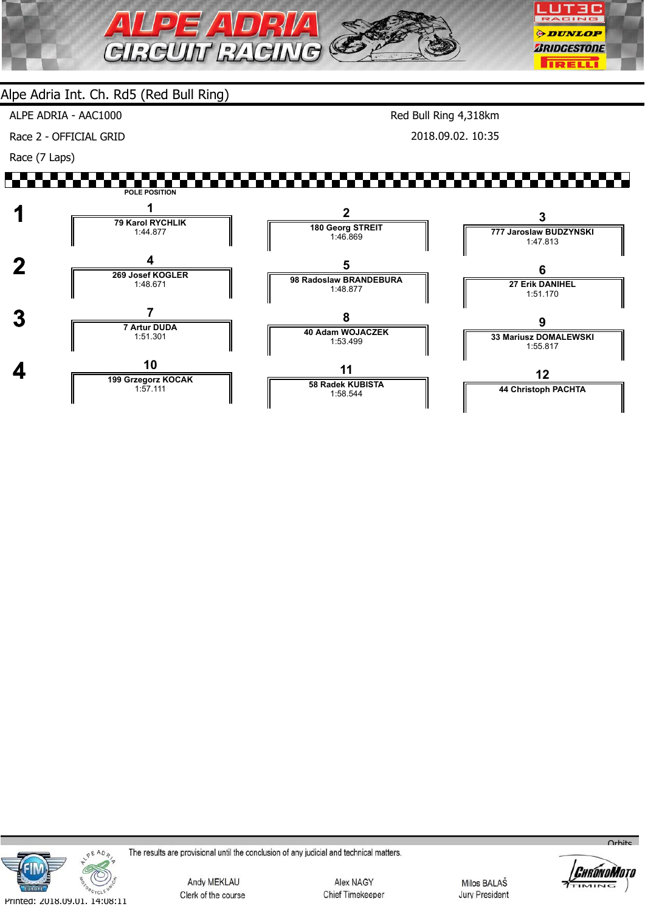

ALPE ADRIA - AAC1000

Race 2 - OFFICIAL GRID

Race (7 Laps)

Red Bull Ring 4,318km 2018.09.02. 10:35





The results are provisional until the conclusion of any judicial and technical matters.

Andy MEKLAU Clerk of the course

Alex NAGY Chief Timekeeper

Milos BALAŠ **Jury President** 



 $Q_{\text{r}}$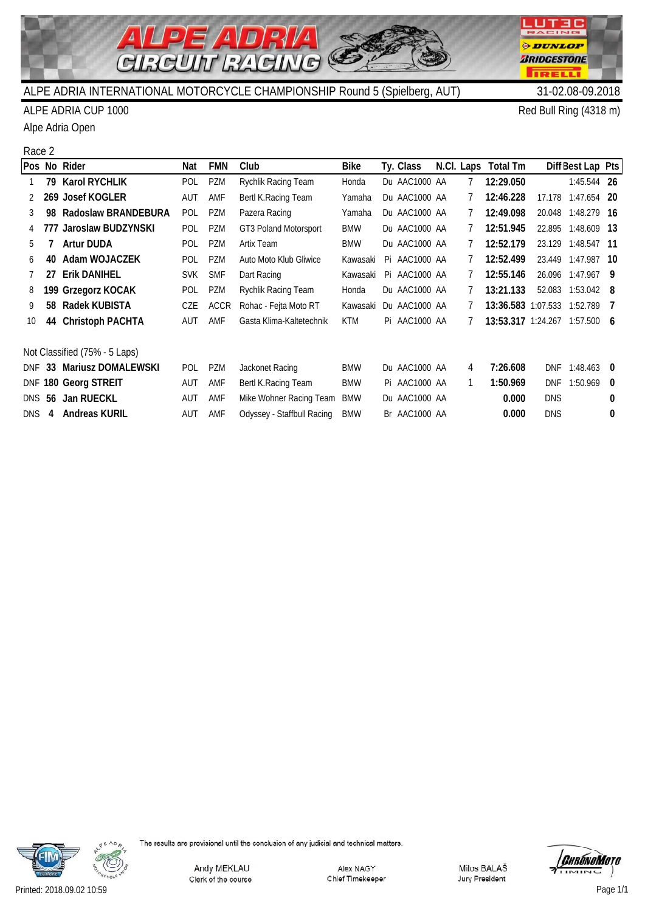

**LUT3C** RACING

**ODUNLOP** *BRIDGESTONE* 

**TRELLI** 

### ALPE ADRIA CUP 1000 Red Bull Ring (4318 m)

Alpe Adria Open

### Race 2

|               |    | Pos No Rider                  | Nat        | <b>FMN</b>  | Club                       | <b>Bike</b> | Ty. Class     |    | N.Cl. Laps Total Tm           |            | Diff Best Lap Pts  |              |
|---------------|----|-------------------------------|------------|-------------|----------------------------|-------------|---------------|----|-------------------------------|------------|--------------------|--------------|
|               | 79 | <b>Karol RYCHLIK</b>          | POL        | PZM         | Rychlik Racing Team        | Honda       | Du AAC1000 AA |    | 12:29.050                     |            | 1:45.544 26        |              |
|               |    | 269 Josef KOGLER              | aut        | AMF         | Bertl K. Racing Team       | Yamaha      | Du AAC1000 AA |    | 12:46.228                     | 17.178     | 1:47.654           | -20          |
| 3             | 98 | Radoslaw BRANDEBURA           | POL        | PZM         | Pazera Racing              | Yamaha      | Du AAC1000 AA |    | 12:49.098                     |            | 20.048 1:48.279 16 |              |
|               |    | 777 Jaroslaw BUDZYNSKI        | <b>POL</b> | PZM         | GT3 Poland Motorsport      | <b>BMW</b>  | Du AAC1000 AA |    | 12:51.945                     |            | 22.895 1:48.609 13 |              |
| 5.            |    | <b>Artur DUDA</b>             | <b>POL</b> | <b>PZM</b>  | Artix Team                 | <b>BMW</b>  | Du AAC1000 AA |    | 12:52.179                     | 23.129     | 1:48.547 11        |              |
| 6             | 40 | Adam WOJACZEK                 | POL        | <b>PZM</b>  | Auto Moto Klub Gliwice     | Kawasaki    | Pi AAC1000 AA | 7  | 12:52.499                     | 23.449     | 1:47.987           | - 10         |
|               | 27 | <b>Erik DANIHEL</b>           | <b>SVK</b> | <b>SMF</b>  | Dart Racing                | Kawasaki    | Pi AAC1000 AA |    | 12:55.146                     | 26.096     | 1:47.967           | - 9          |
| 8             |    | 199 Grzegorz KOCAK            | POL        | PZM         | Rychlik Racing Team        | Honda       | Du AAC1000 AA |    | 13:21.133                     |            | 52.083 1:53.042 8  |              |
| 9             | 58 | Radek KUBISTA                 | CZE        | <b>ACCR</b> | Rohac - Fejta Moto RT      | Kawasaki    | Du AAC1000 AA |    | 13:36.583 1:07.533 1:52.789   |            |                    | - 7          |
| 10            | 44 | <b>Christoph PACHTA</b>       | AUT        | AMF         | Gasta Klima-Kaltetechnik   | <b>KTM</b>  | Pi AAC1000 AA |    | 13:53.317 1:24.267 1:57.500 6 |            |                    |              |
|               |    |                               |            |             |                            |             |               |    |                               |            |                    |              |
|               |    | Not Classified (75% - 5 Laps) |            |             |                            |             |               |    |                               |            |                    |              |
| DNF           |    | 33 Mariusz DOMALEWSKI         | <b>POL</b> | PZM         | Jackonet Racing            | <b>BMW</b>  | Du AAC1000 AA | 4  | 7:26.608                      | <b>DNF</b> | 1:48.463           | - 0          |
|               |    | DNF 180 Georg STREIT          | AUT        | AMF         | Bertl K. Racing Team       | <b>BMW</b>  | Pi AAC1000 AA | 1. | 1:50.969                      | <b>DNF</b> | 1:50.969           | $\mathbf{0}$ |
| <b>DNS 56</b> |    | Jan RUECKL                    | <b>AUT</b> | AMF         | Mike Wohner Racing Team    | <b>BMW</b>  | Du AAC1000 AA |    | 0.000                         | <b>DNS</b> |                    | 0            |
| <b>DNS</b>    | 4  | <b>Andreas KURIL</b>          | AUT        | AMF         | Odyssey - Staffbull Racing | <b>BMW</b>  | Br AAC1000 AA |    | 0.000                         | <b>DNS</b> |                    | 0            |



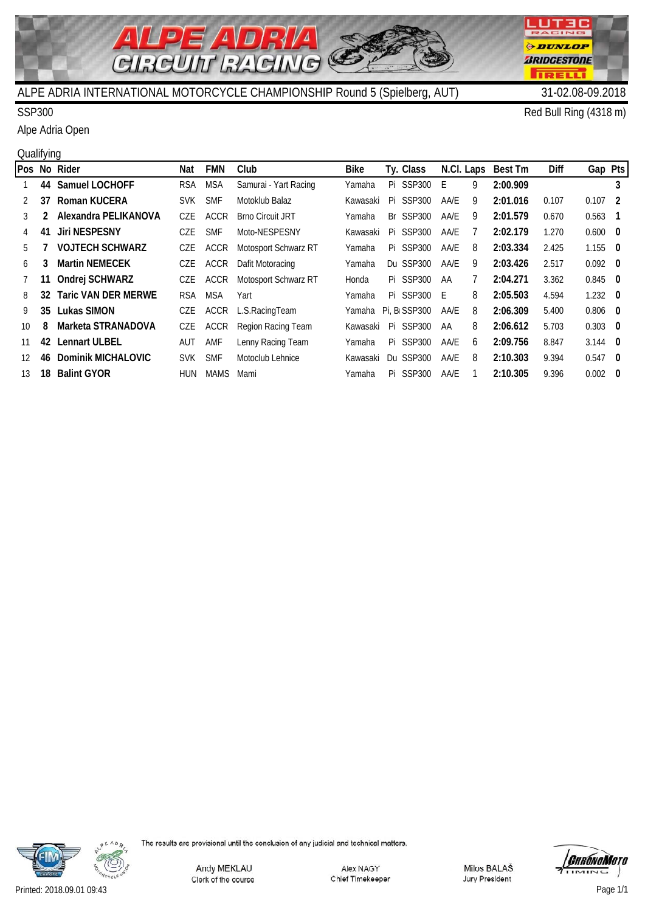

## SSP300 Red Bull Ring (4318 m)

Alpe Adria Open

#### **Qualifying**

|               |    | Pos No Rider               | Nat        | <b>FMN</b>  | Club                    | <b>Bike</b> | Ty. Class                 | N.Cl. Laps |   | <b>Best Tm</b> | <b>Diff</b> | Gap Pts         |                |
|---------------|----|----------------------------|------------|-------------|-------------------------|-------------|---------------------------|------------|---|----------------|-------------|-----------------|----------------|
|               | 44 | <b>Samuel LOCHOFF</b>      | <b>RSA</b> | <b>MSA</b>  | Samurai - Yart Racing   | Yamaha      | Pi SSP300                 | Ε          | 9 | 2:00.909       |             |                 | 3              |
| $\mathcal{P}$ | 37 | Roman KUCERA               | <b>SVK</b> | <b>SMF</b>  | Motoklub Balaz          | Kawasaki    | Pi SSP300                 | AA/E       | 9 | 2:01.016       | 0.107       | 0.107           | - 2            |
| 3             |    | Alexandra PELIKANOVA       | CZE        | <b>ACCR</b> | <b>Brno Circuit JRT</b> | Yamaha      | Br SSP300                 | AA/E       | 9 | 2:01.579       | 0.670       | 0.563           | $\blacksquare$ |
| 4             | 41 | Jiri NESPESNY              | <b>CZE</b> | <b>SMF</b>  | Moto-NESPESNY           | Kawasaki    | Pi SSP300                 | AA/E       |   | 2:02.179       | 1.270       | $0.600 \quad 0$ |                |
| 5             |    | <b>VOJTECH SCHWARZ</b>     | CZE        | <b>ACCR</b> | Motosport Schwarz RT    | Yamaha      | Pi SSP300                 | AA/E       | 8 | 2:03.334       | 2.425       | $1.155 \quad 0$ |                |
| 6             | 3  | <b>Martin NEMECEK</b>      | CZE        | <b>ACCR</b> | Dafit Motoracing        | Yamaha      | Du SSP300                 | AA/E       | 9 | 2:03.426       | 2.517       | $0.092 \quad 0$ |                |
| 7             |    | Ondrej SCHWARZ             | CZE        | <b>ACCR</b> | Motosport Schwarz RT    | Honda       | <b>Pi SSP300</b>          | AA         |   | 2:04.271       | 3.362       | $0.845$ 0       |                |
| 8             | 32 | <b>Taric VAN DER MERWE</b> | <b>RSA</b> | <b>MSA</b>  | Yart                    | Yamaha      | Pi SSP300                 | E          | 8 | 2:05.503       | 4.594       | $1.232 \quad 0$ |                |
| 9             | 35 | Lukas SIMON                | CZE        | <b>ACCR</b> | L.S.RacingTeam          | Yamaha      | Pi. B <sub>I</sub> SSP300 | AA/E       | 8 | 2:06.309       | 5.400       | $0.806$ 0       |                |
| 10            | 8  | Marketa STRANADOVA         | CZE        | <b>ACCR</b> | Region Racing Team      | Kawasaki    | <b>Pi SSP300</b>          | AA         | 8 | 2:06.612       | 5.703       | $0.303$ 0       |                |
| 11            | 42 | Lennart ULBEL              | AUT        | AMF         | Lenny Racing Team       | Yamaha      | Pi SSP300                 | AA/E       | 6 | 2:09.756       | 8.847       | $3.144$ 0       |                |
| 12            | 46 | <b>Dominik MICHALOVIC</b>  | <b>SVK</b> | <b>SMF</b>  | Motoclub Lehnice        | Kawasaki    | Du SSP300                 | AA/E       | 8 | 2:10.303       | 9.394       | $0.547$ 0       |                |
| 13            | 18 | <b>Balint GYOR</b>         | <b>HUN</b> | <b>MAMS</b> | Mami                    | Yamaha      | Pi SSP300                 | AA/E       |   | 2:10.305       | 9.396       | 0.002           | - 0            |



The results are provisional until the conclusion of any judicial and technical matters.

Andy MEKLAU Clerk of the course

Alex NAGY Chief Timekeeper

Milos BALAŠ Jury President



ACING

г

Printed: 2018.09.01 09:43 Page 1/1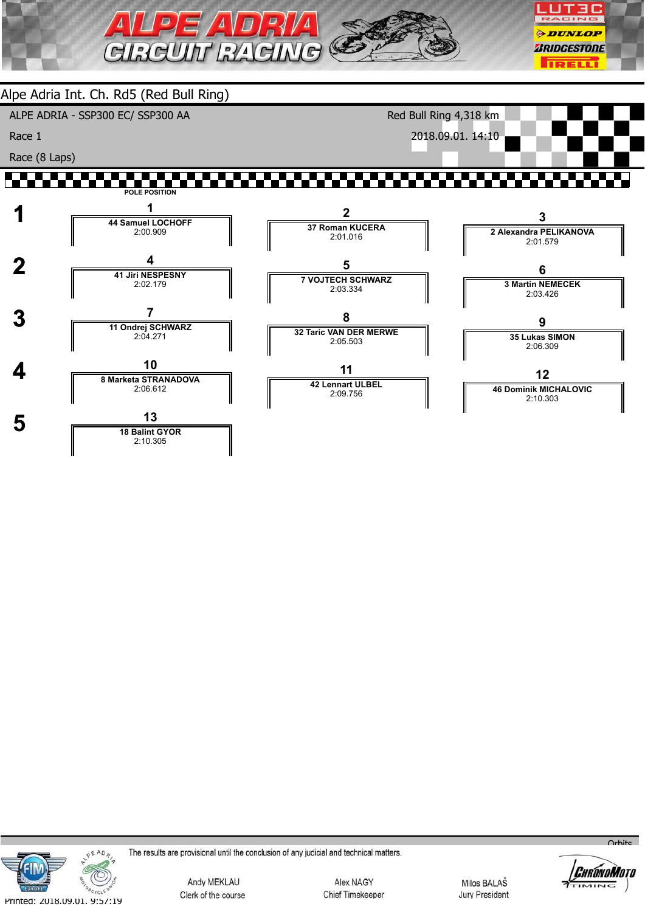

**11 42 Lennart ULBEL** 2:09.756



 **4 <sup>10</sup> 8 Marketa STRANADOVA**

 **5 <sup>13</sup> 18 Balint GYOR**

2:06.612

2:10.305

The results are provisional until the conclusion of any judicial and technical matters.

Andy MEKLAU Clerk of the course

Alex NAGY Chief Timekeeper

Milos BALAŠ **Jury President** 



 $O<sub>r</sub>$ hite

**12 46 Dominik MICHALOVIC** 2:10.303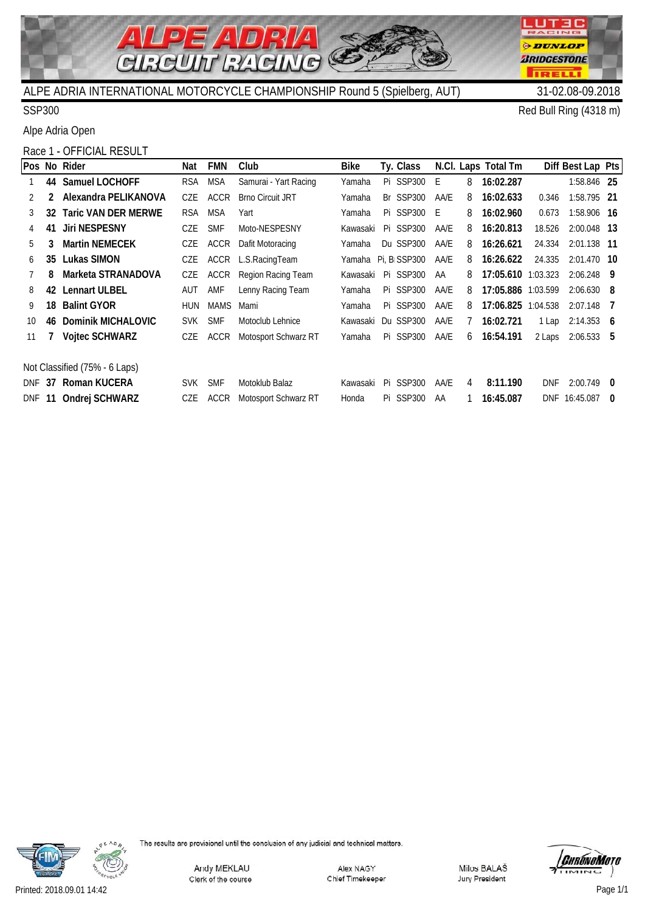

 $\boldsymbol{\Delta}$ 

**LUT3C** RACING

**ODUNLOP** *BRIDGESTONE* 

**TRELL** 

SSP300 Red Bull Ring (4318 m)

Alpe Adria Open

# Race 1 - OFFICIAL RESULT

|               |    | Pos No Rider                  | Nat        | <b>FMN</b>  | Club                    | <b>Bike</b> | Ty. Class                 |      |   | N.Cl. Laps Total Tm |            | Diff Best Lap Pts |     |
|---------------|----|-------------------------------|------------|-------------|-------------------------|-------------|---------------------------|------|---|---------------------|------------|-------------------|-----|
|               |    | 44 Samuel LOCHOFF             | RSA        | <b>MSA</b>  | Samurai - Yart Racing   | Yamaha      | Pi SSP300                 | E    | 8 | 16:02.287           |            | 1:58.846 25       |     |
| $\mathcal{P}$ | 2  | Alexandra PELIKANOVA          | CZE        | <b>ACCR</b> | <b>Brno Circuit JRT</b> | Yamaha      | Br SSP300                 | AA/E | 8 | 16:02.633           | 0.346      | 1:58.795 21       |     |
| 3             |    | 32 Taric VAN DER MERWE        | <b>RSA</b> | <b>MSA</b>  | Yart                    | Yamaha      | Pi SSP300 E               |      | 8 | 16:02.960           | 0.673      | 1:58.906 16       |     |
| 4             | 41 | <b>Jiri NESPESNY</b>          | CZE        | <b>SMF</b>  | Moto-NESPESNY           | Kawasaki    | Pi SSP300                 | AA/E | 8 | 16:20.813           | 18.526     | 2:00.048 13       |     |
| 5             | 3  | <b>Martin NEMECEK</b>         | CZE        | ACCR        | Dafit Motoracing        | Yamaha      | Du SSP300                 | AA/E | 8 | 16:26.621           | 24.334     | 2:01.138 11       |     |
| 6             | 35 | Lukas SIMON                   | CZE        | ACCR        | L.S.RacingTeam          | Yamaha      | Pi, B <sub>i</sub> SSP300 | AA/E | 8 | 16:26.622           | 24.335     | 2:01.470 10       |     |
|               | 8  | Marketa STRANADOVA            | CZE        | ACCR        | Region Racing Team      | Kawasaki    | Pi SSP300                 | AA   | 8 | 17:05.610 1:03.323  |            | $2:06.248$ 9      |     |
| 8             | 42 | <b>Lennart ULBEL</b>          | AUT        | AMF         | Lenny Racing Team       | Yamaha      | Pi SSP300                 | AA/E | 8 | 17:05.886 1:03.599  |            | $2:06.630$ 8      |     |
| 9             | 18 | <b>Balint GYOR</b>            | HUN        | <b>MAMS</b> | Mami                    | Yamaha      | Pi SSP300                 | AA/E | 8 | 17:06.825           | 1:04.538   | $2:07.148$ 7      |     |
| 10            | 46 | Dominik MICHALOVIC            | SVK.       | <b>SMF</b>  | Motoclub Lehnice        | Kawasaki    | Du SSP300                 | AA/E |   | 16:02.721           | 1 Lap      | $2:14.353$ 6      |     |
| 11            |    | <b>Vojtec SCHWARZ</b>         | CZE        | ACCR        | Motosport Schwarz RT    | Yamaha      | Pi SSP300                 | AA/E | 6 | 16:54.191           | 2 Laps     | $2:06.533$ 5      |     |
|               |    |                               |            |             |                         |             |                           |      |   |                     |            |                   |     |
|               |    | Not Classified (75% - 6 Laps) |            |             |                         |             |                           |      |   |                     |            |                   |     |
| DNF           |    | 37 Roman KUCERA               | <b>SVK</b> | <b>SMF</b>  | Motoklub Balaz          | Kawasaki    | Pi SSP300                 | AA/E | 4 | 8:11.190            | <b>DNF</b> | $2:00.749$ 0      |     |
| <b>DNF</b>    | 11 | Ondrej SCHWARZ                | CZE        | <b>ACCR</b> | Motosport Schwarz RT    | Honda       | Pi SSP300                 | AA   |   | 16:45.087           | <b>DNF</b> | 16:45.087         | - 0 |

 $\mathbb{C}$ 



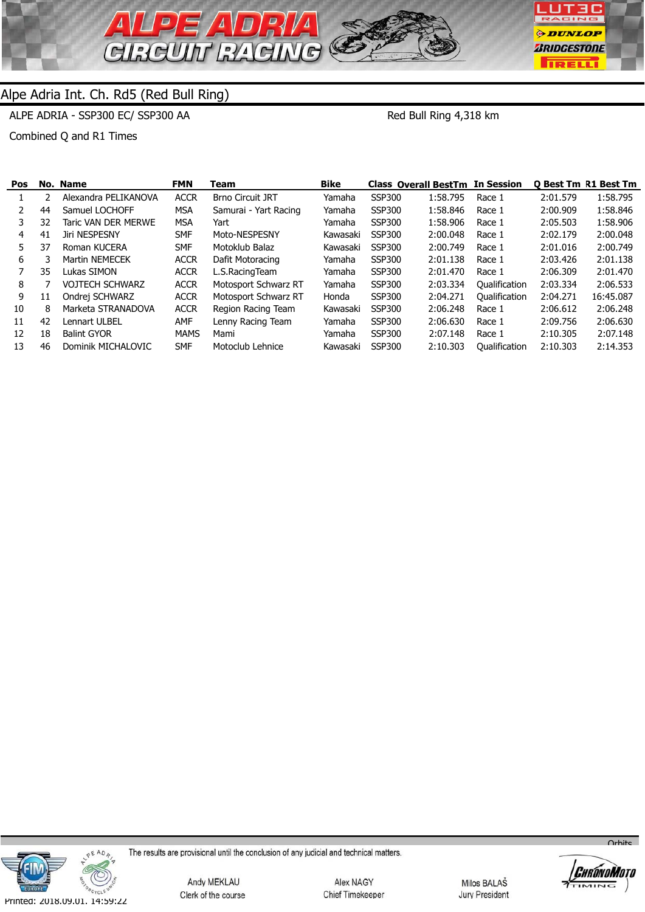

ALPE ADRIA - SSP300 EC/ SSP300 AA

Red Bull Ring 4,318 km

Combined Q and R1 Times

| Pos |    | No. Name               | <b>FMN</b>  | Team                    | <b>Bike</b> | <b>Class Overall BestTm In Session</b> |          |                      |          | <b>O Best Tm R1 Best Tm</b> |
|-----|----|------------------------|-------------|-------------------------|-------------|----------------------------------------|----------|----------------------|----------|-----------------------------|
|     |    | Alexandra PELIKANOVA   | <b>ACCR</b> | <b>Brno Circuit JRT</b> | Yamaha      | <b>SSP300</b>                          | 1:58.795 | Race 1               | 2:01.579 | 1:58.795                    |
|     | 44 | Samuel LOCHOFF         | MSA         | Samurai - Yart Racing   | Yamaha      | <b>SSP300</b>                          | 1:58.846 | Race 1               | 2:00.909 | 1:58.846                    |
| 3   | 32 | Taric VAN DER MERWE    | MSA         | Yart                    | Yamaha      | <b>SSP300</b>                          | 1:58.906 | Race 1               | 2:05.503 | 1:58.906                    |
| 4   | 41 | Jiri NESPESNY          | <b>SMF</b>  | Moto-NESPESNY           | Kawasaki    | <b>SSP300</b>                          | 2:00.048 | Race 1               | 2:02.179 | 2:00.048                    |
| 5.  | 37 | Roman KUCERA           | <b>SMF</b>  | Motoklub Balaz          | Kawasaki    | <b>SSP300</b>                          | 2:00.749 | Race 1               | 2:01.016 | 2:00.749                    |
| 6   |    | Martin NEMECEK         | <b>ACCR</b> | Dafit Motoracing        | Yamaha      | <b>SSP300</b>                          | 2:01.138 | Race 1               | 2:03.426 | 2:01.138                    |
|     | 35 | Lukas SIMON            | <b>ACCR</b> | L.S.RacingTeam          | Yamaha      | <b>SSP300</b>                          | 2:01.470 | Race 1               | 2:06.309 | 2:01.470                    |
| 8   |    | <b>VOJTECH SCHWARZ</b> | <b>ACCR</b> | Motosport Schwarz RT    | Yamaha      | <b>SSP300</b>                          | 2:03.334 | Oualification        | 2:03.334 | 2:06.533                    |
| 9   | 11 | Ondrej SCHWARZ         | <b>ACCR</b> | Motosport Schwarz RT    | Honda       | <b>SSP300</b>                          | 2:04.271 | <b>Qualification</b> | 2:04.271 | 16:45.087                   |
| 10  | 8  | Marketa STRANADOVA     | <b>ACCR</b> | Region Racing Team      | Kawasaki    | <b>SSP300</b>                          | 2:06.248 | Race 1               | 2:06.612 | 2:06.248                    |
| 11  | 42 | Lennart ULBEL          | AMF         | Lenny Racing Team       | Yamaha      | <b>SSP300</b>                          | 2:06.630 | Race 1               | 2:09.756 | 2:06.630                    |
| 12  | 18 | <b>Balint GYOR</b>     | <b>MAMS</b> | Mami                    | Yamaha      | <b>SSP300</b>                          | 2:07.148 | Race 1               | 2:10.305 | 2:07.148                    |
| 13  | 46 | Dominik MICHALOVIC     | <b>SMF</b>  | Motoclub Lehnice        | Kawasaki    | <b>SSP300</b>                          | 2:10.303 | <b>Qualification</b> | 2:10.303 | 2:14.353                    |



The results are provisional until the conclusion of any judicial and technical matters.

Andy MEKLAU Clerk of the course

Alex NAGY Chief Timekeeper

Milos BALAŠ Jury President



 $\overline{O}$ rhite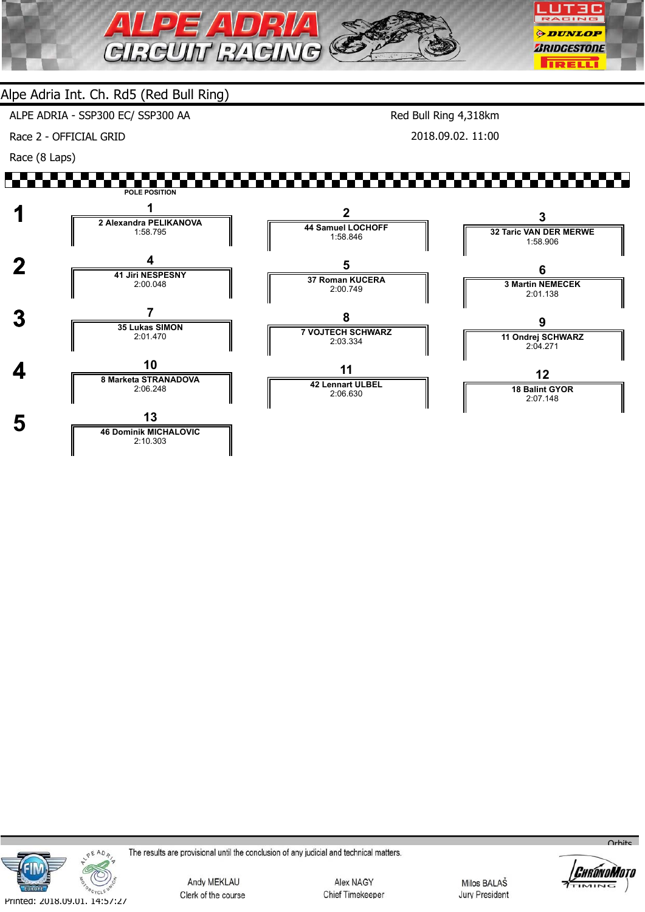

ALPE ADRIA - SSP300 EC/ SSP300 AA

Race 2 - OFFICIAL GRID

Race (8 Laps)

Red Bull Ring 4,318km

2018.09.02. 11:00

#### ▞▚▚▚▘ **POLE POSITION 1 <sup>1</sup> 2 Alexandra PELIKANOVA 2 3 44 Samuel LOCHOFF 32 Taric VAN DER MERWE** 1:58.795 1:58.846 1:58.906  **2 <sup>4</sup> 41 Jiri NESPESNY 5 6 37 Roman KUCERA 3 Martin NEMECEK** 2:00.048 2:00.749 2:01.138  **3 <sup>7</sup> 35 Lukas SIMON 8 9 7 VOJTECH SCHWARZ 11 Ondrej SCHWARZ** 2:01.470 2:03.334 2:04.271  **4 <sup>10</sup> 8 Marketa STRANADOVA 11 12 42 Lennart ULBEL 18 Balint GYOR** 2:06.248 2:06.630 2:07.148 **5 13**<br> **146 Dominik MICHALOVIC** 2:10.303



The results are provisional until the conclusion of any judicial and technical matters.

Andy MEKLAU Clerk of the course

Alex NAGY Chief Timekeeper

Milos BALAŠ **Jury President** 



 $O<sub>r</sub>$ hito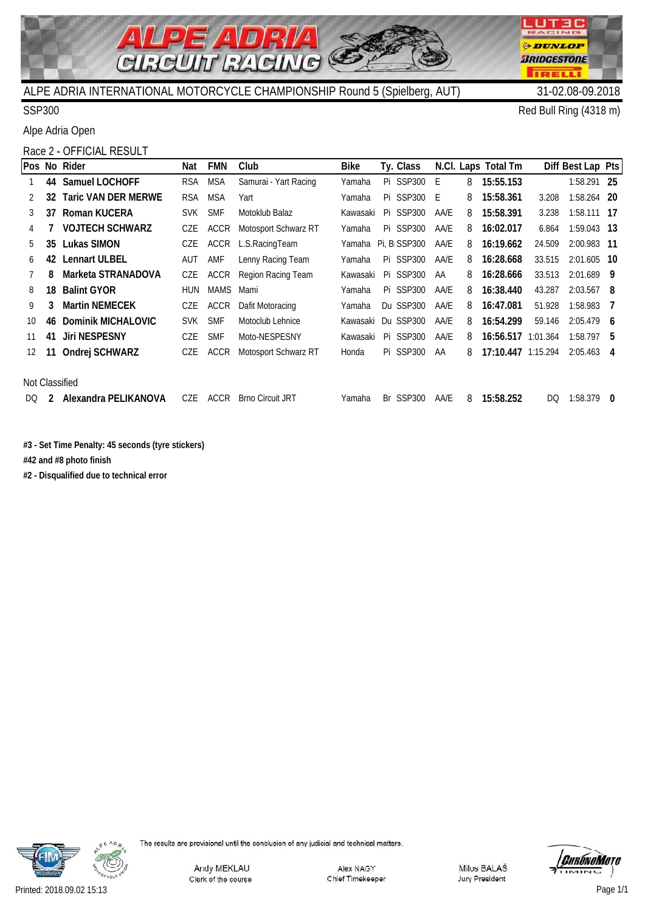

 $\overline{\mathbf{A}}$ 

SSP300 Red Bull Ring (4318 m)

**UTEC** 

**ODUNLOP** *BRIDGESTONE* 

**TRELL** 

CING

п

Alpe Adria Open

# Race 2 - OFFICIAL RESULT

|                |    | Pos No Rider               | Nat        | <b>FMN</b>  | Club                    | <b>Bike</b> |    | Ty. Class                 |      |   | N.Cl. Laps Total Tm |        | Diff Best Lap Pts |  |
|----------------|----|----------------------------|------------|-------------|-------------------------|-------------|----|---------------------------|------|---|---------------------|--------|-------------------|--|
|                | 44 | Samuel LOCHOFF             | <b>RSA</b> | MSA         | Samurai - Yart Racing   | Yamaha      |    | Pi SSP300                 | E    | 8 | 15:55.153           |        | 1:58.291 25       |  |
|                | 32 | <b>Taric VAN DER MERWE</b> | <b>RSA</b> | <b>MSA</b>  | Yart                    | Yamaha      |    | Pi SSP300 E               |      | 8 | 15:58.361           | 3.208  | 1:58.264 20       |  |
|                | 37 | Roman KUCERA               | <b>SVK</b> | <b>SMF</b>  | Motoklub Balaz          | Kawasaki    |    | Pi SSP300                 | AA/E | 8 | 15:58.391           | 3.238  | $1:58.111$ 17     |  |
| 4              |    | <b>VOJTECH SCHWARZ</b>     | CZE        | <b>ACCR</b> | Motosport Schwarz RT    | Yamaha      |    | Pi SSP300                 | AA/E | 8 | 16:02.017           | 6.864  | $1:59.043$ 13     |  |
| 5              | 35 | <b>Lukas SIMON</b>         | CZE        | ACCR        | L.S.RacingTeam          | Yamaha      |    | Pi, B <sub>I</sub> SSP300 | AA/E | 8 | 16:19.662           | 24.509 | 2:00.983 11       |  |
| 6              | 42 | <b>Lennart ULBEL</b>       | AUT        | AMF         | Lenny Racing Team       | Yamaha      |    | Pi SSP300                 | AA/E | 8 | 16:28.668           | 33.515 | $2:01.605$ 10     |  |
|                | 8  | Marketa STRANADOVA         | CZE        | <b>ACCR</b> | Region Racing Team      | Kawasaki    |    | Pi SSP300                 | AA   | 8 | 16:28.666           | 33.513 | $2:01.689$ 9      |  |
| 8              | 18 | <b>Balint GYOR</b>         | <b>HUN</b> | <b>MAMS</b> | Mami                    | Yamaha      |    | Pi SSP300                 | AA/E | 8 | 16:38.440           | 43.287 | $2:03.567$ 8      |  |
| 9              | 3  | <b>Martin NEMECEK</b>      | <b>CZE</b> | ACCR        | Dafit Motoracing        | Yamaha      |    | Du SSP300                 | AA/E | 8 | 16:47.081           | 51.928 | $1:58.983$ 7      |  |
| $10^{\circ}$   | 46 | Dominik MICHALOVIC         | <b>SVK</b> | <b>SMF</b>  | Motoclub Lehnice        | Kawasaki    |    | Du SSP300                 | AA/E | 8 | 16:54.299           | 59.146 | $2:05.479$ 6      |  |
| 11             | 41 | <b>Jiri NESPESNY</b>       | CZE        | <b>SMF</b>  | Moto-NESPESNY           | Kawasaki    |    | Pi SSP300                 | AA/E | 8 | 16:56.517 1:01.364  |        | $1:58.797$ 5      |  |
| 12.            | 11 | Ondrej SCHWARZ             | CZE        | ACCR        | Motosport Schwarz RT    | Honda       |    | Pi SSP300                 | AA   | 8 | 17:10.447 1:15.294  |        | $2:05.463$ 4      |  |
|                |    |                            |            |             |                         |             |    |                           |      |   |                     |        |                   |  |
| Not Classified |    |                            |            |             |                         |             |    |                           |      |   |                     |        |                   |  |
| DO.            | 2  | Alexandra PELIKANOVA       | CZE        | ACCR        | <b>Brno Circuit JRT</b> | Yamaha      | Br | <b>SSP300</b>             | AA/E | 8 | 15:58.252           | DQ.    | $1:58.379$ 0      |  |
|                |    |                            |            |             |                         |             |    |                           |      |   |                     |        |                   |  |

C

**#3 - Set Time Penalty: 45 seconds (tyre stickers)**

**#42 and #8 photo finish**

**#2 - Disqualified due to technical error**



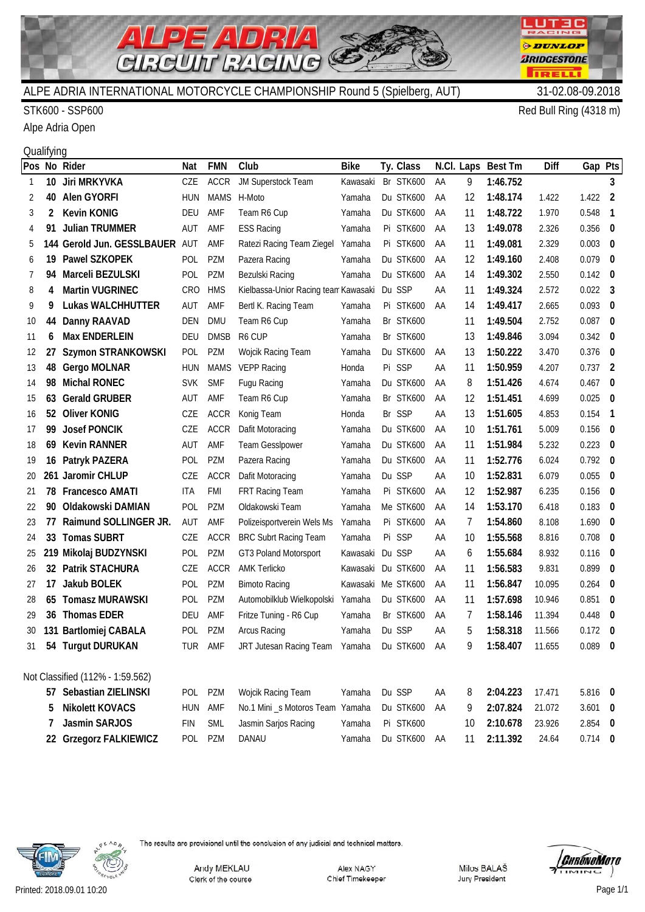

#### STK600 - SSP600 Red Bull Ring (4318 m)

Alpe Adria Open

# **Qualifying**

|    |                | Pos No Rider                     | Nat        | <b>FMN</b>  | Club                                 | <b>Bike</b>        | Ty. Class |    | N.Cl. Laps | Best Tm  | Diff   | Gap Pts   |                          |
|----|----------------|----------------------------------|------------|-------------|--------------------------------------|--------------------|-----------|----|------------|----------|--------|-----------|--------------------------|
| -1 |                | 10 Jiri MRKYVKA                  | CZE        | <b>ACCR</b> | JM Superstock Team                   | Kawasaki           | Br STK600 | AA | 9          | 1:46.752 |        |           | 3                        |
| 2  | 40             | Alen GYORFI                      | <b>HUN</b> | <b>MAMS</b> | H-Moto                               | Yamaha             | Du STK600 | AA | 12         | 1:48.174 | 1.422  | $1.422$ 2 |                          |
| 3  | $\overline{2}$ | <b>Kevin KONIG</b>               | DEU        | AMF         | Team R6 Cup                          | Yamaha             | Du STK600 | AA | 11         | 1:48.722 | 1.970  | 0.548     | $\overline{1}$           |
| 4  | 91             | <b>Julian TRUMMER</b>            | AUT        | AMF         | <b>ESS Racing</b>                    | Yamaha             | Pi STK600 | AA | 13         | 1:49.078 | 2.326  | 0.356     | $\overline{\phantom{0}}$ |
| 5  |                | 144 Gerold Jun. GESSLBAUER       | AUT        | AMF         | Ratezi Racing Team Ziegel            | Yamaha             | Pi STK600 | AA | 11         | 1:49.081 | 2.329  | 0.003     | $\bf{0}$                 |
| 6  | 19.            | Pawel SZKOPEK                    | <b>POL</b> | <b>PZM</b>  | Pazera Racing                        | Yamaha             | Du STK600 | AA | 12         | 1:49.160 | 2.408  | 0.079     | $\overline{\phantom{0}}$ |
| 7  | 94             | Marceli BEZULSKI                 | <b>POL</b> | <b>PZM</b>  | Bezulski Racing                      | Yamaha             | Du STK600 | AA | 14         | 1:49.302 | 2.550  | 0.142     | $\overline{\phantom{0}}$ |
| 8  | 4              | <b>Martin VUGRINEC</b>           | <b>CRO</b> | <b>HMS</b>  | Kielbassa-Unior Racing tean Kawasaki |                    | Du SSP    | AA | 11         | 1:49.324 | 2.572  | 0.022     | $\overline{\mathbf{3}}$  |
| 9  | 9              | <b>Lukas WALCHHUTTER</b>         | AUT        | AMF         | Bertl K. Racing Team                 | Yamaha             | Pi STK600 | AA | 14         | 1:49.417 | 2.665  | 0.093     | $\overline{\mathbf{0}}$  |
| 10 | 44             | Danny RAAVAD                     | <b>DEN</b> | <b>DMU</b>  | Team R6 Cup                          | Yamaha             | Br STK600 |    | 11         | 1:49.504 | 2.752  | 0.087     | $\overline{\phantom{0}}$ |
| 11 | 6              | <b>Max ENDERLEIN</b>             | <b>DEU</b> | <b>DMSB</b> | R <sub>6</sub> CUP                   | Yamaha             | Br STK600 |    | 13         | 1:49.846 | 3.094  | 0.342     | $\overline{\phantom{0}}$ |
| 12 | 27             | <b>Szymon STRANKOWSKI</b>        | POL        | <b>PZM</b>  | Wojcik Racing Team                   | Yamaha             | Du STK600 | AA | 13         | 1:50.222 | 3.470  | 0.376     | $\overline{\phantom{0}}$ |
| 13 | 48             | Gergo MOLNAR                     | <b>HUN</b> | <b>MAMS</b> | <b>VEPP Racing</b>                   | Honda              | Pi SSP    | AA | 11         | 1:50.959 | 4.207  | 0.737     | $\overline{2}$           |
| 14 | 98             | <b>Michal RONEC</b>              | <b>SVK</b> | <b>SMF</b>  | Fugu Racing                          | Yamaha             | Du STK600 | ΑA | 8          | 1:51.426 | 4.674  | 0.467     | $\bf{0}$                 |
| 15 | 63             | <b>Gerald GRUBER</b>             | AUT        | AMF         | Team R6 Cup                          | Yamaha             | Br STK600 | AA | 12         | 1:51.451 | 4.699  | 0.025     | $\overline{\mathbf{0}}$  |
| 16 | 52             | <b>Oliver KONIG</b>              | CZE        | <b>ACCR</b> | Konig Team                           | Honda              | Br SSP    | AA | 13         | 1:51.605 | 4.853  | 0.154     | $\overline{\phantom{0}}$ |
| 17 | 99             | <b>Josef PONCIK</b>              | CZE        | <b>ACCR</b> | Dafit Motoracing                     | Yamaha             | Du STK600 | AA | 10         | 1:51.761 | 5.009  | 0.156     | - 0                      |
| 18 | 69             | <b>Kevin RANNER</b>              | AUT        | AMF         | <b>Team Gesslpower</b>               | Yamaha             | Du STK600 | AA | 11         | 1:51.984 | 5.232  | 0.223     | $\bf{0}$                 |
| 19 | 16             | Patryk PAZERA                    | <b>POL</b> | <b>PZM</b>  | Pazera Racing                        | Yamaha             | Du STK600 | AA | 11         | 1:52.776 | 6.024  | 0.792     | $\overline{\phantom{0}}$ |
| 20 |                | 261 Jaromir CHLUP                | CZE        | <b>ACCR</b> | Dafit Motoracing                     | Yamaha             | Du SSP    | AA | 10         | 1:52.831 | 6.079  | 0.055     | - 0                      |
| 21 | 78             | <b>Francesco AMATI</b>           | <b>ITA</b> | <b>FMI</b>  | FRT Racing Team                      | Yamaha             | Pi STK600 | AA | 12         | 1:52.987 | 6.235  | 0.156     | - 0                      |
| 22 | 90             | Oldakowski DAMIAN                | POL        | PZM         | Oldakowski Team                      | Yamaha             | Me STK600 | AA | 14         | 1:53.170 | 6.418  | 0.183     | $\bf{0}$                 |
| 23 | 77             | Raimund SOLLINGER JR.            | AUT        | AMF         | Polizeisportverein Wels Ms           | Yamaha             | Pi STK600 | ΑA | 7          | 1:54.860 | 8.108  | 1.690     | $\bf{0}$                 |
| 24 | 33             | <b>Tomas SUBRT</b>               | CZE        | <b>ACCR</b> | <b>BRC Subrt Racing Team</b>         | Yamaha             | Pi SSP    | AA | 10         | 1:55.568 | 8.816  | 0.708     | $\overline{\mathbf{0}}$  |
| 25 |                | 219 Mikolaj BUDZYNSKI            | POL        | <b>PZM</b>  | GT3 Poland Motorsport                | Kawasaki           | Du SSP    | AA | 6          | 1:55.684 | 8.932  | 0.116     | $\overline{\mathbf{0}}$  |
| 26 | 32             | Patrik STACHURA                  | CZE        | <b>ACCR</b> | <b>AMK Terlicko</b>                  | Kawasaki           | Du STK600 | AA | 11         | 1:56.583 | 9.831  | 0.899     | $\bf{0}$                 |
| 27 | 17             | Jakub BOLEK                      | POL        | <b>PZM</b>  | <b>Bimoto Racing</b>                 | Kawasaki Me STK600 |           | AA | 11         | 1:56.847 | 10.095 | 0.264     | $\bf{0}$                 |
| 28 | 65             | <b>Tomasz MURAWSKI</b>           | POL        | PZM         | Automobilklub Wielkopolski           | Yamaha             | Du STK600 | AA | 11         | 1:57.698 | 10.946 | 0.851     | $\overline{\mathbf{0}}$  |
| 29 | 36             | <b>Thomas EDER</b>               | DEU        | AMF         | Fritze Tuning - R6 Cup               | Yamaha             | Br STK600 | AA | 7          | 1:58.146 | 11.394 | 0.448     | - 0                      |
| 30 |                | 131 Bartlomiej CABALA            | <b>POL</b> | <b>PZM</b>  | Arcus Racing                         | Yamaha             | Du SSP    | AA | 5          | 1:58.318 | 11.566 | 0.172     | $\overline{\mathbf{0}}$  |
| 31 |                | 54 Turgut DURUKAN                | TUR        | AMF         | JRT Jutesan Racing Team Yamaha       |                    | Du STK600 | AA | Q          | 1:58.407 | 11.655 | $0.089$ 0 |                          |
|    |                |                                  |            |             |                                      |                    |           |    |            |          |        |           |                          |
|    |                | Not Classified (112% - 1:59.562) |            |             |                                      |                    |           |    |            |          |        |           |                          |
|    |                | 57 Sebastian ZIELINSKI           | POL        | PZM         | Wojcik Racing Team                   | Yamaha             | Du SSP    | AA | 8          | 2:04.223 | 17.471 | 5.816 0   |                          |
|    | 5              | <b>Nikolett KOVACS</b>           | <b>HUN</b> | AMF         | No.1 Mini _s Motoros Team Yamaha     |                    | Du STK600 | AA | 9          | 2:07.824 | 21.072 | 3.601     | $\mathbf{0}$             |
|    | 7              | Jasmin SARJOS                    | <b>FIN</b> | <b>SML</b>  | Jasmin Sarjos Racing                 | Yamaha             | Pi STK600 |    | 10         | 2:10.678 | 23.926 | 2.854 0   |                          |
|    |                | 22 Grzegorz FALKIEWICZ           | POL        | PZM         | DANAU                                | Yamaha             | Du STK600 | AA | 11         | 2:11.392 | 24.64  | $0.714$ 0 |                          |



The results are provisional until the conclusion of any judicial and technical matters.

Andy MEKLAU Clerk of the course

Alex NAGY Chief Timekeeper Milos BALAŠ Jury President



**LUT3C** RACING

**ODUNLOP** *BRIDGESTONE* 

**TRELL** 

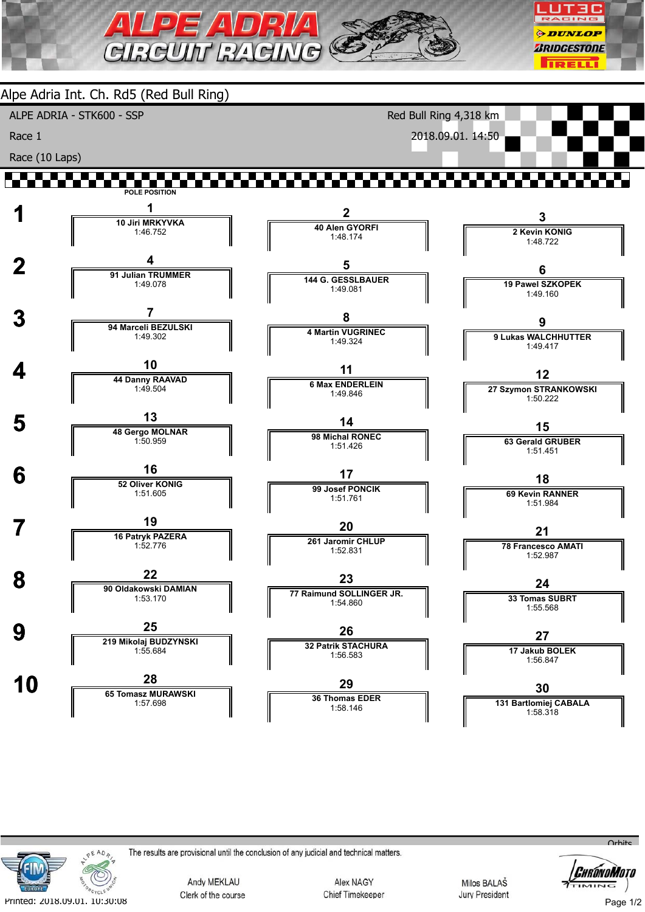





The results are provisional until the conclusion of any judicial and technical matters.

Andy MEKLAU Clerk of the course

Alex NAGY Chief Timekeeper

1:58.146

Milos BALAŠ **Jury President** 



 $Q<sub>th</sub>$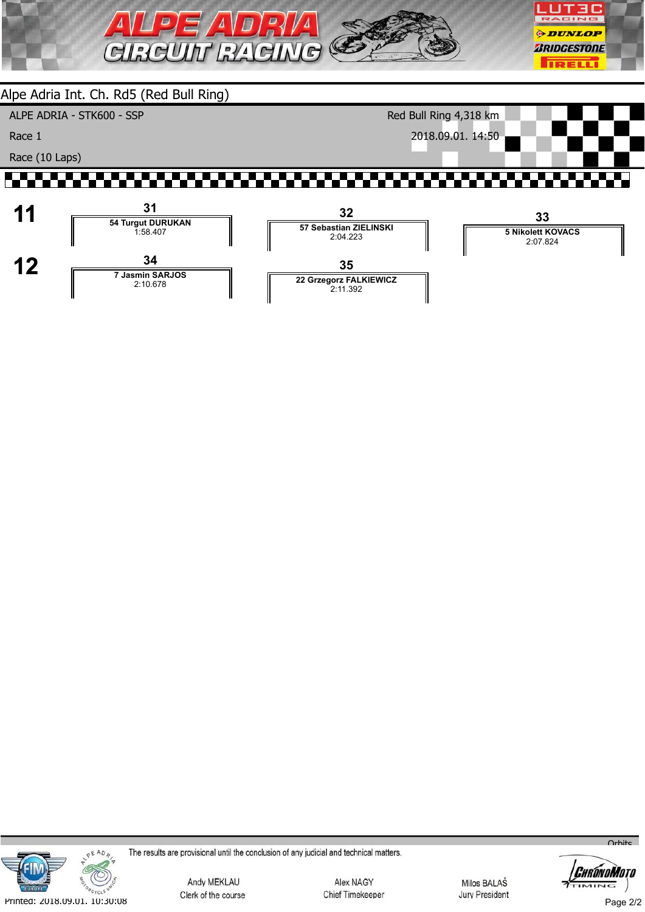

ALPE ADRIA - STK600 - SSP

Race 1

Race (10 Laps)

Red Bull Ring 4,318 km 2018.09.01. 14:50







The results are provisional until the conclusion of any judicial and technical matters.

Andy MEKLAU Clerk of the course

Alex NAGY Chief Timekeeper

Milos BALAŠ **Jury President** 



 $O<sub>r</sub>$ hite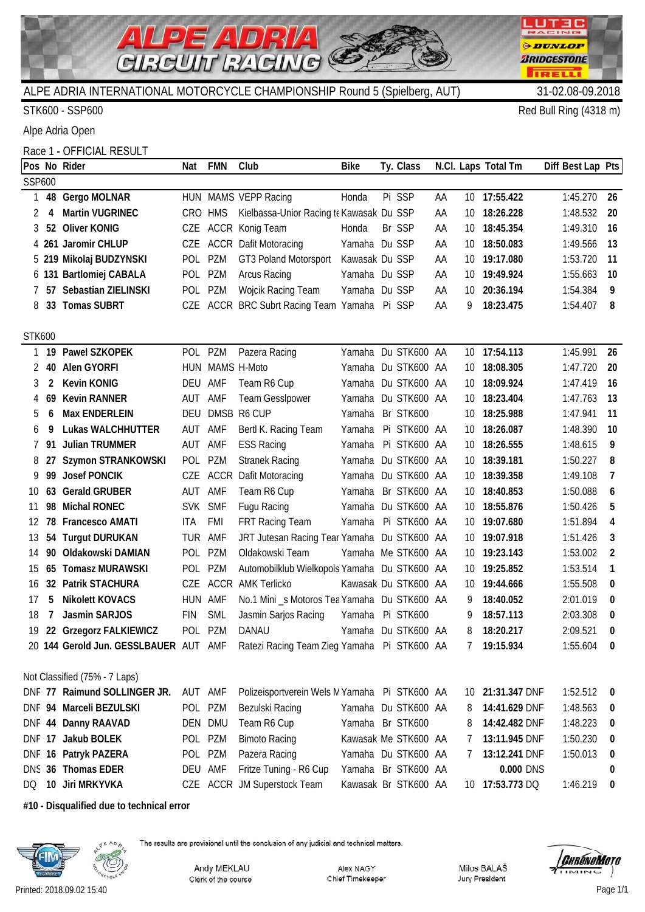

STK600 - SSP600 Red Bull Ring (4318 m)

LUT3C RACING

**ODUNLOP** 

*BRIDGESTONE* 

**TRELL!** 

Alpe Adria Open

Race 1 - OFFICIAL RESULT

|               |              | Pos No Rider                          | Nat        | <b>FMN</b> | Club                                           | <b>Bike</b>          | Ty. Class            |    |                 | N.Cl. Laps Total Tm | Diff Best Lap Pts |                  |
|---------------|--------------|---------------------------------------|------------|------------|------------------------------------------------|----------------------|----------------------|----|-----------------|---------------------|-------------------|------------------|
| SSP600        |              |                                       |            |            |                                                |                      |                      |    |                 |                     |                   |                  |
|               |              | 48 Gergo MOLNAR                       |            |            | HUN MAMS VEPP Racing                           | Honda                | Pi SSP               | ΑA |                 | 10 17:55.422        | 1:45.270          | 26               |
| 2             | 4            | <b>Martin VUGRINEC</b>                |            | CRO HMS    | Kielbassa-Unior Racing te Kawasak Du SSP       |                      |                      | ΑA | 10              | 18:26.228           | 1:48.532          | 20               |
| 3             |              | 52 Oliver KONIG                       | CZE        |            | ACCR Konig Team                                | Honda                | Br SSP               | ΑA | 10              | 18:45.354           | 1:49.310          | 16               |
|               |              | 4 261 Jaromir CHLUP                   |            |            | CZE ACCR Dafit Motoracing                      | Yamaha Du SSP        |                      | ΑA | 10              | 18:50.083           | 1:49.566          | 13               |
|               |              | 5 219 Mikolaj BUDZYNSKI               |            | POL PZM    | GT3 Poland Motorsport                          | Kawasak Du SSP       |                      | ΑA | 10 <sup>1</sup> | 19:17.080           | 1:53.720          | 11               |
|               |              | 6 131 Bartlomiej CABALA               |            | POL PZM    | Arcus Racing                                   | Yamaha Du SSP        |                      | ΑA | 10              | 19:49.924           | 1:55.663          | 10               |
|               | 57           | Sebastian ZIELINSKI                   |            | POL PZM    | Wojcik Racing Team                             | Yamaha Du SSP        |                      | ΑA | 10              | 20:36.194           | 1:54.384          | 9                |
| 8             |              | 33 Tomas SUBRT                        |            |            | CZE ACCR BRC Subrt Racing Team Yamaha          |                      | Pi SSP               | ΑA | 9               | 18:23.475           | 1:54.407          | 8                |
|               |              |                                       |            |            |                                                |                      |                      |    |                 |                     |                   |                  |
| <b>STK600</b> |              |                                       |            |            |                                                |                      |                      |    |                 |                     |                   |                  |
|               |              | 19 Pawel SZKOPEK                      |            | POL PZM    | Pazera Racing                                  | Yamaha Du STK600 AA  |                      |    |                 | 10 17:54.113        | 1:45.991          | 26               |
| 2             |              | 40 Alen GYORFI                        |            |            | HUN MAMS H-Moto                                | Yamaha               | Du STK600 AA         |    | 10              | 18:08.305           | 1:47.720          | 20               |
|               | $\mathbf{2}$ | <b>Kevin KONIG</b>                    | DEU AMF    |            | Team R6 Cup                                    | Yamaha Du STK600 AA  |                      |    | 10              | 18:09.924           | 1:47.419          | 16               |
| 4             |              | 69 Kevin RANNER                       | AUT        | AMF        | <b>Team Gesslpower</b>                         | Yamaha Du STK600 AA  |                      |    | 10              | 18:23.404           | 1:47.763          | 13               |
|               | 6            | Max ENDERLEIN                         | DEU        |            | DMSB R6 CUP                                    | Yamaha               | Br STK600            |    | 10              | 18:25.988           | 1:47.941          | 11               |
| 6             | 9            | <b>Lukas WALCHHUTTER</b>              | AUT AMF    |            | Bertl K. Racing Team                           | Yamaha               | Pi STK600 AA         |    | 10              | 18:26.087           | 1:48.390          | 10               |
|               | 91.          | <b>Julian TRUMMER</b>                 | AUT        | AMF        | <b>ESS Racing</b>                              | Yamaha               | Pi STK600 AA         |    | 10              | 18:26.555           | 1:48.615          | 9                |
| 8             |              | Szymon STRANKOWSKI                    |            | POL PZM    | <b>Stranek Racing</b>                          |                      | Yamaha Du STK600 AA  |    | 10              | 18:39.181           | 1:50.227          | 8                |
|               |              | 99 Josef PONCIK                       |            |            | CZE ACCR Dafit Motoracing                      | Yamaha Du STK600 AA  |                      |    | 10              | 18:39.358           | 1:49.108          | 7                |
| 10            | 63           | <b>Gerald GRUBER</b>                  | AUT AMF    |            | Team R6 Cup                                    | Yamaha               | Br STK600 AA         |    | 10              | 18:40.853           | 1:50.088          | 6                |
| 11            | 98           | <b>Michal RONEC</b>                   |            | SVK SMF    | Fugu Racing                                    | Yamaha Du STK600 AA  |                      |    | 10              | 18:55.876           | 1:50.426          | 5                |
| 12            |              | 78 Francesco AMATI                    | ITA        | FMI        | FRT Racing Team                                | Yamaha Pi STK600 AA  |                      |    | 10              | 19:07.680           | 1:51.894          | 4                |
| 13            | 54           | <b>Turgut DURUKAN</b>                 |            | TUR AMF    | JRT Jutesan Racing Tear Yamaha Du STK600 AA    |                      |                      |    | 10              | 19:07.918           | 1:51.426          | 3                |
| 14            |              | 90 Oldakowski DAMIAN                  | POL        | PZM        | Oldakowski Team                                | Yamaha Me STK600 AA  |                      |    | 10              | 19:23.143           | 1:53.002          | 2                |
| 15            |              | 65 Tomasz MURAWSKI                    |            | POL PZM    | Automobilklub Wielkopols Yamaha Du STK600 AA   |                      |                      |    | 10              | 19:25.852           | 1:53.514          | $\overline{1}$   |
| 16            |              | 32 Patrik STACHURA                    |            |            | CZE ACCR AMK Terlicko                          | Kawasak Du STK600 AA |                      |    | 10              | 19:44.666           | 1:55.508          | 0                |
| 17            | 5            | <b>Nikolett KOVACS</b>                | HUN AMF    |            | No.1 Mini _s Motoros Tea Yamaha Du STK600 AA   |                      |                      |    | 9               | 18:40.052           | 2:01.019          | 0                |
| 18            | 7            | Jasmin SARJOS                         | <b>FIN</b> | <b>SML</b> | Jasmin Sarjos Racing                           | Yamaha Pi STK600     |                      |    | 9               | 18:57.113           | 2:03.308          | 0                |
| 19            |              | 22 Grzegorz FALKIEWICZ                |            | POL PZM    | <b>DANAU</b>                                   | Yamaha Du STK600 AA  |                      |    | 8               | 18:20.217           | 2:09.521          | 0                |
|               |              | 20 144 Gerold Jun. GESSLBAUER AUT AMF |            |            | Ratezi Racing Team Zieg Yamaha Pi STK600 AA    |                      |                      |    |                 | 7 19:15.934         | 1:55.604          | $\bm{0}$         |
|               |              |                                       |            |            |                                                |                      |                      |    |                 |                     |                   |                  |
|               |              | Not Classified (75% - 7 Laps)         |            |            |                                                |                      |                      |    |                 |                     |                   |                  |
|               |              | DNF 77 Raimund SOLLINGER JR.          | AUT AMF    |            | Polizeisportverein Wels IV Yamaha Pi STK600 AA |                      |                      |    | 10              | 21:31.347 DNF       | 1:52.512          | 0                |
|               |              | DNF 94 Marceli BEZULSKI               |            | POL PZM    | Bezulski Racing                                | Yamaha Du STK600 AA  |                      |    | 8               | 14:41.629 DNF       | 1:48.563          | 0                |
|               |              | DNF 44 Danny RAAVAD                   |            | DEN DMU    | Team R6 Cup                                    | Yamaha Br STK600     |                      |    | 8               | 14:42.482 DNF       | 1:48.223          | $\bm{0}$         |
|               |              | DNF 17 Jakub BOLEK                    |            | POL PZM    | <b>Bimoto Racing</b>                           |                      | Kawasak Me STK600 AA |    | 7               | 13:11.945 DNF       | 1:50.230          | $\boldsymbol{0}$ |
|               |              | DNF 16 Patryk PAZERA                  |            | POL PZM    | Pazera Racing                                  | Yamaha Du STK600 AA  |                      |    | $\prime$        | 13:12.241 DNF       | 1:50.013          | 0                |
|               |              | DNS 36 Thomas EDER                    |            | DEU AMF    | Fritze Tuning - R6 Cup                         | Yamaha Br STK600 AA  |                      |    |                 | 0.000 DNS           |                   | 0                |
| DQ            |              | 10 Jiri MRKYVKA                       |            |            | CZE ACCR JM Superstock Team                    |                      | Kawasak Br STK600 AA |    |                 | 10 17:53.773 DQ     | 1:46.219          | 0                |

**#10 - Disqualified due to technical error**



The results are provisional until the conclusion of any judicial and technical matters.

Andy MEKLAU Clerk of the course

Alex NAGY Chief Timekeeper Milos BALAŠ Jury President

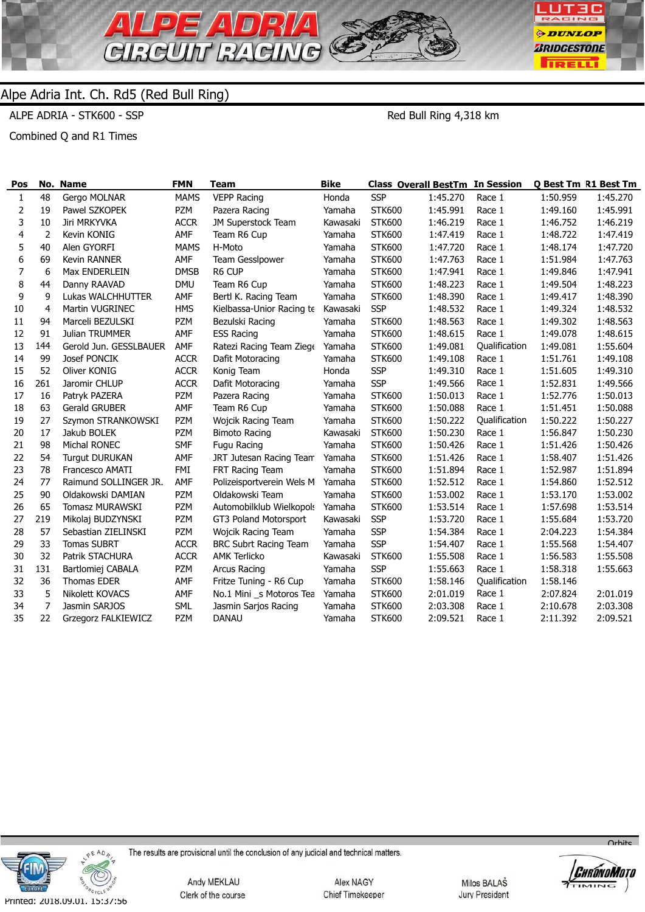

ALPE ADRIA - STK600 - SSP

Red Bull Ring 4,318 km

Combined Q and R1 Times

| Pos          |                | No. Name               | <b>FMN</b>  | <b>Team</b>                  | <b>Bike</b> | <b>Class Overall BestTm In Session</b> |          |               |          | Q Best Tm R1 Best Tm |
|--------------|----------------|------------------------|-------------|------------------------------|-------------|----------------------------------------|----------|---------------|----------|----------------------|
| $\mathbf{1}$ | 48             | Gergo MOLNAR           | <b>MAMS</b> | <b>VEPP Racing</b>           | Honda       | <b>SSP</b>                             | 1:45.270 | Race 1        | 1:50.959 | 1:45.270             |
| 2            | 19             | Pawel SZKOPEK          | <b>PZM</b>  | Pazera Racing                | Yamaha      | <b>STK600</b>                          | 1:45.991 | Race 1        | 1:49.160 | 1:45.991             |
| 3            | 10             | Jiri MRKYVKA           | <b>ACCR</b> | JM Superstock Team           | Kawasaki    | <b>STK600</b>                          | 1:46.219 | Race 1        | 1:46.752 | 1:46.219             |
| 4            | 2              | Kevin KONIG            | AMF         | Team R6 Cup                  | Yamaha      | <b>STK600</b>                          | 1:47.419 | Race 1        | 1:48.722 | 1:47.419             |
| 5            | 40             | Alen GYORFI            | <b>MAMS</b> | H-Moto                       | Yamaha      | <b>STK600</b>                          | 1:47.720 | Race 1        | 1:48.174 | 1:47.720             |
| 6            | 69             | Kevin RANNER           | AMF         | <b>Team Gesslpower</b>       | Yamaha      | <b>STK600</b>                          | 1:47.763 | Race 1        | 1:51.984 | 1:47.763             |
| 7            | 6              | Max ENDERLEIN          | <b>DMSB</b> | R6 CUP                       | Yamaha      | <b>STK600</b>                          | 1:47.941 | Race 1        | 1:49.846 | 1:47.941             |
| 8            | 44             | Danny RAAVAD           | <b>DMU</b>  | Team R6 Cup                  | Yamaha      | <b>STK600</b>                          | 1:48.223 | Race 1        | 1:49.504 | 1:48.223             |
| 9            | 9              | Lukas WALCHHUTTER      | AMF         | Bertl K. Racing Team         | Yamaha      | <b>STK600</b>                          | 1:48.390 | Race 1        | 1:49.417 | 1:48.390             |
| 10           | $\overline{4}$ | Martin VUGRINEC        | <b>HMS</b>  | Kielbassa-Unior Racing te    | Kawasaki    | <b>SSP</b>                             | 1:48.532 | Race 1        | 1:49.324 | 1:48.532             |
| 11           | 94             | Marceli BEZULSKI       | <b>PZM</b>  | Bezulski Racing              | Yamaha      | <b>STK600</b>                          | 1:48.563 | Race 1        | 1:49.302 | 1:48.563             |
| 12           | 91             | Julian TRUMMER         | AMF         | <b>ESS Racing</b>            | Yamaha      | <b>STK600</b>                          | 1:48.615 | Race 1        | 1:49.078 | 1:48.615             |
| 13           | 144            | Gerold Jun. GESSLBAUER | AMF         | Ratezi Racing Team Ziege     | Yamaha      | <b>STK600</b>                          | 1:49.081 | Qualification | 1:49.081 | 1:55.604             |
| 14           | 99             | Josef PONCIK           | <b>ACCR</b> | Dafit Motoracing             | Yamaha      | <b>STK600</b>                          | 1:49.108 | Race 1        | 1:51.761 | 1:49.108             |
| 15           | 52             | Oliver KONIG           | <b>ACCR</b> | Konig Team                   | Honda       | <b>SSP</b>                             | 1:49.310 | Race 1        | 1:51.605 | 1:49.310             |
| 16           | 261            | Jaromir CHLUP          | <b>ACCR</b> | Dafit Motoracing             | Yamaha      | <b>SSP</b>                             | 1:49.566 | Race 1        | 1:52.831 | 1:49.566             |
| 17           | 16             | Patryk PAZERA          | <b>PZM</b>  | Pazera Racing                | Yamaha      | <b>STK600</b>                          | 1:50.013 | Race 1        | 1:52.776 | 1:50.013             |
| 18           | 63             | <b>Gerald GRUBER</b>   | AMF         | Team R6 Cup                  | Yamaha      | <b>STK600</b>                          | 1:50.088 | Race 1        | 1:51.451 | 1:50.088             |
| 19           | 27             | Szymon STRANKOWSKI     | <b>PZM</b>  | Wojcik Racing Team           | Yamaha      | <b>STK600</b>                          | 1:50.222 | Qualification | 1:50.222 | 1:50.227             |
| 20           | 17             | Jakub BOLEK            | <b>PZM</b>  | <b>Bimoto Racing</b>         | Kawasaki    | <b>STK600</b>                          | 1:50.230 | Race 1        | 1:56.847 | 1:50.230             |
| 21           | 98             | Michal RONEC           | <b>SMF</b>  | Fugu Racing                  | Yamaha      | <b>STK600</b>                          | 1:50.426 | Race 1        | 1:51.426 | 1:50.426             |
| 22           | 54             | <b>Turgut DURUKAN</b>  | AMF         | JRT Jutesan Racing Team      | Yamaha      | <b>STK600</b>                          | 1:51.426 | Race 1        | 1:58.407 | 1:51.426             |
| 23           | 78             | Francesco AMATI        | <b>FMI</b>  | FRT Racing Team              | Yamaha      | <b>STK600</b>                          | 1:51.894 | Race 1        | 1:52.987 | 1:51.894             |
| 24           | 77             | Raimund SOLLINGER JR.  | AMF         | Polizeisportverein Wels M    | Yamaha      | <b>STK600</b>                          | 1:52.512 | Race 1        | 1:54.860 | 1:52.512             |
| 25           | 90             | Oldakowski DAMIAN      | <b>PZM</b>  | Oldakowski Team              | Yamaha      | <b>STK600</b>                          | 1:53.002 | Race 1        | 1:53.170 | 1:53.002             |
| 26           | 65             | Tomasz MURAWSKI        | PZM         | Automobilklub Wielkopols     | Yamaha      | <b>STK600</b>                          | 1:53.514 | Race 1        | 1:57.698 | 1:53.514             |
| 27           | 219            | Mikolaj BUDZYNSKI      | <b>PZM</b>  | GT3 Poland Motorsport        | Kawasaki    | <b>SSP</b>                             | 1:53.720 | Race 1        | 1:55.684 | 1:53.720             |
| 28           | 57             | Sebastian ZIELINSKI    | PZM         | Wojcik Racing Team           | Yamaha      | <b>SSP</b>                             | 1:54.384 | Race 1        | 2:04.223 | 1:54.384             |
| 29           | 33             | <b>Tomas SUBRT</b>     | <b>ACCR</b> | <b>BRC Subrt Racing Team</b> | Yamaha      | <b>SSP</b>                             | 1:54.407 | Race 1        | 1:55.568 | 1:54.407             |
| 30           | 32             | Patrik STACHURA        | <b>ACCR</b> | <b>AMK Terlicko</b>          | Kawasaki    | <b>STK600</b>                          | 1:55.508 | Race 1        | 1:56.583 | 1:55.508             |
| 31           | 131            | Bartlomiej CABALA      | <b>PZM</b>  | Arcus Racing                 | Yamaha      | <b>SSP</b>                             | 1:55.663 | Race 1        | 1:58.318 | 1:55.663             |
| 32           | 36             | <b>Thomas EDER</b>     | AMF         | Fritze Tuning - R6 Cup       | Yamaha      | <b>STK600</b>                          | 1:58.146 | Qualification | 1:58.146 |                      |
| 33           | 5              | Nikolett KOVACS        | AMF         | No.1 Mini _s Motoros Tea     | Yamaha      | <b>STK600</b>                          | 2:01.019 | Race 1        | 2:07.824 | 2:01.019             |
| 34           | 7              | Jasmin SARJOS          | <b>SML</b>  | Jasmin Sarjos Racing         | Yamaha      | <b>STK600</b>                          | 2:03.308 | Race 1        | 2:10.678 | 2:03.308             |
| 35           | 22             | Grzegorz FALKIEWICZ    | <b>PZM</b>  | <b>DANAU</b>                 | Yamaha      | <b>STK600</b>                          | 2:09.521 | Race 1        | 2:11.392 | 2:09.521             |
|              |                |                        |             |                              |             |                                        |          |               |          |                      |



The results are provisional until the conclusion of any judicial and technical matters.

Andy MEKLAU Clerk of the course

Alex NAGY Chief Timekeeper

Milos BALAŠ Jury President



 $\overline{O}$ rhite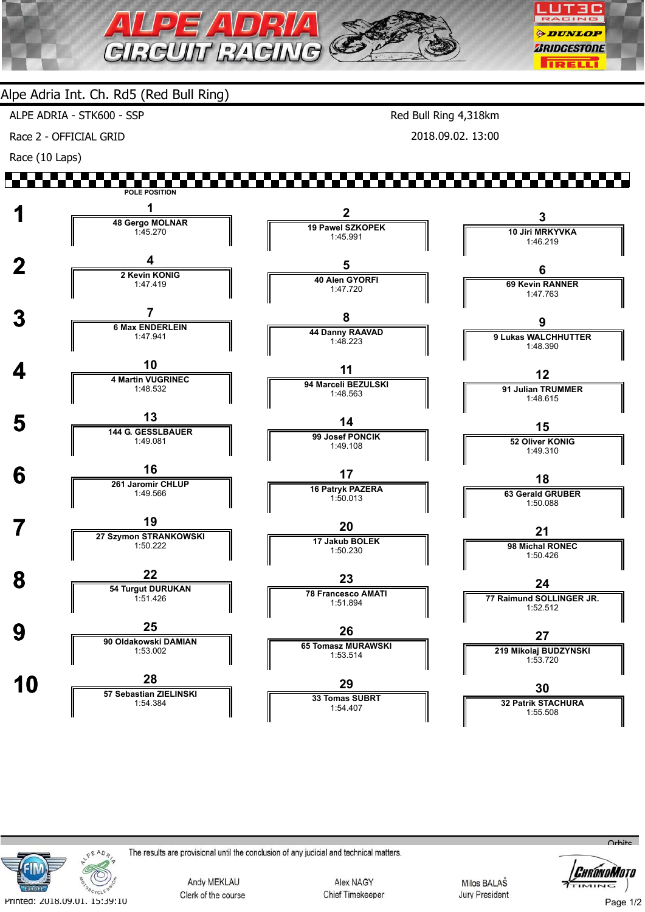

ALPE ADRIA - STK600 - SSP

Race 2 - OFFICIAL GRID

Red Bull Ring 4,318km 2018.09.02. 13:00

Race (10 Laps)





The results are provisional until the conclusion of any judicial and technical matters.

Andy MEKLAU Clerk of the course

Alex NAGY Chief Timekeeper

Milos BALAŠ **Jury President** 



Page 1/2

 $Q<sub>th</sub>$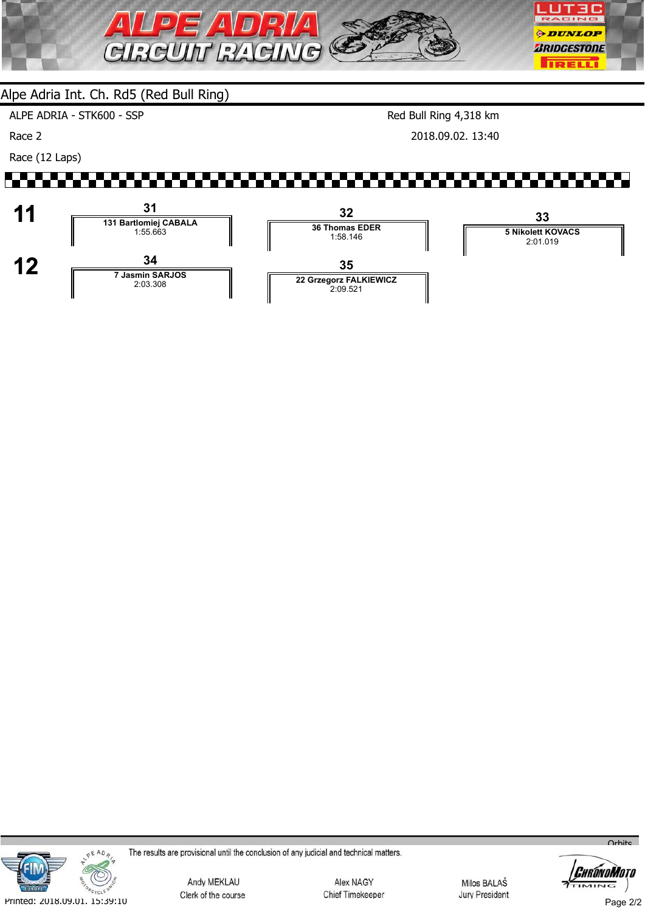

ALPE ADRIA - STK600 - SSP

Race 2

Race (12 Laps)

Red Bull Ring 4,318 km

2018.09.02. 13:40





The results are provisional until the conclusion of any judicial and technical matters.

Andy MEKLAU Clerk of the course

Alex NAGY Chief Timekeeper

Milos BALAŠ **Jury President** 



Page 2/2

 $O<sub>r</sub>$ hito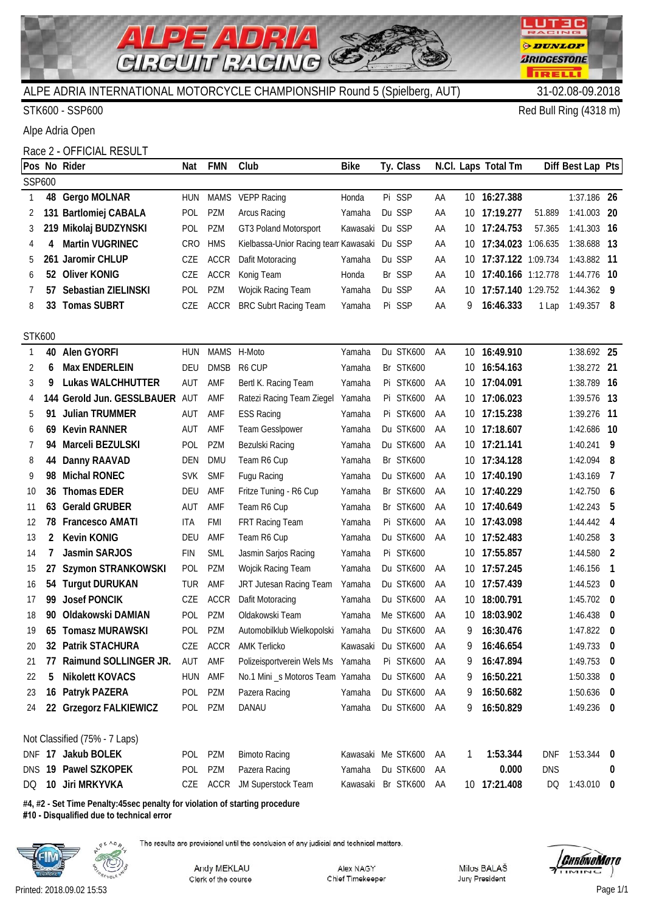

STK600 - SSP600 Red Bull Ring (4318 m)

LUTEC RACING **ODUNLOP** *BRIDGESTONE* 

**TRELL** 

Alpe Adria Open

# Race 2 - OFFICIAL RESULT

|               |                | Pos No Rider                   | Nat        | <b>FMN</b>  | Club                                 | Bike               | Ty. Class        |    |     | N.Cl. Laps Total Tm |            | Diff Best Lap Pts |                          |
|---------------|----------------|--------------------------------|------------|-------------|--------------------------------------|--------------------|------------------|----|-----|---------------------|------------|-------------------|--------------------------|
| SSP600        |                |                                |            |             |                                      |                    |                  |    |     |                     |            |                   |                          |
| $\mathbf{1}$  | 48             | Gergo MOLNAR                   | <b>HUN</b> |             | MAMS VEPP Racing                     | Honda              | Pi SSP           | AA |     | 10 16:27.388        |            | 1:37.186 26       |                          |
| 2             |                | 131 Bartlomiej CABALA          | <b>POL</b> | <b>PZM</b>  | Arcus Racing                         | Yamaha             | Du SSP           | AA | 10  | 17:19.277           | 51.889     | 1:41.003 20       |                          |
| 3             |                | 219 Mikolaj BUDZYNSKI          | POL        | PZM         | GT3 Poland Motorsport                | Kawasaki           | Du SSP           | AA | 10  | 17:24.753           | 57.365     | 1:41.303 16       |                          |
| 4             | 4              | <b>Martin VUGRINEC</b>         | <b>CRO</b> | <b>HMS</b>  | Kielbassa-Unior Racing tean Kawasaki |                    | Du SSP           | AA | 10  | 17:34.023 1:06.635  |            | 1:38.688 13       |                          |
| 5             |                | 261 Jaromir CHLUP              | CZE        | <b>ACCR</b> | Dafit Motoracing                     | Yamaha             | Du SSP           | AA | 10  | 17:37.122 1:09.734  |            | 1:43.882 11       |                          |
| 6             |                | 52 Oliver KONIG                | CZE        | <b>ACCR</b> | Konig Team                           | Honda              | Br SSP           | AA | 10  | 17:40.166 1:12.778  |            | 1:44.776 10       |                          |
| 7             | 57             | Sebastian ZIELINSKI            | <b>POL</b> | <b>PZM</b>  | Wojcik Racing Team                   | Yamaha             | Du SSP           | AA | 10  | 17:57.140 1:29.752  |            | 1:44.362 9        |                          |
| 8             | 33             | <b>Tomas SUBRT</b>             | CZE        | <b>ACCR</b> | <b>BRC Subrt Racing Team</b>         | Yamaha             | Pi SSP           | AA | 9   | 16:46.333           | 1 Lap      | $1:49.357$ 8      |                          |
|               |                |                                |            |             |                                      |                    |                  |    |     |                     |            |                   |                          |
| <b>STK600</b> |                |                                |            |             |                                      |                    |                  |    |     |                     |            |                   |                          |
| 1             | 40             | Alen GYORFI                    | <b>HUN</b> | <b>MAMS</b> | H-Moto                               | Yamaha             | Du STK600        | AA |     | 10 16:49.910        |            | 1:38.692 25       |                          |
| 2             | 6              | <b>Max ENDERLEIN</b>           | <b>DEU</b> | <b>DMSB</b> | R6 CUP                               | Yamaha             | Br STK600        |    | 10  | 16:54.163           |            | 1:38.272 21       |                          |
| 3             | 9              | <b>Lukas WALCHHUTTER</b>       | AUT        | AMF         | Bertl K. Racing Team                 | Yamaha             | <b>Pi STK600</b> | AA | 10  | 17:04.091           |            | 1:38.789 16       |                          |
| 4             |                | 144 Gerold Jun. GESSLBAUER AUT |            | AMF         | Ratezi Racing Team Ziegel            | Yamaha             | <b>Pi STK600</b> | AA | 10  | 17:06.023           |            | 1:39.576 13       |                          |
| 5             | 91             | <b>Julian TRUMMER</b>          | AUT        | AMF         | <b>ESS Racing</b>                    | Yamaha             | <b>Pi STK600</b> | AA | 10  | 17:15.238           |            | 1:39.276 11       |                          |
| 6             | 69.            | <b>Kevin RANNER</b>            | AUT        | AMF         | Team Gesslpower                      | Yamaha             | Du STK600        | AA |     | 10 17:18.607        |            | 1:42.686 10       |                          |
| 7             | 94             | Marceli BEZULSKI               | POL        | <b>PZM</b>  | Bezulski Racing                      | Yamaha             | Du STK600        | AA | 10  | 17:21.141           |            | $1:40.241$ 9      |                          |
| 8             | 44             | Danny RAAVAD                   | DEN        | <b>DMU</b>  | Team R6 Cup                          | Yamaha             | Br STK600        |    | 10  | 17:34.128           |            | 1:42.094          | - 8                      |
| 9             | 98             | <b>Michal RONEC</b>            | <b>SVK</b> | <b>SMF</b>  | Fugu Racing                          | Yamaha             | Du STK600        | AA |     | 10 17:40.190        |            | 1:43.169          | $\overline{7}$           |
| 10            | 36             | <b>Thomas EDER</b>             | <b>DEU</b> | AMF         | Fritze Tuning - R6 Cup               | Yamaha             | Br STK600        | AA | 10  | 17:40.229           |            | $1:42.750$ 6      |                          |
| 11            | 63             | <b>Gerald GRUBER</b>           | AUT        | AMF         | Team R6 Cup                          | Yamaha             | Br STK600        | AA |     | 10 17:40.649        |            | 1:42.243          | - 5                      |
| 12            | 78             | <b>Francesco AMATI</b>         | ITA        | <b>FMI</b>  | FRT Racing Team                      | Yamaha             | Pi STK600        | AA | 10  | 17:43.098           |            | $1:44.442$ 4      |                          |
| 13            | $\overline{2}$ | <b>Kevin KONIG</b>             | <b>DEU</b> | AMF         | Team R6 Cup                          | Yamaha             | Du STK600        | AA | 10. | 17:52.483           |            | 1:40.258          | - 3                      |
| 14            | 7              | Jasmin SARJOS                  | <b>FIN</b> | <b>SML</b>  | Jasmin Sarjos Racing                 | Yamaha             | <b>Pi STK600</b> |    |     | 10 17:55.857        |            | 1:44.580          | $\overline{2}$           |
| 15            | 27             | Szymon STRANKOWSKI             | <b>POL</b> | <b>PZM</b>  | Wojcik Racing Team                   | Yamaha             | Du STK600        | AA | 10  | 17:57.245           |            | 1:46.156          | $\overline{1}$           |
| 16            |                | 54 Turgut DURUKAN              | TUR        | AMF         | JRT Jutesan Racing Team              | Yamaha             | Du STK600        | AA |     | 10 17:57.439        |            | 1:44.523          | - 0                      |
| 17            | 99             | <b>Josef PONCIK</b>            | CZE        | <b>ACCR</b> | Dafit Motoracing                     | Yamaha             | Du STK600        | AA | 10  | 18:00.791           |            | $1:45.702$ 0      |                          |
| 18            | 90             | Oldakowski DAMIAN              | POL        | <b>PZM</b>  | Oldakowski Team                      | Yamaha             | Me STK600        | AA | 10  | 18:03.902           |            | 1:46.438          | $\overline{\phantom{0}}$ |
| 19            |                | 65 Tomasz MURAWSKI             | POL        | PZM         | Automobilklub Wielkopolski           | Yamaha             | Du STK600        | AA | 9   | 16:30.476           |            | 1:47.822          | $\overline{\mathbf{0}}$  |
| 20            |                | 32 Patrik STACHURA             | CZE        | <b>ACCR</b> | AMK Terlicko                         | Kawasaki Du STK600 |                  | AA | Q   | 16:46.654           |            | $1:49.733$ 0      |                          |
| 21            | 77             | Raimund SOLLINGER JR.          | AUT        | AMF         | Polizeisportverein Wels Ms Yamaha    |                    | Pi STK600        | AA | 9   | 16:47.894           |            | $1:49.753$ 0      |                          |
| 22            | 5              | <b>Nikolett KOVACS</b>         | <b>HUN</b> | AMF         | No.1 Mini _s Motoros Team Yamaha     |                    | Du STK600        | AA | 9   | 16:50.221           |            | $1:50.338$ 0      |                          |
| 23            |                | 16 Patryk PAZERA               | POL        | PZM         | Pazera Racing                        | Yamaha             | Du STK600        | AA | 9   | 16:50.682           |            | $1:50.636$ 0      |                          |
| 24            |                | 22 Grzegorz FALKIEWICZ         | POL        | PZM         | DANAU                                | Yamaha             | Du STK600        | AA | 9.  | 16:50.829           |            | $1:49.236$ 0      |                          |
|               |                | Not Classified (75% - 7 Laps)  |            |             |                                      |                    |                  |    |     |                     |            |                   |                          |
|               |                | DNF 17 Jakub BOLEK             | POL PZM    |             | <b>Bimoto Racing</b>                 | Kawasaki Me STK600 |                  | AA | 1   | 1:53.344            | <b>DNF</b> | 1:53.344          | $\mathbf{0}$             |
|               |                | DNS 19 Pawel SZKOPEK           | POL        | PZM         | Pazera Racing                        | Yamaha             | Du STK600        | AA |     | 0.000               | <b>DNS</b> |                   | U                        |
| DQ.           |                | 10 Jiri MRKYVKA                |            |             | CZE ACCR JM Superstock Team          | Kawasaki Br STK600 |                  | AA |     | 10 17:21.408        | DQ         | $1:43.010$ 0      |                          |
|               |                |                                |            |             |                                      |                    |                  |    |     |                     |            |                   |                          |

**#4, #2 - Set Time Penalty:45sec penalty for violation of starting procedure #10 - Disqualified due to technical error**



The results are provisional until the conclusion of any judicial and technical matters.

Andy MEKLAU Clerk of the course

Alex NAGY Chief Timekeeper Milos BALAŠ Jury President

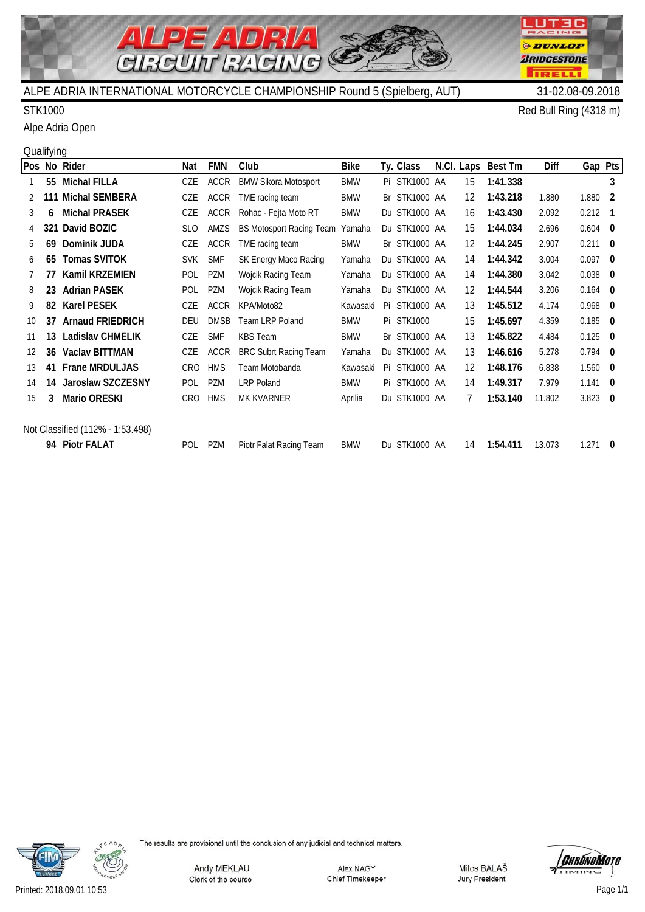

### STK1000 Red Bull Ring (4318 m)

Alpe Adria Open

# **Qualifying**

|                   |    | Pos No Rider                     | Nat        | <b>FMN</b>  | Club                            | <b>Bike</b> | Ty. Class     |    | N.Cl. Laps Best Tm | Diff   | Gap Pts   |     |
|-------------------|----|----------------------------------|------------|-------------|---------------------------------|-------------|---------------|----|--------------------|--------|-----------|-----|
|                   |    | 55 Michal FILLA                  | CZE        | ACCR        | <b>BMW Sikora Motosport</b>     | <b>BMW</b>  | Pi STK1000 AA | 15 | 1:41.338           |        |           | 3   |
|                   |    | 111 Michal SEMBERA               | CZE        | <b>ACCR</b> | TME racing team                 | <b>BMW</b>  | Br STK1000 AA | 12 | 1:43.218           | 1.880  | 1.880     | -2  |
| 3                 | 6  | <b>Michal PRASEK</b>             | CZE        | <b>ACCR</b> | Rohac - Fejta Moto RT           | <b>BMW</b>  | Du STK1000 AA | 16 | 1:43.430           | 2.092  | 0.212     | - 1 |
|                   |    | 321 David BOZIC                  | <b>SLO</b> | AMZS        | <b>BS Motosport Racing Team</b> | Yamaha      | Du STK1000 AA | 15 | 1:44.034           | 2.696  | $0.604$ 0 |     |
| 5                 | 69 | Dominik JUDA                     | CZE        | <b>ACCR</b> | TME racing team                 | <b>BMW</b>  | Br STK1000 AA | 12 | 1:44.245           | 2.907  | 0.211     | 0   |
| 6                 | 65 | <b>Tomas SVITOK</b>              | <b>SVK</b> | <b>SMF</b>  | SK Energy Maco Racing           | Yamaha      | Du STK1000 AA | 14 | 1:44.342           | 3.004  | 0.097     | - 0 |
|                   | 77 | <b>Kamil KRZEMIEN</b>            | POL        | PZM         | Wojcik Racing Team              | Yamaha      | Du STK1000 AA | 14 | 1:44.380           | 3.042  | 0.038     | - 0 |
| 8                 | 23 | <b>Adrian PASEK</b>              | POL        | PZM         | Wojcik Racing Team              | Yamaha      | Du STK1000 AA | 12 | 1:44.544           | 3.206  | $0.164$ 0 |     |
| 9                 | 82 | <b>Karel PESEK</b>               | CZE        | <b>ACCR</b> | KPA/Moto82                      | Kawasaki    | Pi STK1000 AA | 13 | 1:45.512           | 4.174  | 0.968     | - 0 |
| 10 <sup>1</sup>   | 37 | <b>Arnaud FRIEDRICH</b>          | DEU        | <b>DMSB</b> | Team LRP Poland                 | <b>BMW</b>  | Pi STK1000    | 15 | 1:45.697           | 4.359  | 0.185     | - 0 |
| 11                | 13 | <b>Ladislav CHMELIK</b>          | CZE        | <b>SMF</b>  | <b>KBS</b> Team                 | <b>BMW</b>  | Br STK1000 AA | 13 | 1:45.822           | 4.484  | 0.125     | - 0 |
| $12 \overline{ }$ | 36 | <b>Vaclav BITTMAN</b>            | CZE        | ACCR        | <b>BRC Subrt Racing Team</b>    | Yamaha      | Du STK1000 AA | 13 | 1:46.616           | 5.278  | $0.794$ 0 |     |
| 13                | 41 | <b>Frane MRDULJAS</b>            | CRO        | <b>HMS</b>  | Team Motobanda                  | Kawasaki    | Pi STK1000 AA | 12 | 1:48.176           | 6.838  | $1.560$ 0 |     |
| 14                | 14 | Jaroslaw SZCZESNY                | <b>POL</b> | <b>PZM</b>  | <b>LRP Poland</b>               | <b>BMW</b>  | Pi STK1000 AA | 14 | 1:49.317           | 7.979  | 1.141     | -0  |
| 15                | 3  | <b>Mario ORESKI</b>              | CRO        | <b>HMS</b>  | MK KVARNER                      | Aprilia     | Du STK1000 AA | 7  | 1:53.140           | 11.802 | $3.823$ 0 |     |
|                   |    | Not Classified (112% - 1:53.498) |            |             |                                 |             |               |    |                    |        |           |     |
|                   |    | 94 Piotr FALAT                   | <b>POL</b> | PZM         | Piotr Falat Racing Team         | <b>BMW</b>  | Du STK1000 AA | 14 | 1:54.411           | 13.073 | 1.271     | 0   |



**LUT3C** RACING

**ODUNLOP** *BRIDGESTONE* 

**TRELL** 

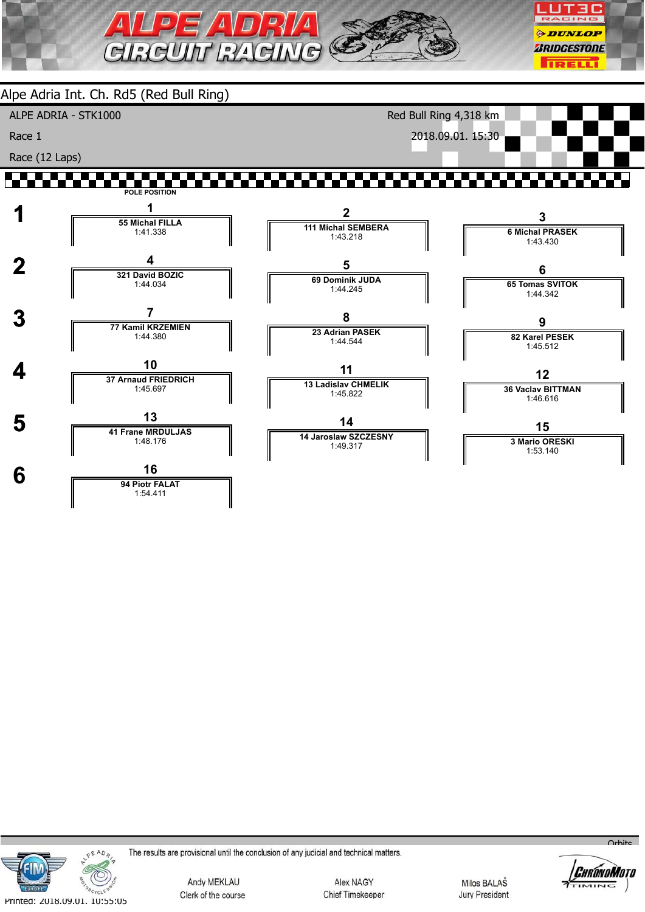





The results are provisional until the conclusion of any judicial and technical matters.

Andy MEKLAU Clerk of the course

Alex NAGY Chief Timekeeper

Milos BALAŠ **Jury President** 



 $O<sub>r</sub>$ bits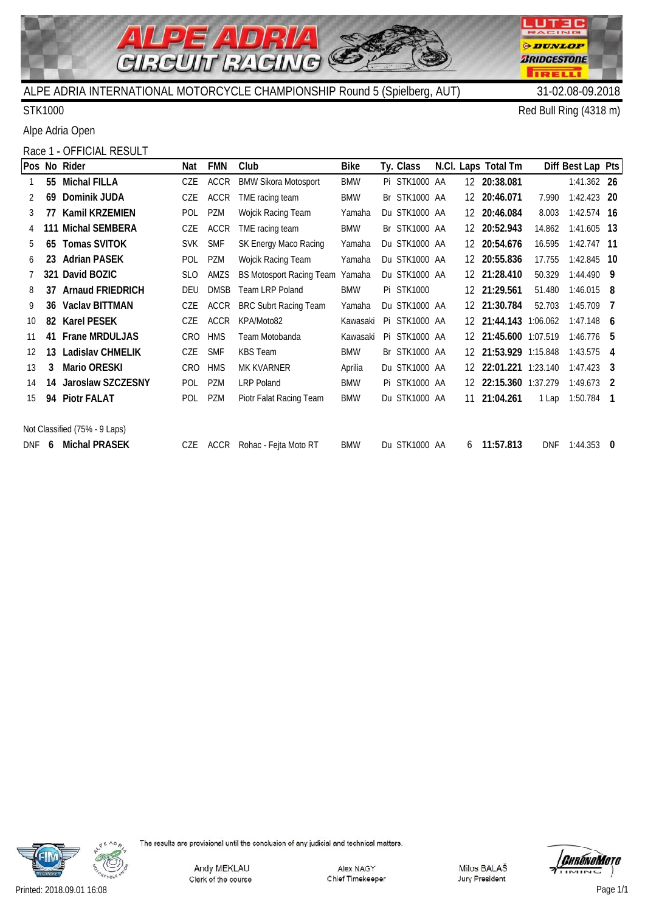

STK1000 Red Bull Ring (4318 m)

LUT3C RACING

**ODUNLOP** *BRIDGESTONE* 

**TRELL** 

Alpe Adria Open

# Race 1 - OFFICIAL RESULT

|     |    | Pos No Rider                  | Nat        | <b>FMN</b>  | Club                            | Bike       | Ty. Class         |     | N.Cl. Laps Total Tm |            | Diff Best Lap Pts |                |
|-----|----|-------------------------------|------------|-------------|---------------------------------|------------|-------------------|-----|---------------------|------------|-------------------|----------------|
|     |    | 55 Michal FILLA               | CZE        | <b>ACCR</b> | <b>BMW Sikora Motosport</b>     | <b>BMW</b> | Pi STK1000 AA     |     | 12 20:38.081        |            | 1:41.362 26       |                |
|     | 69 | Dominik JUDA                  | CZE        | <b>ACCR</b> | TME racing team                 | <b>BMW</b> | Br STK1000 AA     | 12  | 20:46.071           | 7.990      | 1:42.423 20       |                |
| 3   | 77 | <b>Kamil KRZEMIEN</b>         | POL        | PZM         | Wojcik Racing Team              | Yamaha     | Du STK1000 AA     | 12  | 20:46.084           | 8.003      | 1:42.574 16       |                |
|     |    | 111 Michal SEMBERA            | CZE        | <b>ACCR</b> | TME racing team                 | <b>BMW</b> | Br STK1000 AA     | 12. | 20:52.943           | 14.862     | 1:41.605 13       |                |
| 5   | 65 | <b>Tomas SVITOK</b>           | <b>SVK</b> | <b>SMF</b>  | SK Energy Maco Racing           | Yamaha     | Du STK1000 AA     | 12  | 20:54.676           | 16.595     | $1:42.747$ 11     |                |
| 6   | 23 | <b>Adrian PASEK</b>           | <b>POL</b> | PZM         | Wojcik Racing Team              | Yamaha     | Du STK1000 AA     | 12  | 20:55.836           | 17.755     | 1:42.845 10       |                |
|     |    | 321 David BOZIC               | <b>SLO</b> | AMZS        | <b>BS Motosport Racing Team</b> | Yamaha     | Du STK1000 AA     | 12  | 21:28.410           | 50.329     | 1:44.490 9        |                |
| 8   | 37 | <b>Arnaud FRIEDRICH</b>       | <b>DEU</b> | <b>DMSB</b> | <b>Team LRP Poland</b>          | <b>BMW</b> | <b>Pi STK1000</b> |     | 12 21:29.561        | 51.480     | 1:46.015          | - 8            |
| 9   | 36 | <b>Vaclav BITTMAN</b>         | CZE        | <b>ACCR</b> | <b>BRC Subrt Racing Team</b>    | Yamaha     | Du STK1000 AA     |     | 12 21:30.784        | 52.703     | 1:45.709          | $\overline{7}$ |
| 10  | 82 | <b>Karel PESEK</b>            | CZE        | <b>ACCR</b> | KPA/Moto82                      | Kawasaki   | Pi STK1000 AA     | 12. | 21:44.143 1:06.062  |            | 1:47.148          | - 6            |
| 11  | 41 | <b>Frane MRDULJAS</b>         | <b>CRO</b> | <b>HMS</b>  | Team Motobanda                  | Kawasaki   | Pi STK1000 AA     | 12. | 21:45.600 1:07.519  |            | $1:46.776$ 5      |                |
| 12  | 13 | <b>Ladislav CHMELIK</b>       | CZE        | <b>SMF</b>  | <b>KBS</b> Team                 | <b>BMW</b> | Br STK1000 AA     | 12. | 21:53.929 1:15.848  |            | 1:43.575          | - 4            |
| 13  | 3  | <b>Mario ORESKI</b>           | <b>CRO</b> | <b>HMS</b>  | <b>MK KVARNER</b>               | Aprilia    | Du STK1000 AA     | 12  | 22:01.221 1:23.140  |            | $1:47.423$ 3      |                |
| 14  | 14 | Jaroslaw SZCZESNY             | <b>POL</b> | <b>PZM</b>  | <b>LRP Poland</b>               | <b>BMW</b> | Pi STK1000 AA     | 12  | 22:15.360 1:37.279  |            | $1:49.673$ 2      |                |
| 15  | 94 | <b>Piotr FALAT</b>            | <b>POL</b> | <b>PZM</b>  | Piotr Falat Racing Team         | <b>BMW</b> | Du STK1000 AA     | 11  | 21:04.261           | 1 Lap      | $1:50.784$ 1      |                |
|     |    |                               |            |             |                                 |            |                   |     |                     |            |                   |                |
|     |    | Not Classified (75% - 9 Laps) |            |             |                                 |            |                   |     |                     |            |                   |                |
| DNF | 6  | <b>Michal PRASEK</b>          | CZE        | <b>ACCR</b> | Rohac - Fejta Moto RT           | <b>BMW</b> | Du STK1000 AA     | 6   | 11:57.813           | <b>DNF</b> | $1:44.353$ 0      |                |



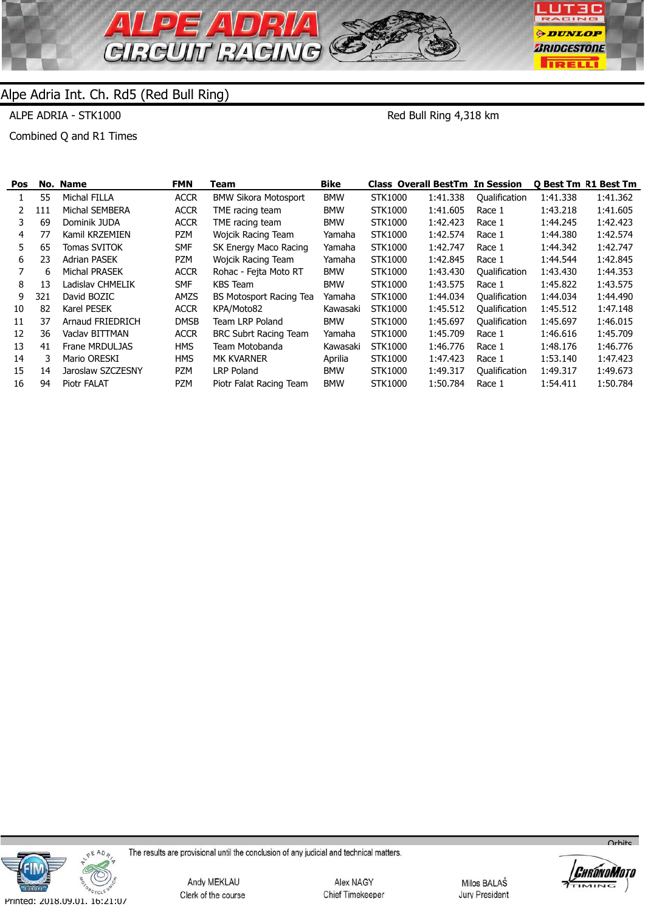

ALPE ADRIA - STK1000

Red Bull Ring 4,318 km

Combined Q and R1 Times

| Pos |     | No. Name            | <b>FMN</b>  | Team                         | <b>Bike</b> | <b>Class Overall BestTm In Session</b> |          |               |          | <b>O Best Tm R1 Best Tm</b> |
|-----|-----|---------------------|-------------|------------------------------|-------------|----------------------------------------|----------|---------------|----------|-----------------------------|
|     | 55  | Michal FILLA        | <b>ACCR</b> | <b>BMW Sikora Motosport</b>  | <b>BMW</b>  | STK1000                                | 1:41.338 | Qualification | 1:41.338 | 1:41.362                    |
|     | 111 | Michal SEMBERA      | <b>ACCR</b> | TME racing team              | <b>BMW</b>  | STK1000                                | 1:41.605 | Race 1        | 1:43.218 | 1:41.605                    |
| 3.  | 69  | Dominik JUDA        | <b>ACCR</b> | TME racing team              | <b>BMW</b>  | STK1000                                | 1:42.423 | Race 1        | 1:44.245 | 1:42.423                    |
| 4   | 77  | Kamil KRZEMIEN      | PZM         | Wojcik Racing Team           | Yamaha      | STK1000                                | 1:42.574 | Race 1        | 1:44.380 | 1:42.574                    |
| 5.  | 65  | <b>Tomas SVITOK</b> | SMF         | SK Energy Maco Racing        | Yamaha      | STK1000                                | 1:42.747 | Race 1        | 1:44.342 | 1:42.747                    |
| 6   | 23  | <b>Adrian PASEK</b> | <b>PZM</b>  | Wojcik Racing Team           | Yamaha      | STK1000                                | 1:42.845 | Race 1        | 1:44.544 | 1:42.845                    |
|     | 6.  | Michal PRASEK       | <b>ACCR</b> | Rohac - Fejta Moto RT        | <b>BMW</b>  | STK1000                                | 1:43.430 | Qualification | 1:43.430 | 1:44.353                    |
| 8   | 13  | Ladislav CHMELIK    | <b>SMF</b>  | KBS Team                     | <b>BMW</b>  | STK1000                                | 1:43.575 | Race 1        | 1:45.822 | 1:43.575                    |
| 9   | 321 | David BOZIC         | AMZS        | BS Motosport Racing Tea      | Yamaha      | STK1000                                | 1:44.034 | Qualification | 1:44.034 | 1:44.490                    |
| 10  | 82  | Karel PESEK         | <b>ACCR</b> | KPA/Moto82                   | Kawasaki    | STK1000                                | 1:45.512 | Qualification | 1:45.512 | 1:47.148                    |
| 11  | 37  | Arnaud FRIEDRICH    | <b>DMSB</b> | Team LRP Poland              | <b>BMW</b>  | STK1000                                | 1:45.697 | Oualification | 1:45.697 | 1:46.015                    |
| 12  | 36  | Vaclav BITTMAN      | <b>ACCR</b> | <b>BRC Subrt Racing Team</b> | Yamaha      | STK1000                                | 1:45.709 | Race 1        | 1:46.616 | 1:45.709                    |
| 13  | 41  | Frane MRDULJAS      | <b>HMS</b>  | Team Motobanda               | Kawasaki    | STK1000                                | 1:46.776 | Race 1        | 1:48.176 | 1:46.776                    |
| 14  | 3.  | Mario ORESKI        | <b>HMS</b>  | <b>MK KVARNER</b>            | Aprilia     | STK1000                                | 1:47.423 | Race 1        | 1:53.140 | 1:47.423                    |
| 15  | 14  | Jaroslaw SZCZESNY   | PZM         | <b>LRP Poland</b>            | <b>BMW</b>  | STK1000                                | 1:49.317 | Qualification | 1:49.317 | 1:49.673                    |
| 16  | 94  | Piotr FALAT         | <b>PZM</b>  | Piotr Falat Racing Team      | <b>BMW</b>  | STK1000                                | 1:50.784 | Race 1        | 1:54.411 | 1:50.784                    |
|     |     |                     |             |                              |             |                                        |          |               |          |                             |



The results are provisional until the conclusion of any judicial and technical matters.

Andy MEKLAU Clerk of the course

Alex NAGY Chief Timekeeper

Milos BALAŠ Jury President



 $O<sub>r</sub>$ hite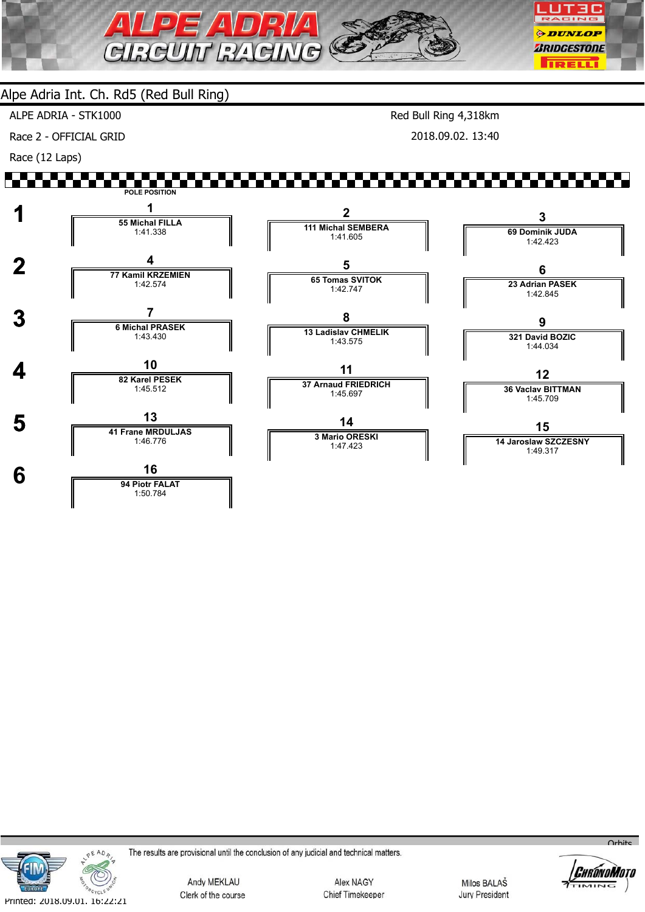

1:50.784

ALPE ADRIA - STK1000

Race 2 - OFFICIAL GRID

Race (12 Laps)

Red Bull Ring 4,318km 2018.09.02. 13:40

#### ▞▚▚▘ **POLE POSITION 1 1 1 55 Michal FILLA 2 3 111 Michal SEMBERA** 1:41.338 **69 Dominik JUDA** 1:41.605 1:42.423 **2 1 17 Kamil KRZEMIEN 5 6 65 Tomas SVITOK 23 Adrian PASEK** 1:42.574 1:42.747 1:42.845  **3 <sup>7</sup> 6 Michal PRASEK 8 9 13 Ladislav CHMELIK 321 David BOZIC** 1:43.430 1:43.575 1:44.034 **4 10**<br>**82 Karel PESEK 11 12 37 Arnaud FRIEDRICH 36 Vaclav BITTMAN** 1:45.512 1:45.697 1:45.709 **5 13 14 15 3 Mario ORESKI** 1:46.776 **14 Jaroslaw SZCZESNY** 1:47.423 1:49.317 **6 16**

**OEADA** CYCL Printed: 2018.09.01. 16:22:21

The results are provisional until the conclusion of any judicial and technical matters.

Andy MEKLAU Clerk of the course

Alex NAGY Chief Timekeeper

Milos BALAŠ **Jury President** 



 $O<sub>r</sub>$ hito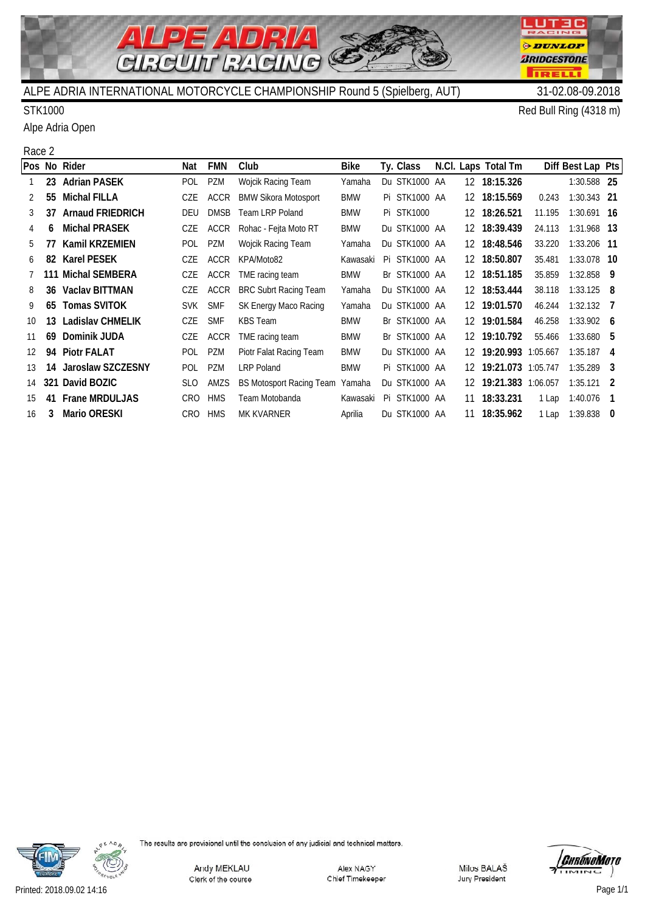

Alpe Adria Open

STK1000 Red Bull Ring (4318 m)

**LUT3C** RACING

**ODUNLOP** *BRIDGESTONE* 

**TRELL** 

### Race 2

|               |    | Pos No Rider            | Nat        | <b>FMN</b>  | Club                            | Bike       |    | Ty. Class         |    | N.Cl. Laps Total Tm   |        | Diff Best Lap Pts |     |
|---------------|----|-------------------------|------------|-------------|---------------------------------|------------|----|-------------------|----|-----------------------|--------|-------------------|-----|
|               |    | 23 Adrian PASEK         | <b>POL</b> | PZM         | Wojcik Racing Team              | Yamaha     |    | Du STK1000 AA     |    | 12 18:15.326          |        | 1:30.588 25       |     |
| 2             | 55 | Michal FILLA            | CZE        | <b>ACCR</b> | <b>BMW Sikora Motosport</b>     | <b>BMW</b> |    | Pi STK1000 AA     | 12 | 18:15.569             | 0.243  | $1:30.343$ 21     |     |
| 3             | 37 | <b>Arnaud FRIEDRICH</b> | <b>DEU</b> | <b>DMSB</b> | <b>Team LRP Poland</b>          | <b>BMW</b> |    | <b>Pi STK1000</b> |    | 12 18:26.521          | 11.195 | $1:30.691$ 16     |     |
|               | 6  | <b>Michal PRASEK</b>    | CZE        | <b>ACCR</b> | Rohac - Fejta Moto RT           | <b>BMW</b> |    | Du STK1000 AA     |    | 12 18:39.439          | 24.113 | 1:31.968 13       |     |
| 5.            | 77 | Kamil KRZEMIEN          | <b>POL</b> | PZM         | Wojcik Racing Team              | Yamaha     |    | Du STK1000 AA     |    | 12 18:48.546          | 33.220 | 1:33.206 11       |     |
| 6             | 82 | <b>Karel PESEK</b>      | CZE        | <b>ACCR</b> | KPA/Moto82                      | Kawasaki   |    | Pi STK1000 AA     | 12 | 18:50.807             | 35.481 | 1:33.078 10       |     |
|               |    | 111 Michal SEMBERA      | CZE        | ACCR        | TME racing team                 | <b>BMW</b> |    | Br STK1000 AA     | 12 | 18:51.185             | 35.859 | $1:32.858$ 9      |     |
| 8             |    | 36 Vaclay BITTMAN       | CZE        | ACCR        | <b>BRC Subrt Racing Team</b>    | Yamaha     |    | Du STK1000 AA     |    | 12 18:53.444          | 38.118 | $1:33.125$ 8      |     |
| 9             | 65 | <b>Tomas SVITOK</b>     | <b>SVK</b> | <b>SMF</b>  | SK Energy Maco Racing           | Yamaha     |    | Du STK1000 AA     | 12 | 19:01.570             | 46.244 | $1:32.132$ 7      |     |
| 10            | 13 | Ladislav CHMELIK        | <b>CZE</b> | <b>SMF</b>  | <b>KBS</b> Team                 | <b>BMW</b> |    | Br STK1000 AA     | 12 | 19:01.584             | 46.258 | $1:33.902$ 6      |     |
| 11            | 69 | Dominik JUDA            | CZE        | <b>ACCR</b> | TME racing team                 | <b>BMW</b> |    | Br STK1000 AA     | 12 | 19:10.792             | 55.466 | $1:33.680$ 5      |     |
| $12 \text{ }$ |    | 94 Piotr FALAT          | <b>POL</b> | PZM         | Piotr Falat Racing Team         | <b>BMW</b> |    | Du STK1000 AA     |    | 12 19:20.993 1:05.667 |        | $1:35.187$ 4      |     |
| 13            |    | 14 Jaroslaw SZCZESNY    | POL        | PZM         | <b>LRP Poland</b>               | <b>BMW</b> |    | Pi STK1000 AA     | 12 | 19:21.073 1:05.747    |        | $1:35.289$ 3      |     |
| 14            |    | 321 David BOZIC         | <b>SLO</b> | AMZS        | <b>BS Motosport Racing Team</b> | Yamaha     |    | Du STK1000 AA     | 12 | 19:21.383 1:06.057    |        | $1:35.121$ 2      |     |
| 15            | 41 | Frane MRDULJAS          | CRO        | <b>HMS</b>  | Team Motobanda                  | Kawasaki   | Pi | STK1000 AA        | 11 | 18:33.231             | 1 Lap  | 1:40.076          | - 1 |
| 16            | 3  | <b>Mario ORESKI</b>     | CRO        | <b>HMS</b>  | MK KVARNER                      | Aprilia    |    | Du STK1000 AA     | 11 | 18:35.962             | 1 Lap  | $1:39.838$ 0      |     |



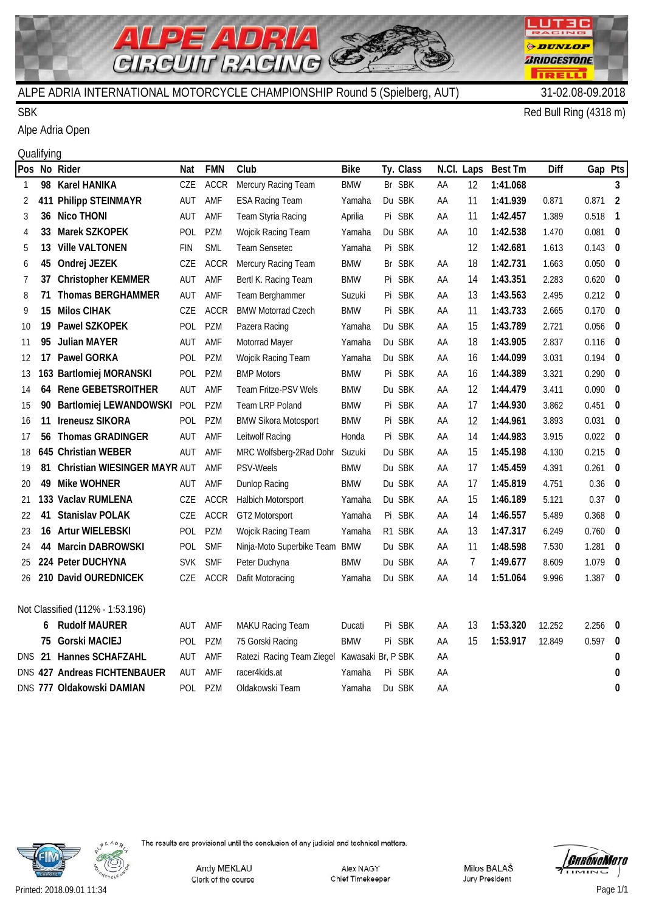

## SBK Red Bull Ring (4318 m)

Alpe Adria Open

#### **Qualifying**

|        |     | Pos No Rider                     | Nat        | <b>FMN</b>  | Club                                         | <b>Bike</b> |    | Ty. Class  |    | N.Cl. Laps | <b>Best Tm</b> | Diff   | Gap Pts     |                          |
|--------|-----|----------------------------------|------------|-------------|----------------------------------------------|-------------|----|------------|----|------------|----------------|--------|-------------|--------------------------|
| -1     | 98  | <b>Karel HANIKA</b>              | CZE        | <b>ACCR</b> | Mercury Racing Team                          | <b>BMW</b>  |    | Br SBK     | AA | 12         | 1:41.068       |        |             | 3                        |
| 2      | 411 | <b>Philipp STEINMAYR</b>         | AUT        | AMF         | <b>ESA Racing Team</b>                       | Yamaha      |    | Du SBK     | AA | 11         | 1:41.939       | 0.871  | 0.871       | $\overline{2}$           |
| 3      | 36  | <b>Nico THONI</b>                | AUT        | AMF         | Team Styria Racing                           | Aprilia     |    | Pi SBK     | AA | 11         | 1:42.457       | 1.389  | 0.518       | $\overline{\phantom{a}}$ |
| 4      | 33  | Marek SZKOPEK                    | POL        | PZM         | Wojcik Racing Team                           | Yamaha      |    | Du SBK     | AA | 10         | 1:42.538       | 1.470  | $0.081$ 0   |                          |
| 5      | 13  | <b>Ville VALTONEN</b>            | <b>FIN</b> | SML         | Team Sensetec                                | Yamaha      |    | Pi SBK     |    | 12         | 1:42.681       | 1.613  | $0.143$ 0   |                          |
| 6      | 45  | Ondrej JEZEK                     | CZE        | <b>ACCR</b> | Mercury Racing Team                          | <b>BMW</b>  |    | Br SBK     | AA | 18         | 1:42.731       | 1.663  | $0.050$ 0   |                          |
| 7      | 37  | <b>Christopher KEMMER</b>        | AUT        | AMF         | Bertl K. Racing Team                         | <b>BMW</b>  |    | Pi SBK     | AA | 14         | 1:43.351       | 2.283  | $0.620$ 0   |                          |
| 8      | 71  | <b>Thomas BERGHAMMER</b>         | AUT        | AMF         | Team Berghammer                              | Suzuki      |    | Pi SBK     | AA | 13         | 1:43.563       | 2.495  | $0.212$ 0   |                          |
| 9      | 15  | <b>Milos CIHAK</b>               | CZE        | <b>ACCR</b> | <b>BMW Motorrad Czech</b>                    | <b>BMW</b>  |    | Pi SBK     | AA | 11         | 1:43.733       | 2.665  | $0.170$ 0   |                          |
| 10     | 19  | Pawel SZKOPEK                    | POL        | PZM         | Pazera Racing                                | Yamaha      |    | Du SBK     | AA | 15         | 1:43.789       | 2.721  | $0.056$ 0   |                          |
| 11     | 95  | <b>Julian MAYER</b>              | AUT        | AMF         | Motorrad Mayer                               | Yamaha      |    | Du SBK     | AA | 18         | 1:43.905       | 2.837  | $0.116$ 0   |                          |
| 12     | 17  | <b>Pawel GORKA</b>               | <b>POL</b> | PZM         | Wojcik Racing Team                           | Yamaha      |    | Du SBK     | AA | 16         | 1:44.099       | 3.031  | $0.194$ 0   |                          |
| 13     |     | 163 Bartlomiej MORANSKI          | POL        | PZM         | <b>BMP Motors</b>                            | <b>BMW</b>  |    | Pi SBK     | AA | 16         | 1:44.389       | 3.321  | $0.290$ 0   |                          |
| 14     | 64  | <b>Rene GEBETSROITHER</b>        | AUT        | AMF         | Team Fritze-PSV Wels                         | <b>BMW</b>  |    | Du SBK     | AA | 12         | 1:44.479       | 3.411  | $0.090$ 0   |                          |
| 15     | 90  | Bartlomiej LEWANDOWSKI           | POL        | PZM         | Team LRP Poland                              | <b>BMW</b>  | Pi | <b>SBK</b> | AA | 17         | 1:44.930       | 3.862  | $0.451$ 0   |                          |
| 16     | 11  | <b>Ireneusz SIKORA</b>           | POL        | PZM         | <b>BMW Sikora Motosport</b>                  | <b>BMW</b>  |    | Pi SBK     | AA | 12         | 1:44.961       | 3.893  | $0.031$ 0   |                          |
| 17     | 56  | <b>Thomas GRADINGER</b>          | AUT        | AMF         | Leitwolf Racing                              | Honda       |    | Pi SBK     | AA | 14         | 1:44.983       | 3.915  | $0.022$ 0   |                          |
| 18     |     | 645 Christian WEBER              | AUT        | <b>AMF</b>  | MRC Wolfsberg-2Rad Dohr                      | Suzuki      |    | Du SBK     | AA | 15         | 1:45.198       | 4.130  | $0.215$ 0   |                          |
| 19     | 81  | Christian WIESINGER MAYR AUT     |            | AMF         | <b>PSV-Weels</b>                             | <b>BMW</b>  |    | Du SBK     | AA | 17         | 1:45.459       | 4.391  | $0.261$ 0   |                          |
| 20     | 49  | <b>Mike WOHNER</b>               | AUT        | AMF         | Dunlop Racing                                | <b>BMW</b>  |    | Du SBK     | AA | 17         | 1:45.819       | 4.751  | $0.36$ 0    |                          |
| 21     |     | 133 Vaclav RUMLENA               | CZE        | <b>ACCR</b> | Halbich Motorsport                           | Yamaha      |    | Du SBK     | AA | 15         | 1:46.189       | 5.121  | $0.37 \t 0$ |                          |
| 22     | 41  | <b>Stanislav POLAK</b>           | CZE        | <b>ACCR</b> | GT2 Motorsport                               | Yamaha      |    | Pi SBK     | AA | 14         | 1:46.557       | 5.489  | 0.368       | $\overline{\phantom{0}}$ |
| 23     |     | 16 Artur WIELEBSKI               | POL        | PZM         | Wojcik Racing Team                           | Yamaha      |    | R1 SBK     | AA | 13         | 1:47.317       | 6.249  | $0.760$ 0   |                          |
| 24     | 44  | <b>Marcin DABROWSKI</b>          | POL        | <b>SMF</b>  | Ninja-Moto Superbike Team                    | <b>BMW</b>  |    | Du SBK     | AA | 11         | 1:48.598       | 7.530  | $1.281$ 0   |                          |
| 25     |     | 224 Peter DUCHYNA                | <b>SVK</b> | <b>SMF</b>  | Peter Duchyna                                | <b>BMW</b>  |    | Du SBK     | AA | 7          | 1:49.677       | 8.609  | 1.079       | $\overline{\mathbf{0}}$  |
| 26     |     | 210 David OUREDNICEK             | CZE        | <b>ACCR</b> | Dafit Motoracing                             | Yamaha      |    | Du SBK     | AA | 14         | 1:51.064       | 9.996  | 1.387       | $\overline{\phantom{0}}$ |
|        |     | Not Classified (112% - 1:53.196) |            |             |                                              |             |    |            |    |            |                |        |             |                          |
|        | 6   | <b>Rudolf MAURER</b>             | AUT        | AMF         | <b>MAKU Racing Team</b>                      | Ducati      | Pi | <b>SBK</b> | AA | 13         | 1:53.320       | 12.252 | $2.256$ 0   |                          |
|        | 75  | <b>Gorski MACIEJ</b>             | POL        | PZM         | 75 Gorski Racing                             | <b>BMW</b>  | Pi | SBK        | AA | 15         | 1:53.917       | 12.849 | $0.597$ 0   |                          |
| DNS 21 |     | Hannes SCHAFZAHL                 | AUT        | AMF         | Ratezi Racing Team Ziegel Kawasaki Br, P SBK |             |    |            | AA |            |                |        |             | 0                        |
|        |     | DNS 427 Andreas FICHTENBAUER     | AUT        | AMF         | racer4kids.at                                | Yamaha      |    | Pi SBK     | AA |            |                |        |             | 0                        |
|        |     | DNS 777 Oldakowski DAMIAN        | POL        | PZM         | Oldakowski Team                              | Yamaha      |    | Du SBK     | AA |            |                |        |             | 0                        |
|        |     |                                  |            |             |                                              |             |    |            |    |            |                |        |             |                          |



The results are provisional until the conclusion of any judicial and technical matters.

Andy MEKLAU Clerk of the course

Alex NAGY Chief Timekeeper



Printed: 2018.09.01 11:34 Page 1/1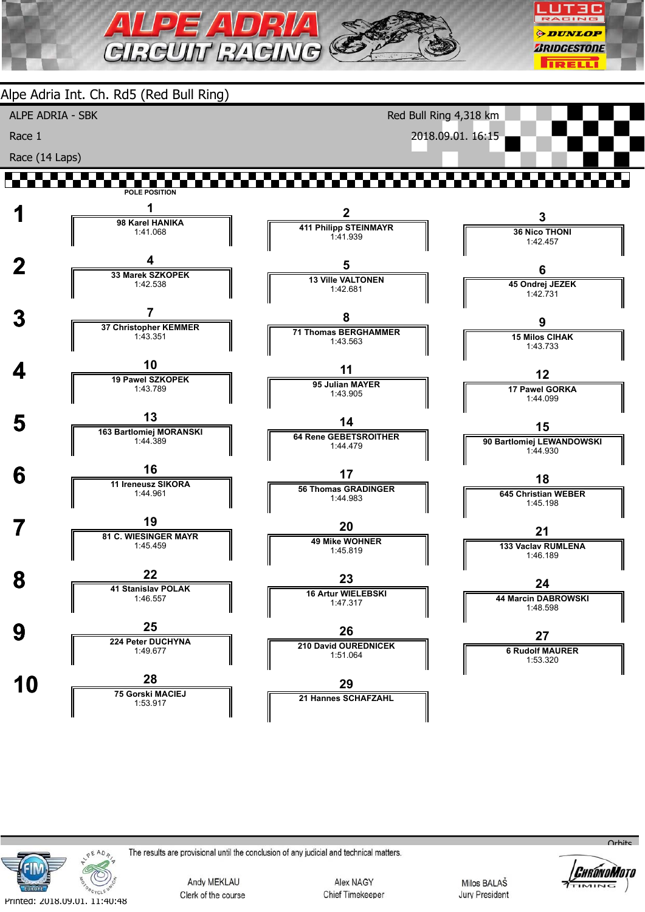

Alpe Adria Int. Ch. Rd5 (Red Bull Ring) ALPE ADRIA - SBK Red Bull Ring 4,318 km 2018.09.01. 16:15 Race 1 Race (14 Laps) ▞▚▚▘ ,,,,,,,, **POLE POSITION 1 1 1 98 Karel HANIKA 2 3 411 Philipp STEINMAYR 36 Nico THONI** 1:41.068 1:41.939 1:42.457  $\frac{4}{\sqrt{33 \text{ Marek SZKOPEK}}}$ **5 6 13 Ville VALTONEN 45 Ondrej JEZEK** 1:42.538 1:42.681  $1:42.731$  **3 <sup>7</sup> 37 Christopher KEMMER 8 9 71 Thomas BERGHAMMER 15 Milos CIHAK** 1:43.351 1:43.563 1:43.733 **4** 19 Pawel SZKOPEK **11 12 95 Julian MAYER 17 Pawel GORKA** 1:43.789 1:43.905 1:44.099 **5** 163 Bartlomiej MORANSKI **14 15 64 Rene GEBETSROITHER** 1:44.389 **90 Bartlomiej LEWANDOWSKI** 1:44.479 1:44.930 **6 11 Ireneusz SIKORA 17 18 56 Thomas GRADINGER 645 Christian WEBER** 1:44.961 1:44.983 1:45.198 **7 19**<br>**81 C. WIESINGER MAYR 20 21 49 Mike WOHNER 133 Vaclav RUMLENA** 1:45.459 1:45.819 1:46.189 **8 22 11 Stanislav POLAK 23 24 16 Artur WIELEBSKI 44 Marcin DABROWSKI** 1:46.557 1:47.317 1:48.598 **9 25 224 Peter DUCHYNA 26 27 210 David OUREDNICEK** 1:49.677 **6 Rudolf MAURER** 1:51.064 1:53.320 **10 28**<br>**75 Gorski MACIEJ 29 21 Hannes SCHAFZAHL** 1:53.917



The results are provisional until the conclusion of any judicial and technical matters.

Andy MEKLAU Clerk of the course

Alex NAGY Chief Timekeeper

Milos BALAŠ **Jury President** 



 $Q<sub>r</sub>$ bits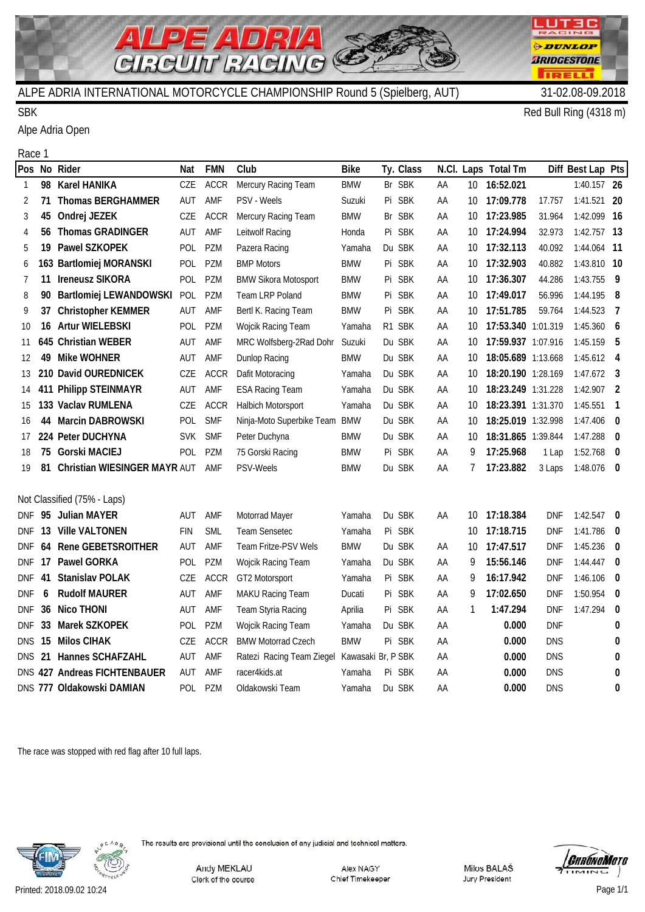

#### SBK Red Bull Ring (4318 m)

Race 1

Alpe Adria Open

| Pos          |    | No Rider                        | Nat        | <b>FMN</b>  | Club                          | <b>Bike</b>        |    | Ty. Class  |    |    | N.Cl. Laps Total Tm |            | Diff Best Lap Pts |                          |
|--------------|----|---------------------------------|------------|-------------|-------------------------------|--------------------|----|------------|----|----|---------------------|------------|-------------------|--------------------------|
| $\mathbf{1}$ | 98 | <b>Karel HANIKA</b>             | CZE        | <b>ACCR</b> | Mercury Racing Team           | <b>BMW</b>         |    | Br SBK     | AA | 10 | 16:52.021           |            | 1:40.157 26       |                          |
| 2            | 71 | <b>Thomas BERGHAMMER</b>        | AUT        | AMF         | PSV - Weels                   | Suzuki             |    | Pi SBK     | AA | 10 | 17:09.778           | 17.757     | 1:41.521 20       |                          |
| 3            | 45 | Ondrej JEZEK                    | CZE        | <b>ACCR</b> | Mercury Racing Team           | <b>BMW</b>         |    | Br SBK     | AA | 10 | 17:23.985           | 31.964     | 1:42.099 16       |                          |
| 4            | 56 | <b>Thomas GRADINGER</b>         | AUT        | AMF         | Leitwolf Racing               | Honda              |    | Pi SBK     | AA | 10 | 17:24.994           | 32.973     | 1:42.757 13       |                          |
| 5            | 19 | Pawel SZKOPEK                   | POL        | PZM         | Pazera Racing                 | Yamaha             |    | Du SBK     | AA | 10 | 17:32.113           | 40.092     | 1:44.064 11       |                          |
| 6            |    | 163 Bartlomiej MORANSKI         | POL        | PZM         | <b>BMP Motors</b>             | <b>BMW</b>         |    | Pi SBK     | AA | 10 | 17:32.903           | 40.882     | 1:43.810 10       |                          |
| 7            | 11 | <b>Ireneusz SIKORA</b>          | POL        | PZM         | <b>BMW Sikora Motosport</b>   | <b>BMW</b>         | Pi | <b>SBK</b> | AA | 10 | 17:36.307           | 44.286     | 1:43.755          | $\overline{9}$           |
| 8            | 90 | Bartlomiej LEWANDOWSKI          | POL        | PZM         | Team LRP Poland               | <b>BMW</b>         |    | Pi SBK     | AA | 10 | 17:49.017           | 56.996     | 1:44.195 8        |                          |
| 9            | 37 | <b>Christopher KEMMER</b>       | AUT        | AMF         | Bertl K. Racing Team          | <b>BMW</b>         |    | Pi SBK     | ΑA | 10 | 17:51.785           | 59.764     | 1:44.523          | $\overline{7}$           |
| 10           | 16 | <b>Artur WIELEBSKI</b>          | POL        | PZM         | Wojcik Racing Team            | Yamaha             |    | R1 SBK     | AA | 10 | 17:53.340 1:01.319  |            | 1:45.360 $6$      |                          |
| 11           |    | 645 Christian WEBER             | AUT        | AMF         | MRC Wolfsberg-2Rad Dohr       | Suzuki             |    | Du SBK     | AA | 10 | 17:59.937 1:07.916  |            | 1:45.159 5        |                          |
| 12           | 49 | <b>Mike WOHNER</b>              | AUT        | AMF         | Dunlop Racing                 | <b>BMW</b>         |    | Du SBK     | AA | 10 | 18:05.689 1:13.668  |            | $1:45.612$ 4      |                          |
| 13           |    | 210 David OUREDNICEK            | CZE        | <b>ACCR</b> | Dafit Motoracing              | Yamaha             |    | Du SBK     | AA | 10 | 18:20.190 1:28.169  |            | $1:47.672$ 3      |                          |
| 14           |    | 411 Philipp STEINMAYR           | AUT        | AMF         | <b>ESA Racing Team</b>        | Yamaha             |    | Du SBK     | AA | 10 | 18:23.249 1:31.228  |            | $1:42.907$ 2      |                          |
| 15           |    | 133 Vaclav RUMLENA              | CZE        | <b>ACCR</b> | Halbich Motorsport            | Yamaha             |    | Du SBK     | AA | 10 | 18:23.391 1:31.370  |            | $1:45.551$ 1      |                          |
| 16           | 44 | <b>Marcin DABROWSKI</b>         | POL        | <b>SMF</b>  | Ninja-Moto Superbike Team BMW |                    |    | Du SBK     | AA | 10 | 18:25.019 1:32.998  |            | $1:47.406$ 0      |                          |
| 17           |    | 224 Peter DUCHYNA               | <b>SVK</b> | <b>SMF</b>  | Peter Duchyna                 | <b>BMW</b>         |    | Du SBK     | AA | 10 | 18:31.865 1:39.844  |            | 1:47.288          | $\overline{\phantom{0}}$ |
| 18           | 75 | <b>Gorski MACIEJ</b>            | <b>POL</b> | PZM         | 75 Gorski Racing              | <b>BMW</b>         |    | Pi SBK     | AA | 9  | 17:25.968           | 1 Lap      | $1:52.768$ 0      |                          |
| 19           |    | 81 Christian WIESINGER MAYR AUT |            | AMF         | <b>PSV-Weels</b>              | <b>BMW</b>         |    | Du SBK     | AA | 7  | 17:23.882           | 3 Laps     | 1:48.076 0        |                          |
|              |    |                                 |            |             |                               |                    |    |            |    |    |                     |            |                   |                          |
|              |    | Not Classified (75% - Laps)     |            |             |                               |                    |    |            |    |    |                     |            |                   |                          |
| DNF -        |    | 95 Julian MAYER                 | AUT        | AMF         | Motorrad Mayer                | Yamaha             |    | Du SBK     | AA | 10 | 17:18.384           | <b>DNF</b> | $1:42.547$ 0      |                          |
| <b>DNF</b>   | 13 | <b>Ville VALTONEN</b>           | <b>FIN</b> | <b>SML</b>  | Team Sensetec                 | Yamaha             |    | Pi SBK     |    | 10 | 17:18.715           | <b>DNF</b> | $1:41.786$ 0      |                          |
| <b>DNF</b>   | 64 | <b>Rene GEBETSROITHER</b>       | AUT        | AMF         | Team Fritze-PSV Wels          | <b>BMW</b>         |    | Du SBK     | ΑA | 10 | 17:47.517           | <b>DNF</b> | $1:45.236$ 0      |                          |
| <b>DNF</b>   | 17 | <b>Pawel GORKA</b>              | POL        | PZM         | Wojcik Racing Team            | Yamaha             |    | Du SBK     | AA | 9  | 15:56.146           | <b>DNF</b> | $1:44.447$ 0      |                          |
| <b>DNF</b>   | 41 | <b>Stanislav POLAK</b>          | CZE        | <b>ACCR</b> | GT2 Motorsport                | Yamaha             |    | Pi SBK     | ΑA | 9  | 16:17.942           | DNF        | 1:46.106 0        |                          |
| <b>DNF</b>   | 6  | <b>Rudolf MAURER</b>            | AUT        | AMF         | MAKU Racing Team              | Ducati             |    | Pi SBK     | AA | 9  | 17:02.650           | <b>DNF</b> | $1:50.954$ 0      |                          |
| DNF          | 36 | <b>Nico THONI</b>               | AUT        | AMF         | Team Styria Racing            | Aprilia            |    | Pi SBK     | AA | 1  | 1:47.294            | <b>DNF</b> | 1:47.294          | $\overline{\mathbf{0}}$  |
| <b>DNF</b>   | 33 | Marek SZKOPEK                   | POL        | PZM         | Wojcik Racing Team            | Yamaha             |    | Du SBK     | AA |    | 0.000               | <b>DNF</b> |                   | 0                        |
| DNS.         | 15 | <b>Milos CIHAK</b>              | CZE        | <b>ACCR</b> | <b>BMW Motorrad Czech</b>     | <b>BMW</b>         |    | Pi SBK     | AA |    | 0.000               | <b>DNS</b> |                   | 0                        |
| DNS.         | 21 | Hannes SCHAFZAHL                | AUT        | AMF         | Ratezi Racing Team Ziegel     | Kawasaki Br, P SBK |    |            | AA |    | 0.000               | <b>DNS</b> |                   | 0                        |
|              |    | DNS 427 Andreas FICHTENBAUER    | AUT        | AMF         | racer4kids.at                 | Yamaha             |    | Pi SBK     | AA |    | 0.000               | <b>DNS</b> |                   | 0                        |
|              |    | DNS 777 Oldakowski DAMIAN       | POL        | PZM         | Oldakowski Team               | Yamaha             |    | Du SBK     | AA |    | 0.000               | <b>DNS</b> |                   | 0                        |
|              |    |                                 |            |             |                               |                    |    |            |    |    |                     |            |                   |                          |

The race was stopped with red flag after 10 full laps.



The results are provisional until the conclusion of any judicial and technical matters.

Andy MEKLAU Clerk of the course

Alex NAGY Chief Timekeeper



LUT30  $\overline{\mathbf{m}}$ 

*ODUNLOP* 

*BRIDGESTONE* 

m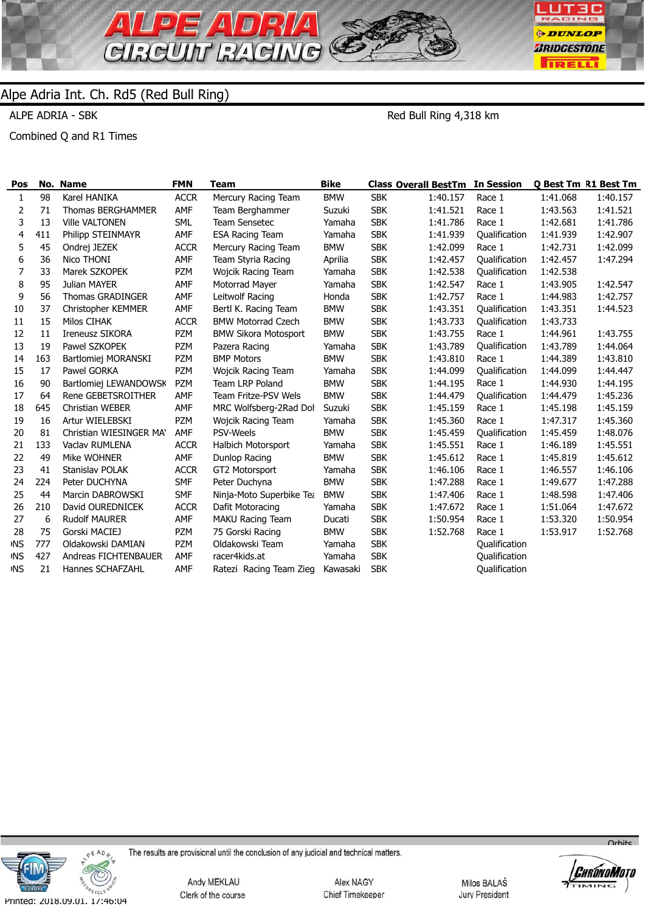

ALPE ADRIA - SBK

Red Bull Ring 4,318 km

Combined Q and R1 Times

| Pos        |     | No. Name                | <b>FMN</b>  | Team                        | <b>Bike</b> |            | <b>Class Overall BestTm In Session</b> |               |          | <b>Q Best Tm R1 Best Tm</b> |
|------------|-----|-------------------------|-------------|-----------------------------|-------------|------------|----------------------------------------|---------------|----------|-----------------------------|
| 1          | 98  | Karel HANIKA            | <b>ACCR</b> | Mercury Racing Team         | <b>BMW</b>  | <b>SBK</b> | 1:40.157                               | Race 1        | 1:41.068 | 1:40.157                    |
| 2          | 71  | Thomas BERGHAMMER       | AMF         | Team Berghammer             | Suzuki      | <b>SBK</b> | 1:41.521                               | Race 1        | 1:43.563 | 1:41.521                    |
| 3          | 13  | <b>Ville VALTONEN</b>   | <b>SML</b>  | <b>Team Sensetec</b>        | Yamaha      | <b>SBK</b> | 1:41.786                               | Race 1        | 1:42.681 | 1:41.786                    |
| 4          | 411 | Philipp STEINMAYR       | AMF         | <b>ESA Racing Team</b>      | Yamaha      | <b>SBK</b> | 1:41.939                               | Qualification | 1:41.939 | 1:42.907                    |
| 5          | 45  | Ondrej JEZEK            | <b>ACCR</b> | Mercury Racing Team         | <b>BMW</b>  | <b>SBK</b> | 1:42.099                               | Race 1        | 1:42.731 | 1:42.099                    |
| 6          | 36  | Nico THONI              | AMF         | Team Styria Racing          | Aprilia     | <b>SBK</b> | 1:42.457                               | Qualification | 1:42.457 | 1:47.294                    |
| 7          | 33  | Marek SZKOPEK           | <b>PZM</b>  | Wojcik Racing Team          | Yamaha      | <b>SBK</b> | 1:42.538                               | Qualification | 1:42.538 |                             |
| 8          | 95  | Julian MAYER            | AMF         | Motorrad Mayer              | Yamaha      | <b>SBK</b> | 1:42.547                               | Race 1        | 1:43.905 | 1:42.547                    |
| 9          | 56  | <b>Thomas GRADINGER</b> | AMF         | Leitwolf Racing             | Honda       | <b>SBK</b> | 1:42.757                               | Race 1        | 1:44.983 | 1:42.757                    |
| 10         | 37  | Christopher KEMMER      | AMF         | Bertl K. Racing Team        | <b>BMW</b>  | <b>SBK</b> | 1:43.351                               | Qualification | 1:43.351 | 1:44.523                    |
| 11         | 15  | Milos CIHAK             | <b>ACCR</b> | <b>BMW Motorrad Czech</b>   | <b>BMW</b>  | <b>SBK</b> | 1:43.733                               | Qualification | 1:43.733 |                             |
| 12         | 11  | <b>Ireneusz SIKORA</b>  | <b>PZM</b>  | <b>BMW Sikora Motosport</b> | <b>BMW</b>  | <b>SBK</b> | 1:43.755                               | Race 1        | 1:44.961 | 1:43.755                    |
| 13         | 19  | Pawel SZKOPEK           | <b>PZM</b>  | Pazera Racing               | Yamaha      | <b>SBK</b> | 1:43.789                               | Qualification | 1:43.789 | 1:44.064                    |
| 14         | 163 | Bartlomiej MORANSKI     | <b>PZM</b>  | <b>BMP Motors</b>           | <b>BMW</b>  | <b>SBK</b> | 1:43.810                               | Race 1        | 1:44.389 | 1:43.810                    |
| 15         | 17  | Pawel GORKA             | <b>PZM</b>  | Wojcik Racing Team          | Yamaha      | <b>SBK</b> | 1:44.099                               | Qualification | 1:44.099 | 1:44.447                    |
| 16         | 90  | Bartlomiej LEWANDOWSK   | <b>PZM</b>  | <b>Team LRP Poland</b>      | <b>BMW</b>  | <b>SBK</b> | 1:44.195                               | Race 1        | 1:44.930 | 1:44.195                    |
| 17         | 64  | Rene GEBETSROITHER      | AMF         | <b>Team Fritze-PSV Wels</b> | <b>BMW</b>  | <b>SBK</b> | 1:44.479                               | Qualification | 1:44.479 | 1:45.236                    |
| 18         | 645 | Christian WEBER         | AMF         | MRC Wolfsberg-2Rad Dol      | Suzuki      | <b>SBK</b> | 1:45.159                               | Race 1        | 1:45.198 | 1:45.159                    |
| 19         | 16  | Artur WIELEBSKI         | <b>PZM</b>  | Wojcik Racing Team          | Yamaha      | <b>SBK</b> | 1:45.360                               | Race 1        | 1:47.317 | 1:45.360                    |
| 20         | 81  | Christian WIESINGER MAY | AMF         | PSV-Weels                   | <b>BMW</b>  | <b>SBK</b> | 1:45.459                               | Qualification | 1:45.459 | 1:48.076                    |
| 21         | 133 | Vaclav RUMLENA          | <b>ACCR</b> | Halbich Motorsport          | Yamaha      | <b>SBK</b> | 1:45.551                               | Race 1        | 1:46.189 | 1:45.551                    |
| 22         | 49  | Mike WOHNER             | AMF         | Dunlop Racing               | <b>BMW</b>  | <b>SBK</b> | 1:45.612                               | Race 1        | 1:45.819 | 1:45.612                    |
| 23         | 41  | Stanislav POLAK         | <b>ACCR</b> | GT2 Motorsport              | Yamaha      | <b>SBK</b> | 1:46.106                               | Race 1        | 1:46.557 | 1:46.106                    |
| 24         | 224 | Peter DUCHYNA           | <b>SMF</b>  | Peter Duchyna               | <b>BMW</b>  | <b>SBK</b> | 1:47.288                               | Race 1        | 1:49.677 | 1:47.288                    |
| 25         | 44  | Marcin DABROWSKI        | <b>SMF</b>  | Ninja-Moto Superbike Tea    | <b>BMW</b>  | <b>SBK</b> | 1:47.406                               | Race 1        | 1:48.598 | 1:47.406                    |
| 26         | 210 | David OUREDNICEK        | <b>ACCR</b> | Dafit Motoracing            | Yamaha      | <b>SBK</b> | 1:47.672                               | Race 1        | 1:51.064 | 1:47.672                    |
| 27         | 6   | <b>Rudolf MAURER</b>    | AMF         | <b>MAKU Racing Team</b>     | Ducati      | <b>SBK</b> | 1:50.954                               | Race 1        | 1:53.320 | 1:50.954                    |
| 28         | 75  | Gorski MACIEJ           | <b>PZM</b>  | 75 Gorski Racing            | <b>BMW</b>  | <b>SBK</b> | 1:52.768                               | Race 1        | 1:53.917 | 1:52.768                    |
| <b>INS</b> | 777 | Oldakowski DAMIAN       | <b>PZM</b>  | Oldakowski Team             | Yamaha      | <b>SBK</b> |                                        | Qualification |          |                             |
| <b>INS</b> | 427 | Andreas FICHTENBAUER    | AMF         | racer4kids.at               | Yamaha      | <b>SBK</b> |                                        | Qualification |          |                             |
| <b>INS</b> | 21  | Hannes SCHAFZAHL        | AMF         | Ratezi Racing Team Zieg     | Kawasaki    | <b>SBK</b> |                                        | Qualification |          |                             |



The results are provisional until the conclusion of any judicial and technical matters.

Andy MEKLAU Clerk of the course

Alex NAGY Chief Timekeeper

Milos BALAŠ Jury President



 $O<sub>r</sub>$ hite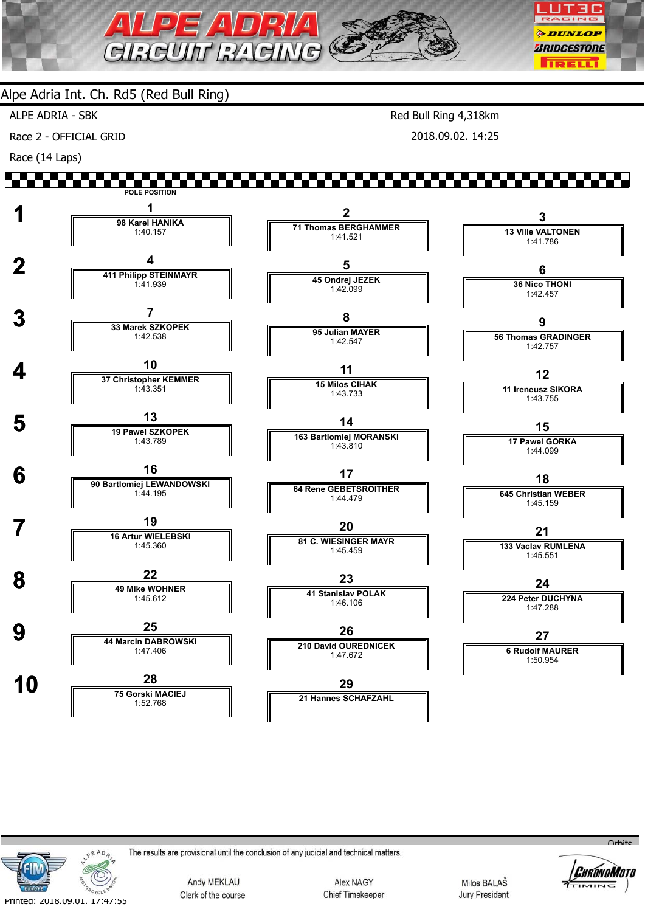

ALPE ADRIA - SBK

Race 2 - OFFICIAL GRID

Race (14 Laps)

Red Bull Ring 4,318km 2018.09.02. 14:25

#### W. W **POLE POSITION 1 1 1 98 Karel HANIKA 2 3 71 Thomas BERGHAMMER 13 Ville VALTONEN** 1:40.157 1:41.521 1:41.786  **2 <sup>4</sup> 411 Philipp STEINMAYR 5 6 45 Ondrej JEZEK 36 Nico THONI** 1:41.939 1:42.099 1:42.457  **3 <sup>7</sup> 33 Marek SZKOPEK 8 9 95 Julian MAYER 56 Thomas GRADINGER** 1:42.538 1:42.547 1:42.757  **4 <sup>10</sup> 37 Christopher KEMMER 11 12 15 Milos CIHAK 11 Ireneusz SIKORA** 1:43.351 1:43.733 1:43.755 **5** 19 Pawel SZKOPEK **14 15 163 Bartlomiej MORANSKI** 1:43.789 **17 Pawel GORKA** 1:43.810 1:44.099  **6 <sup>16</sup> 90 Bartlomiej LEWANDOWSKI 17 18 64 Rene GEBETSROITHER 645 Christian WEBER** 1:44.195 1:44.479 1:45.159 **7 19**<br>16 Artur WIELEBSKI **20 21 81 C. WIESINGER MAYR 133 Vaclav RUMLENA** 1:45.360 1:45.459 1:45.551 **8 19 Mike WOHNER 23 24 41 Stanislav POLAK 224 Peter DUCHYNA** 1:45.612 1:46.106 1:47.288 **9 144 Marcin DABROWSKI 26 27 210 David OUREDNICEK** 1:47.406 **6 Rudolf MAURER** 1:47.672 1:50.954 **10 28**<br>**75 Gorski MACIEJ 29 21 Hannes SCHAFZAHL** 1:52.768



The results are provisional until the conclusion of any judicial and technical matters.

Andy MEKLAU Clerk of the course

Alex NAGY Chief Timekeeper

Milos BALAŠ **Jury President** 



 $O<sub>r</sub>$ hito